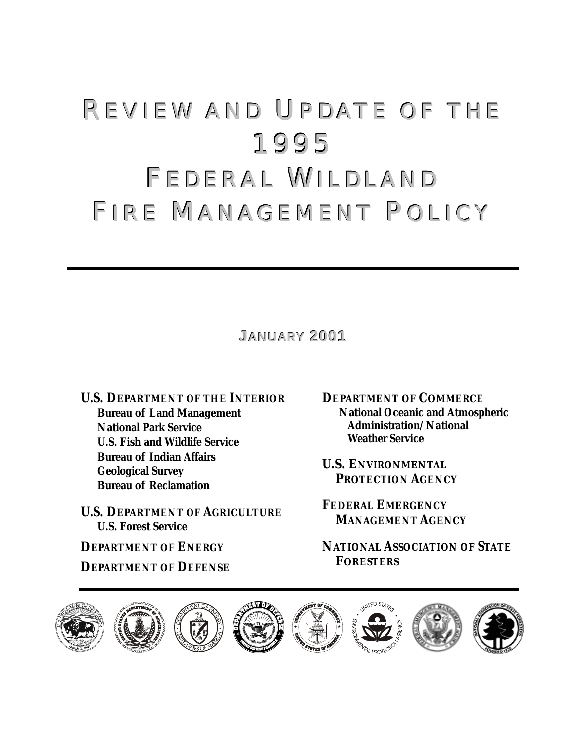# REVIEW AND UPDATE OF THE 1995 FEDERAL WILDLAND FIRE MANAGEMENT POLICY

**JANUARY2001**

**U.S. DEPARTMENT OF THE INTERIOR Bureau of Land Management National Park Service U.S. Fish and Wildlife Service Bureau of Indian Affairs Geological Survey Bureau of Reclamation** 

**U.S. DEPARTMENT OF AGRICULTURE U.S. Forest Service** 

**DEPARTMENT OF ENERGY**

**DEPARTMENT OF DEFENSE**

**DEPARTMENT OF COMMERCE National Oceanic and Atmospheric Administration/National Weather Service**

**U.S. ENVIRONMENTAL PROTECTION AGENCY**

**FEDERAL EMERGENCY MANAGEMENT AGENCY**

**NATIONAL ASSOCIATION OF STATE FORESTERS**

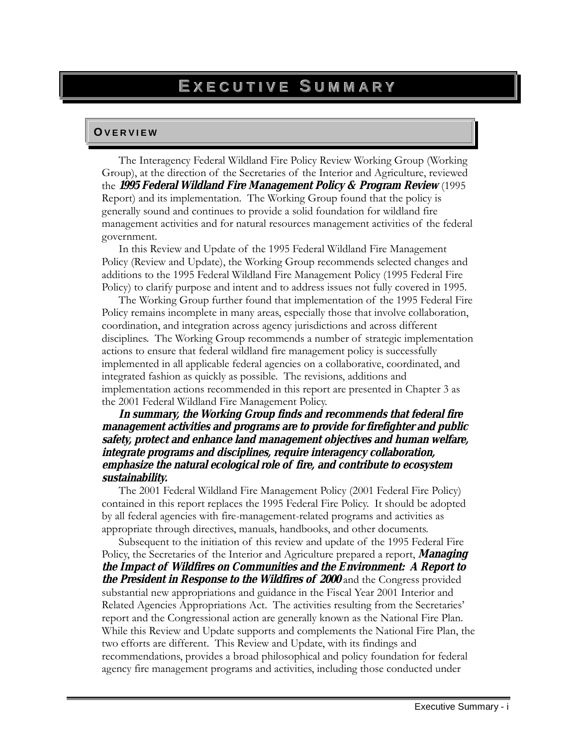# **O V E R V I E W O V E R V I E W**

The Interagency Federal Wildland Fire Policy Review Working Group (Working Group), at the direction of the Secretaries of the Interior and Agriculture, reviewed the **1995 Federal Wildland Fire Management Policy & Program Review** (1995 Report) and its implementation. The Working Group found that the policy is generally sound and continues to provide a solid foundation for wildland fire management activities and for natural resources management activities of the federal government.

In this Review and Update of the 1995 Federal Wildland Fire Management Policy (Review and Update), the Working Group recommends selected changes and additions to the 1995 Federal Wildland Fire Management Policy (1995 Federal Fire Policy) to clarify purpose and intent and to address issues not fully covered in 1995.

The Working Group further found that implementation of the 1995 Federal Fire Policy remains incomplete in many areas, especially those that involve collaboration, coordination, and integration across agency jurisdictions and across different disciplines. The Working Group recommends a number of strategic implementation actions to ensure that federal wildland fire management policy is successfully implemented in all applicable federal agencies on a collaborative, coordinated, and integrated fashion as quickly as possible. The revisions, additions and implementation actions recommended in this report are presented in Chapter 3 as the 2001 Federal Wildland Fire Management Policy.

#### **In summary, the Working Group finds and recommends that federal fire management activities and programs are to provide for firefighter and public safety, protect and enhance land management objectives and human welfare, integrate programs and disciplines, require interagency collaboration, emphasize the natural ecological role of fire, and contribute to ecosystem sustainability.**

The 2001 Federal Wildland Fire Management Policy (2001 Federal Fire Policy) contained in this report replaces the 1995 Federal Fire Policy. It should be adopted by all federal agencies with fire-management-related programs and activities as appropriate through directives, manuals, handbooks, and other documents.

Subsequent to the initiation of this review and update of the 1995 Federal Fire Policy, the Secretaries of the Interior and Agriculture prepared a report, **Managing the Impact of Wildfires on Communities and the Environment: A Report to the President in Response to the Wildfires of 2000** and the Congress provided substantial new appropriations and guidance in the Fiscal Year 2001 Interior and Related Agencies Appropriations Act. The activities resulting from the Secretaries' report and the Congressional action are generally known as the National Fire Plan. While this Review and Update supports and complements the National Fire Plan, the two efforts are different. This Review and Update, with its findings and recommendations, provides a broad philosophical and policy foundation for federal agency fire management programs and activities, including those conducted under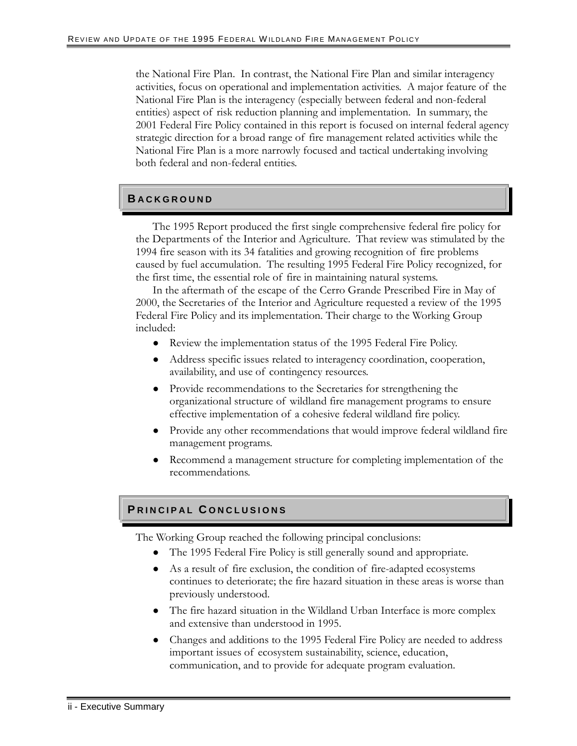the National Fire Plan. In contrast, the National Fire Plan and similar interagency activities, focus on operational and implementation activities. A major feature of the National Fire Plan is the interagency (especially between federal and non-federal entities) aspect of risk reduction planning and implementation. In summary, the 2001 Federal Fire Policy contained in this report is focused on internal federal agency strategic direction for a broad range of fire management related activities while the National Fire Plan is a more narrowly focused and tactical undertaking involving both federal and non-federal entities.

# **B A C K G R O U N D B A C K G R O U N D**

The 1995 Report produced the first single comprehensive federal fire policy for the Departments of the Interior and Agriculture. That review was stimulated by the 1994 fire season with its 34 fatalities and growing recognition of fire problems caused by fuel accumulation. The resulting 1995 Federal Fire Policy recognized, for the first time, the essential role of fire in maintaining natural systems.

In the aftermath of the escape of the Cerro Grande Prescribed Fire in May of 2000, the Secretaries of the Interior and Agriculture requested a review of the 1995 Federal Fire Policy and its implementation. Their charge to the Working Group included:

- Review the implementation status of the 1995 Federal Fire Policy.
- Address specific issues related to interagency coordination, cooperation, availability, and use of contingency resources.
- Provide recommendations to the Secretaries for strengthening the organizational structure of wildland fire management programs to ensure effective implementation of a cohesive federal wildland fire policy.
- Provide any other recommendations that would improve federal wildland fire management programs.
- Recommend a management structure for completing implementation of the recommendations.

#### **P** RINCIPAL CONCLUSIONS

The Working Group reached the following principal conclusions:

- The 1995 Federal Fire Policy is still generally sound and appropriate.
- As a result of fire exclusion, the condition of fire-adapted ecosystems continues to deteriorate; the fire hazard situation in these areas is worse than previously understood.
- The fire hazard situation in the Wildland Urban Interface is more complex and extensive than understood in 1995.
- Changes and additions to the 1995 Federal Fire Policy are needed to address important issues of ecosystem sustainability, science, education, communication, and to provide for adequate program evaluation.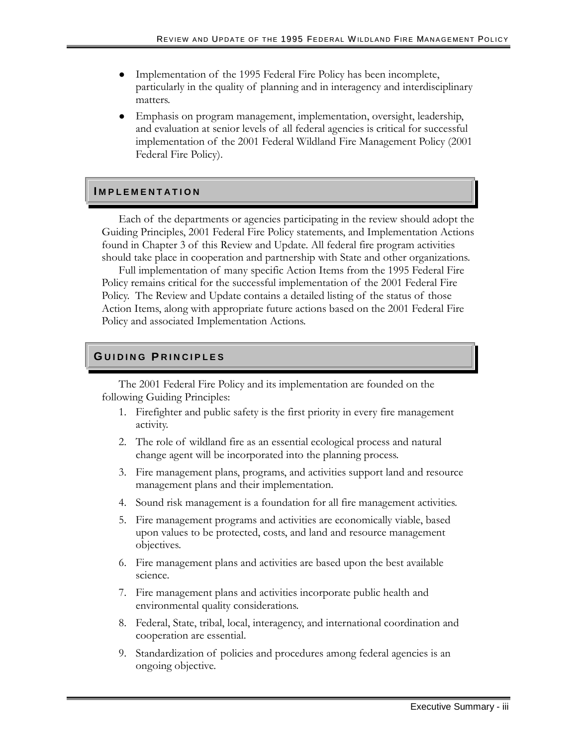- Implementation of the 1995 Federal Fire Policy has been incomplete, particularly in the quality of planning and in interagency and interdisciplinary matters.
- Emphasis on program management, implementation, oversight, leadership, and evaluation at senior levels of all federal agencies is critical for successful implementation of the 2001 Federal Wildland Fire Management Policy (2001 Federal Fire Policy).

#### **I M P L E M E N T A T I O N I M P L E M E N T A T I O N**

Each of the departments or agencies participating in the review should adopt the Guiding Principles, 2001 Federal Fire Policy statements, and Implementation Actions found in Chapter 3 of this Review and Update. All federal fire program activities should take place in cooperation and partnership with State and other organizations.

Full implementation of many specific Action Items from the 1995 Federal Fire Policy remains critical for the successful implementation of the 2001 Federal Fire Policy. The Review and Update contains a detailed listing of the status of those Action Items, along with appropriate future actions based on the 2001 Federal Fire Policy and associated Implementation Actions.

# $G$  UIDING PRINCIPLES

The 2001 Federal Fire Policy and its implementation are founded on the following Guiding Principles:

- 1. Firefighter and public safety is the first priority in every fire management activity.
- 2. The role of wildland fire as an essential ecological process and natural change agent will be incorporated into the planning process.
- 3. Fire management plans, programs, and activities support land and resource management plans and their implementation.
- 4. Sound risk management is a foundation for all fire management activities.
- 5. Fire management programs and activities are economically viable, based upon values to be protected, costs, and land and resource management objectives.
- 6. Fire management plans and activities are based upon the best available science.
- 7. Fire management plans and activities incorporate public health and environmental quality considerations.
- 8. Federal, State, tribal, local, interagency, and international coordination and cooperation are essential.
- 9. Standardization of policies and procedures among federal agencies is an ongoing objective.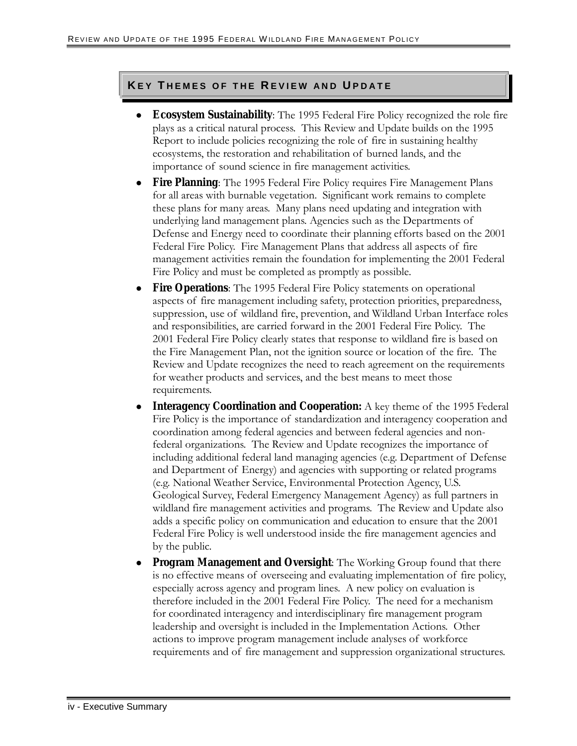#### **K E Y T H E M E S O F T H E R E V I E W A N D U P D A T E K E Y T H E M E S O F T H E R E V I E W A N D U P D A T E**

- **Ecosystem Sustainability**: The 1995 Federal Fire Policy recognized the role fire plays as a critical natural process. This Review and Update builds on the 1995 Report to include policies recognizing the role of fire in sustaining healthy ecosystems, the restoration and rehabilitation of burned lands, and the importance of sound science in fire management activities.
- **Fire Planning**: The 1995 Federal Fire Policy requires Fire Management Plans for all areas with burnable vegetation. Significant work remains to complete these plans for many areas. Many plans need updating and integration with underlying land management plans. Agencies such as the Departments of Defense and Energy need to coordinate their planning efforts based on the 2001 Federal Fire Policy. Fire Management Plans that address all aspects of fire management activities remain the foundation for implementing the 2001 Federal Fire Policy and must be completed as promptly as possible.
- **Fire Operations**: The 1995 Federal Fire Policy statements on operational aspects of fire management including safety, protection priorities, preparedness, suppression, use of wildland fire, prevention, and Wildland Urban Interface roles and responsibilities, are carried forward in the 2001 Federal Fire Policy. The 2001 Federal Fire Policy clearly states that response to wildland fire is based on the Fire Management Plan, not the ignition source or location of the fire. The Review and Update recognizes the need to reach agreement on the requirements for weather products and services, and the best means to meet those requirements.
- **Interagency Coordination and Cooperation:** A key theme of the 1995 Federal Fire Policy is the importance of standardization and interagency cooperation and coordination among federal agencies and between federal agencies and nonfederal organizations. The Review and Update recognizes the importance of including additional federal land managing agencies (e.g. Department of Defense and Department of Energy) and agencies with supporting or related programs (e.g. National Weather Service, Environmental Protection Agency, U.S. Geological Survey, Federal Emergency Management Agency) as full partners in wildland fire management activities and programs. The Review and Update also adds a specific policy on communication and education to ensure that the 2001 Federal Fire Policy is well understood inside the fire management agencies and by the public.
- **Program Management and Oversight**: The Working Group found that there is no effective means of overseeing and evaluating implementation of fire policy, especially across agency and program lines. A new policy on evaluation is therefore included in the 2001 Federal Fire Policy. The need for a mechanism for coordinated interagency and interdisciplinary fire management program leadership and oversight is included in the Implementation Actions. Other actions to improve program management include analyses of workforce requirements and of fire management and suppression organizational structures.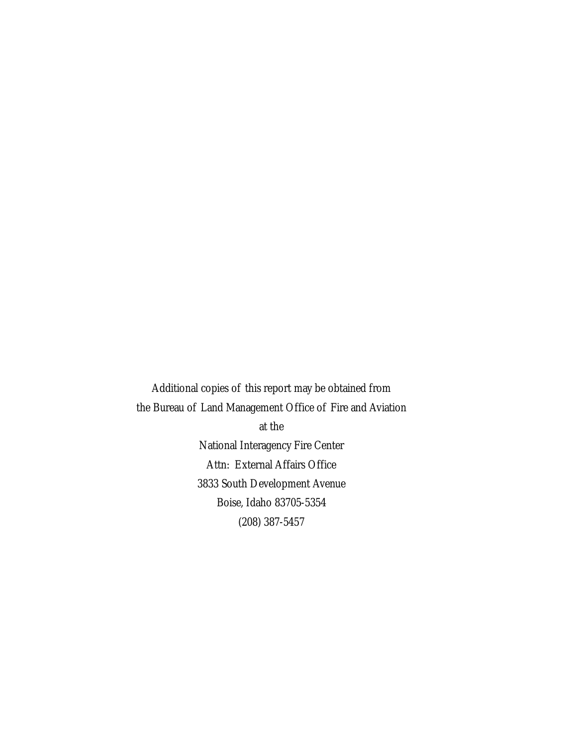Additional copies of this report may be obtained from the Bureau of Land Management Office of Fire and Aviation at the National Interagency Fire Center Attn: External Affairs Office 3833 South Development Avenue Boise, Idaho 83705-5354 (208) 387-5457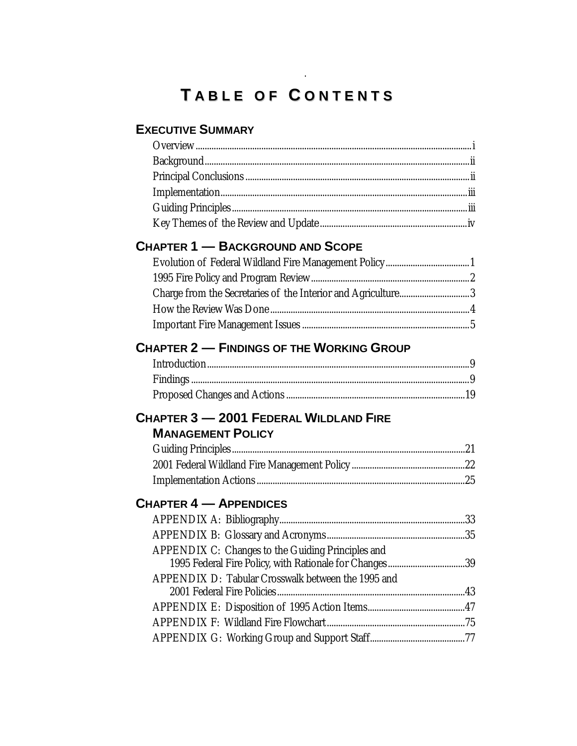# **T A B L E O F C O N T E N T S A B L E O F C O N T E N T S**

.

# **EXECUTIVE SUMMARY**

| <b>CHAPTER 1 - BACKGROUND AND SCOPE</b>                                                                      |  |
|--------------------------------------------------------------------------------------------------------------|--|
|                                                                                                              |  |
|                                                                                                              |  |
| Charge from the Secretaries of the Interior and Agriculture3                                                 |  |
|                                                                                                              |  |
|                                                                                                              |  |
| <b>CHAPTER 2 - FINDINGS OF THE WORKING GROUP</b>                                                             |  |
|                                                                                                              |  |
|                                                                                                              |  |
|                                                                                                              |  |
| CHAPTER 3 - 2001 FEDERAL WILDLAND FIRE                                                                       |  |
| <b>MANAGEMENT POLICY</b>                                                                                     |  |
|                                                                                                              |  |
|                                                                                                              |  |
|                                                                                                              |  |
|                                                                                                              |  |
|                                                                                                              |  |
|                                                                                                              |  |
|                                                                                                              |  |
| <b>CHAPTER 4 - APPENDICES</b><br>APPENDIX C: Changes to the Guiding Principles and                           |  |
| 1995 Federal Fire Policy, with Rationale for Changes39<br>APPENDIX D: Tabular Crosswalk between the 1995 and |  |
|                                                                                                              |  |
|                                                                                                              |  |
|                                                                                                              |  |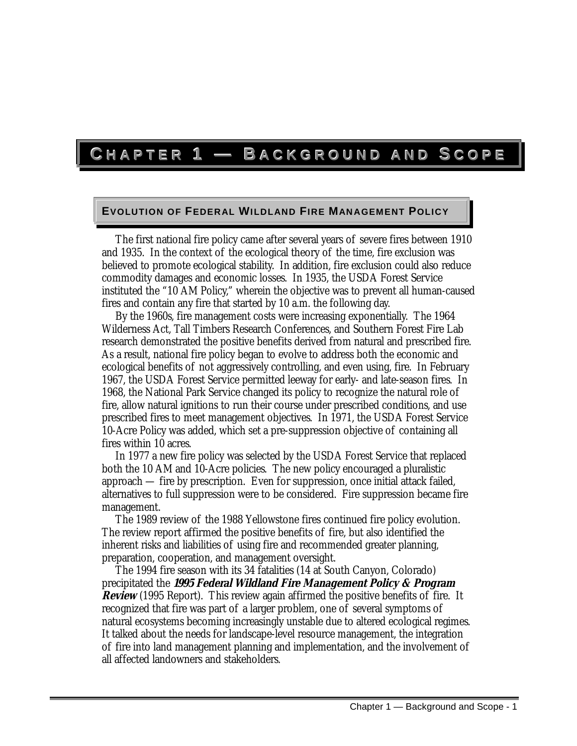# **C HAPTER1—B ACKGROUNDANDSCOPE**

#### **EVOLUTION OF FEDERAL WILDLAND FIRE MANAGEMENT POLICY**

The first national fire policy came after several years of severe fires between 1910 and 1935. In the context of the ecological theory of the time, fire exclusion was believed to promote ecological stability. In addition, fire exclusion could also reduce commodity damages and economic losses. In 1935, the USDA Forest Service instituted the "10 AM Policy," wherein the objective was to prevent all human-caused fires and contain any fire that started by 10 a.m. the following day.

By the 1960s, fire management costs were increasing exponentially. The 1964 Wilderness Act, Tall Timbers Research Conferences, and Southern Forest Fire Lab research demonstrated the positive benefits derived from natural and prescribed fire. As a result, national fire policy began to evolve to address both the economic and ecological benefits of not aggressively controlling, and even using, fire. In February 1967, the USDA Forest Service permitted leeway for early- and late-season fires. In 1968, the National Park Service changed its policy to recognize the natural role of fire, allow natural ignitions to run their course under prescribed conditions, and use prescribed fires to meet management objectives. In 1971, the USDA Forest Service 10-Acre Policy was added, which set a pre-suppression objective of containing all fires within 10 acres.

In 1977 a new fire policy was selected by the USDA Forest Service that replaced both the 10 AM and 10-Acre policies. The new policy encouraged a pluralistic approach — fire by prescription. Even for suppression, once initial attack failed, alternatives to full suppression were to be considered. Fire suppression became fire management.

The 1989 review of the 1988 Yellowstone fires continued fire policy evolution. The review report affirmed the positive benefits of fire, but also identified the inherent risks and liabilities of using fire and recommended greater planning, preparation, cooperation, and management oversight.

The 1994 fire season with its 34 fatalities (14 at South Canyon, Colorado) precipitated the **1995 Federal Wildland Fire Management Policy & Program Review** (1995 Report). This review again affirmed the positive benefits of fire. It recognized that fire was part of a larger problem, one of several symptoms of natural ecosystems becoming increasingly unstable due to altered ecological regimes. It talked about the needs for landscape-level resource management, the integration of fire into land management planning and implementation, and the involvement of all affected landowners and stakeholders.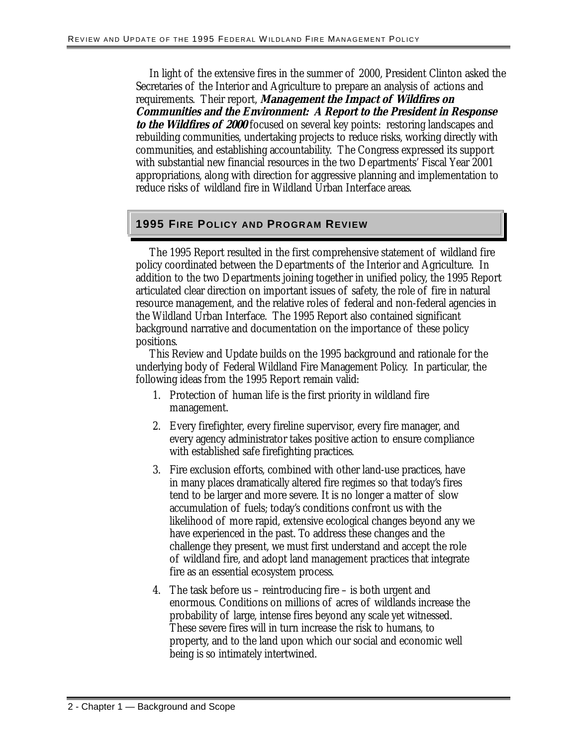In light of the extensive fires in the summer of 2000, President Clinton asked the Secretaries of the Interior and Agriculture to prepare an analysis of actions and requirements. Their report, **Management the Impact of Wildfires on Communities and the Environment: A Report to the President in Response to the Wildfires of 2000** focused on several key points: restoring landscapes and rebuilding communities, undertaking projects to reduce risks, working directly with communities, and establishing accountability. The Congress expressed its support with substantial new financial resources in the two Departments' Fiscal Year 2001 appropriations, along with direction for aggressive planning and implementation to reduce risks of wildland fire in Wildland Urban Interface areas.

#### **1995 FIRE POLICY AND PROGRAM REVIEW**

The 1995 Report resulted in the first comprehensive statement of wildland fire policy coordinated between the Departments of the Interior and Agriculture. In addition to the two Departments joining together in unified policy, the 1995 Report articulated clear direction on important issues of safety, the role of fire in natural resource management, and the relative roles of federal and non-federal agencies in the Wildland Urban Interface. The 1995 Report also contained significant background narrative and documentation on the importance of these policy positions.

This Review and Update builds on the 1995 background and rationale for the underlying body of Federal Wildland Fire Management Policy. In particular, the following ideas from the 1995 Report remain valid:

- 1. Protection of human life is the first priority in wildland fire management.
- 2. Every firefighter, every fireline supervisor, every fire manager, and every agency administrator takes positive action to ensure compliance with established safe firefighting practices.
- 3. Fire exclusion efforts, combined with other land-use practices, have in many places dramatically altered fire regimes so that today's fires tend to be larger and more severe. It is no longer a matter of slow accumulation of fuels; today's conditions confront us with the likelihood of more rapid, extensive ecological changes beyond any we have experienced in the past. To address these changes and the challenge they present, we must first understand and accept the role of wildland fire, and adopt land management practices that integrate fire as an essential ecosystem process.
- 4. The task before us reintroducing fire is both urgent and enormous. Conditions on millions of acres of wildlands increase the probability of large, intense fires beyond any scale yet witnessed. These severe fires will in turn increase the risk to humans, to property, and to the land upon which our social and economic well being is so intimately intertwined.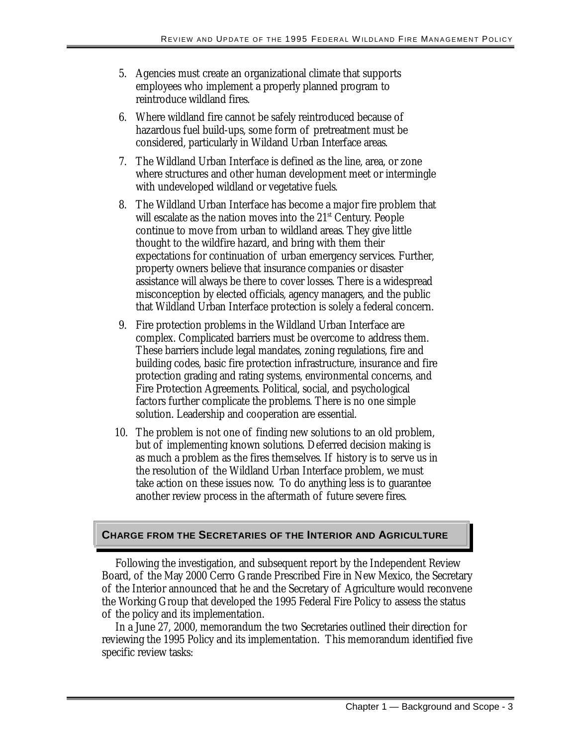- 5. Agencies must create an organizational climate that supports employees who implement a properly planned program to reintroduce wildland fires.
- 6. Where wildland fire cannot be safely reintroduced because of hazardous fuel build-ups, some form of pretreatment must be considered, particularly in Wildand Urban Interface areas.
- 7. The Wildland Urban Interface is defined as the line, area, or zone where structures and other human development meet or intermingle with undeveloped wildland or vegetative fuels.
- 8. The Wildland Urban Interface has become a major fire problem that will escalate as the nation moves into the  $21<sup>st</sup>$  Century. People continue to move from urban to wildland areas. They give little thought to the wildfire hazard, and bring with them their expectations for continuation of urban emergency services. Further, property owners believe that insurance companies or disaster assistance will always be there to cover losses. There is a widespread misconception by elected officials, agency managers, and the public that Wildland Urban Interface protection is solely a federal concern.
- 9. Fire protection problems in the Wildland Urban Interface are complex. Complicated barriers must be overcome to address them. These barriers include legal mandates, zoning regulations, fire and building codes, basic fire protection infrastructure, insurance and fire protection grading and rating systems, environmental concerns, and Fire Protection Agreements. Political, social, and psychological factors further complicate the problems. There is no one simple solution. Leadership and cooperation are essential.
- 10. The problem is not one of finding new solutions to an old problem, but of implementing known solutions. Deferred decision making is as much a problem as the fires themselves. If history is to serve us in the resolution of the Wildland Urban Interface problem, we must take action on these issues now. To do anything less is to guarantee another review process in the aftermath of future severe fires.

# **CHARGE FROM THE SECRETARIES OF THE INTERIOR AND AGRICULTURE**

Following the investigation, and subsequent report by the Independent Review Board, of the May 2000 Cerro Grande Prescribed Fire in New Mexico, the Secretary of the Interior announced that he and the Secretary of Agriculture would reconvene the Working Group that developed the 1995 Federal Fire Policy to assess the status of the policy and its implementation.

In a June 27, 2000, memorandum the two Secretaries outlined their direction for reviewing the 1995 Policy and its implementation. This memorandum identified five specific review tasks: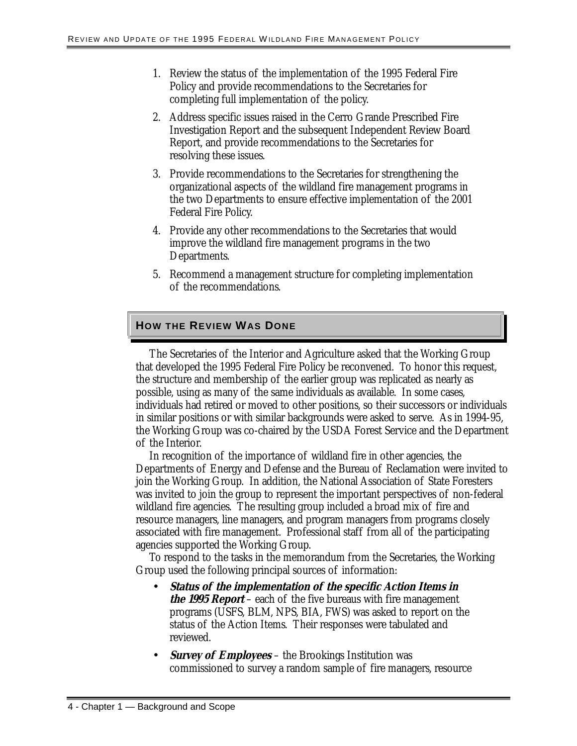- 1. Review the status of the implementation of the 1995 Federal Fire Policy and provide recommendations to the Secretaries for completing full implementation of the policy.
- 2. Address specific issues raised in the Cerro Grande Prescribed Fire Investigation Report and the subsequent Independent Review Board Report, and provide recommendations to the Secretaries for resolving these issues.
- 3. Provide recommendations to the Secretaries for strengthening the organizational aspects of the wildland fire management programs in the two Departments to ensure effective implementation of the 2001 Federal Fire Policy.
- 4. Provide any other recommendations to the Secretaries that would improve the wildland fire management programs in the two Departments.
- 5. Recommend a management structure for completing implementation of the recommendations.

# **HOW THE REVIEW WAS DONE**

The Secretaries of the Interior and Agriculture asked that the Working Group that developed the 1995 Federal Fire Policy be reconvened. To honor this request, the structure and membership of the earlier group was replicated as nearly as possible, using as many of the same individuals as available. In some cases, individuals had retired or moved to other positions, so their successors or individuals in similar positions or with similar backgrounds were asked to serve. As in 1994-95, the Working Group was co-chaired by the USDA Forest Service and the Department of the Interior.

In recognition of the importance of wildland fire in other agencies, the Departments of Energy and Defense and the Bureau of Reclamation were invited to join the Working Group. In addition, the National Association of State Foresters was invited to join the group to represent the important perspectives of non-federal wildland fire agencies. The resulting group included a broad mix of fire and resource managers, line managers, and program managers from programs closely associated with fire management. Professional staff from all of the participating agencies supported the Working Group.

To respond to the tasks in the memorandum from the Secretaries, the Working Group used the following principal sources of information:

- status of the Action Items. Their responses were tabulated and • **Status of the implementation of the specific Action Items in the 1995 Report** – each of the five bureaus with fire management programs (USFS, BLM, NPS, BIA, FWS) was asked to report on the reviewed.
- **Survey of Employees** the Brookings Institution was commissioned to survey a random sample of fire managers, resource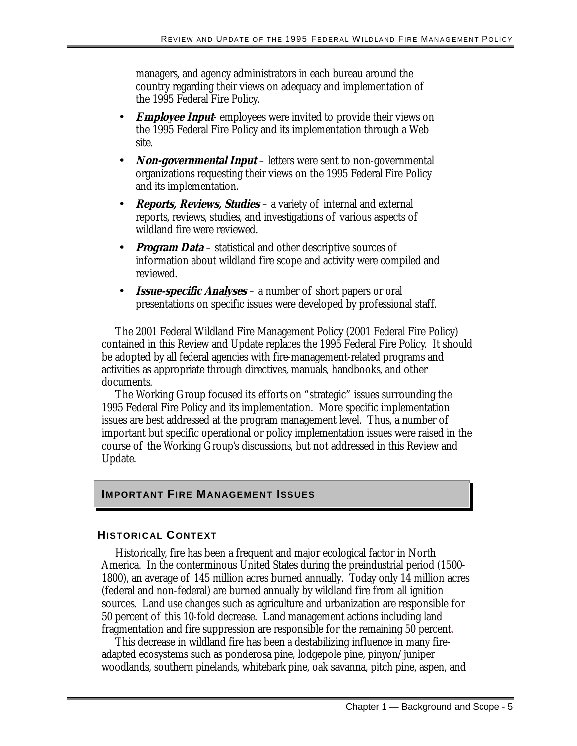managers, and agency administrators in each bureau around the country regarding their views on adequacy and implementation of the 1995 Federal Fire Policy.

- **Employee Input** employees were invited to provide their views on the 1995 Federal Fire Policy and its implementation through a Web site.
- **Non-governmental Input** letters were sent to non-governmental organizations requesting their views on the 1995 Federal Fire Policy and its implementation.
- **Reports, Reviews, Studies** a variety of internal and external reports, reviews, studies, and investigations of various aspects of wildland fire were reviewed.
- *Program Data* statistical and other descriptive sources of information about wildland fire scope and activity were compiled and reviewed.
- **Issue-specific Analyses** a number of short papers or oral presentations on specific issues were developed by professional staff.

The 2001 Federal Wildland Fire Management Policy (2001 Federal Fire Policy) contained in this Review and Update replaces the 1995 Federal Fire Policy. It should be adopted by all federal agencies with fire-management-related programs and activities as appropriate through directives, manuals, handbooks, and other documents.

The Working Group focused its efforts on "strategic" issues surrounding the 1995 Federal Fire Policy and its implementation. More specific implementation issues are best addressed at the program management level. Thus, a number of important but specific operational or policy implementation issues were raised in the course of the Working Group's discussions, but not addressed in this Review and Update.

# **IMPORTANT FIRE MANAGEMENT ISSUES**

#### **HISTORICAL CONTEXT**

Historically, fire has been a frequent and major ecological factor in North America. In the conterminous United States during the preindustrial period (1500- 1800), an average of 145 million acres burned annually. Today only 14 million acres (federal and non-federal) are burned annually by wildland fire from all ignition sources. Land use changes such as agriculture and urbanization are responsible for 50 percent of this 10-fold decrease. Land management actions including land fragmentation and fire suppression are responsible for the remaining 50 percent.

This decrease in wildland fire has been a destabilizing influence in many fireadapted ecosystems such as ponderosa pine, lodgepole pine, pinyon/juniper woodlands, southern pinelands, whitebark pine, oak savanna, pitch pine, aspen, and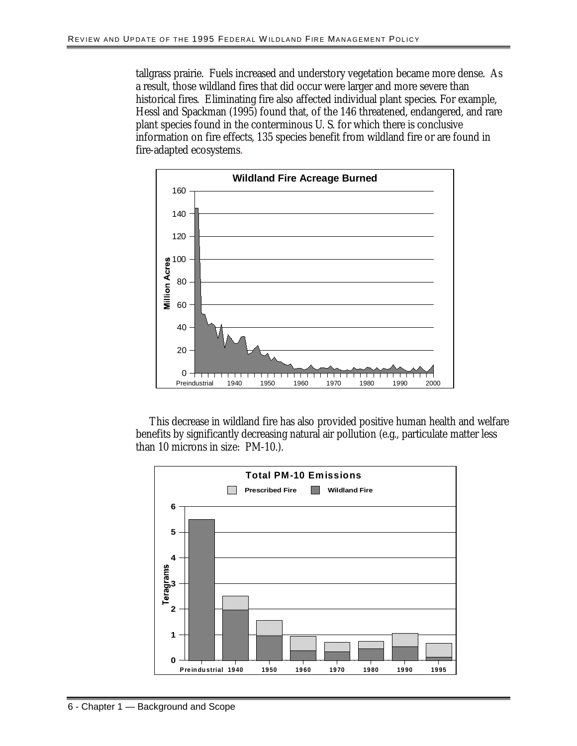tallgrass prairie. Fuels increased and understory vegetation became more dense. As a result, those wildland fires that did occur were larger and more severe than historical fires. Eliminating fire also affected individual plant species. For example, Hessl and Spackman (1995) found that, of the 146 threatened, endangered, and rare plant species found in the conterminous U. S. for which there is conclusive information on fire effects, 135 species benefit from wildland fire or are found in fire-adapted ecosystems.



This decrease in wildland fire has also provided positive human health and welfare benefits by significantly decreasing natural air pollution (e.g., particulate matter less than 10 microns in size: PM-10.).

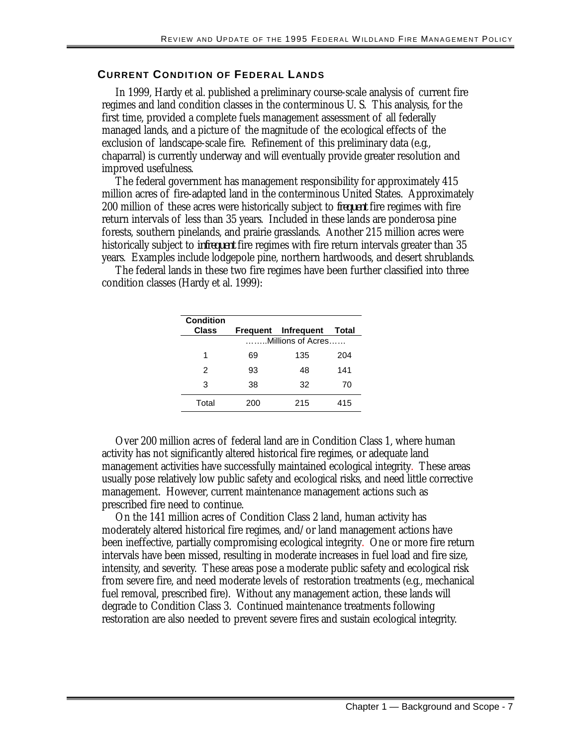#### **CURRENT CONDITION OF FEDERAL LANDS**

In 1999, Hardy et al. published a preliminary course-scale analysis of current fire regimes and land condition classes in the conterminous U. S. This analysis, for the first time, provided a complete fuels management assessment of all federally managed lands, and a picture of the magnitude of the ecological effects of the exclusion of landscape-scale fire. Refinement of this preliminary data (e.g., chaparral) is currently underway and will eventually provide greater resolution and improved usefulness.

The federal government has management responsibility for approximately 415 million acres of fire-adapted land in the conterminous United States. Approximately 200 million of these acres were historically subject to *frequent* fire regimes with fire return intervals of less than 35 years. Included in these lands are ponderosa pine forests, southern pinelands, and prairie grasslands. Another 215 million acres were historically subject to *infrequent* fire regimes with fire return intervals greater than 35 years. Examples include lodgepole pine, northern hardwoods, and desert shrublands.

The federal lands in these two fire regimes have been further classified into three condition classes (Hardy et al. 1999):

| <b>Condition</b><br>Class |                   | Frequent Infrequent | Total |
|---------------------------|-------------------|---------------------|-------|
|                           | Millions of Acres |                     |       |
| 1                         | 69                | 135                 | 204   |
| 2                         | 93                | 48                  | 141   |
| 3                         | 38                | 32                  | 70    |
| Total                     | 200               | 215                 | 415   |

Over 200 million acres of federal land are in Condition Class 1, where human activity has not significantly altered historical fire regimes, or adequate land management activities have successfully maintained ecological integrity. These areas usually pose relatively low public safety and ecological risks, and need little corrective management. However, current maintenance management actions such as prescribed fire need to continue.

On the 141 million acres of Condition Class 2 land, human activity has moderately altered historical fire regimes, and/or land management actions have been ineffective, partially compromising ecological integrity. One or more fire return intervals have been missed, resulting in moderate increases in fuel load and fire size, intensity, and severity. These areas pose a moderate public safety and ecological risk from severe fire, and need moderate levels of restoration treatments (e.g., mechanical fuel removal, prescribed fire). Without any management action, these lands will degrade to Condition Class 3. Continued maintenance treatments following restoration are also needed to prevent severe fires and sustain ecological integrity.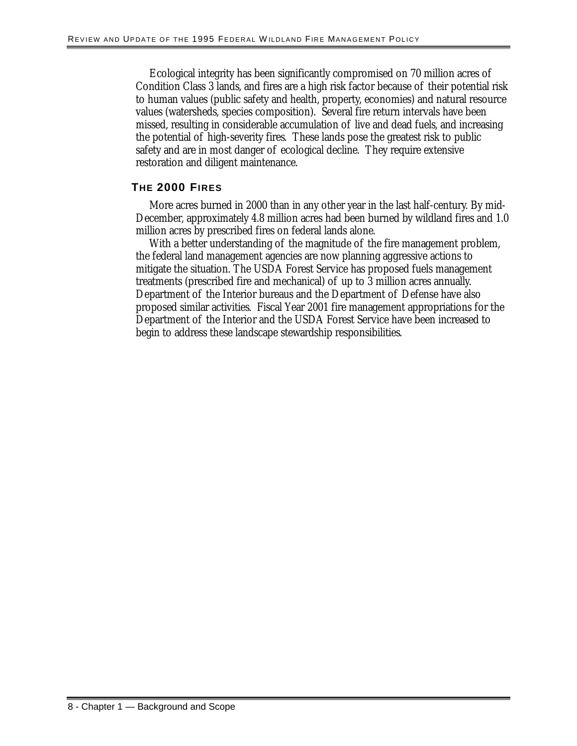Ecological integrity has been significantly compromised on 70 million acres of Condition Class 3 lands, and fires are a high risk factor because of their potential risk to human values (public safety and health, property, economies) and natural resource values (watersheds, species composition). Several fire return intervals have been missed, resulting in considerable accumulation of live and dead fuels, and increasing the potential of high-severity fires. These lands pose the greatest risk to public safety and are in most danger of ecological decline. They require extensive restoration and diligent maintenance.

#### **THE 2000 FIRES**

More acres burned in 2000 than in any other year in the last half-century. By mid-December, approximately 4.8 million acres had been burned by wildland fires and 1.0 million acres by prescribed fires on federal lands alone.

With a better understanding of the magnitude of the fire management problem, the federal land management agencies are now planning aggressive actions to mitigate the situation. The USDA Forest Service has proposed fuels management treatments (prescribed fire and mechanical) of up to 3 million acres annually. Department of the Interior bureaus and the Department of Defense have also proposed similar activities. Fiscal Year 2001 fire management appropriations for the Department of the Interior and the USDA Forest Service have been increased to begin to address these landscape stewardship responsibilities.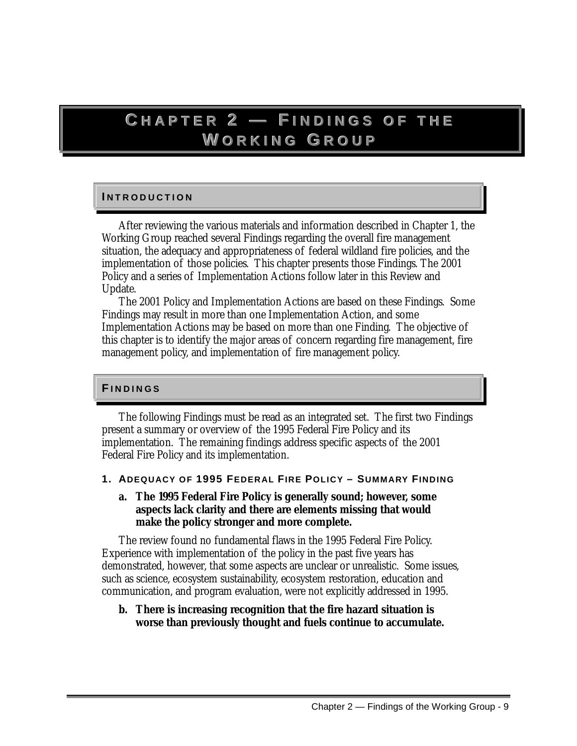# **C HAPTER2—F IN D INGSOFTHE W ORKINGG R O UP**

# **I N T R O D U C T I O N I N T O D U I O N**

After reviewing the various materials and information described in Chapter 1, the Working Group reached several Findings regarding the overall fire management situation, the adequacy and appropriateness of federal wildland fire policies, and the implementation of those policies. This chapter presents those Findings. The 2001 Policy and a series of Implementation Actions follow later in this Review and Update.

The 2001 Policy and Implementation Actions are based on these Findings. Some Findings may result in more than one Implementation Action, and some Implementation Actions may be based on more than one Finding. The objective of this chapter is to identify the major areas of concern regarding fire management, fire management policy, and implementation of fire management policy.

#### **F I N D I N G S FI N D I N G S**

The following Findings must be read as an integrated set. The first two Findings present a summary or overview of the 1995 Federal Fire Policy and its implementation. The remaining findings address specific aspects of the 2001 Federal Fire Policy and its implementation.

- **1. ADEQUACY OF 1995 FEDERAL FIRE POLICY SUMMARY FINDING** 
	- **a. The 1995 Federal Fire Policy is generally sound; however, some aspects lack clarity and there are elements missing that would make the policy stronger and more complete.**

The review found no fundamental flaws in the 1995 Federal Fire Policy. Experience with implementation of the policy in the past five years has demonstrated, however, that some aspects are unclear or unrealistic. Some issues, such as science, ecosystem sustainability, ecosystem restoration, education and communication, and program evaluation, were not explicitly addressed in 1995.

**b. There is increasing recognition that the fire hazard situation is worse than previously thought and fuels continue to accumulate.**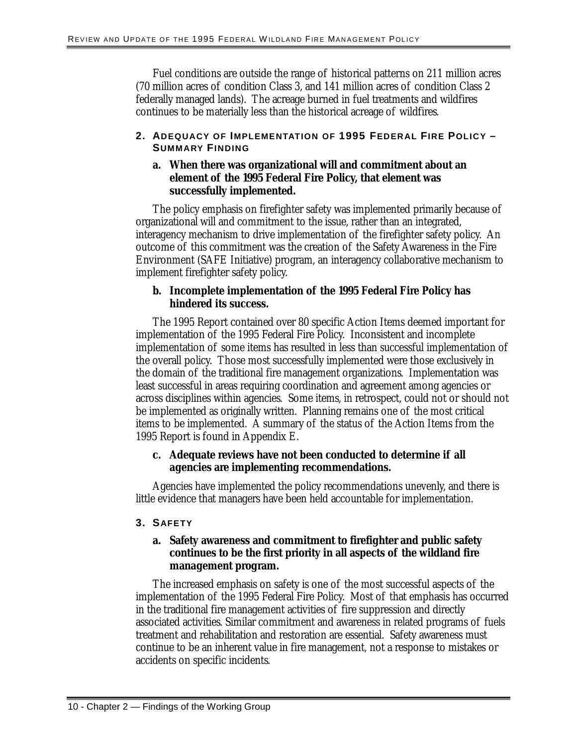Fuel conditions are outside the range of historical patterns on 211 million acres (70 million acres of condition Class 3, and 141 million acres of condition Class 2 federally managed lands). The acreage burned in fuel treatments and wildfires continues to be materially less than the historical acreage of wildfires.

#### **2. ADEQUACY OF IMPLEMENTATION OF 1995 FEDERAL FIRE POLICY – SUMMARY FINDING**

#### **a. When there was organizational will and commitment about an element of the 1995 Federal Fire Policy, that element was successfully implemented.**

 interagency mechanism to drive implementation of the firefighter safety policy. An The policy emphasis on firefighter safety was implemented primarily because of organizational will and commitment to the issue, rather than an integrated, outcome of this commitment was the creation of the Safety Awareness in the Fire Environment (SAFE Initiative) program, an interagency collaborative mechanism to implement firefighter safety policy.

#### **b. Incomplete implementation of the 1995 Federal Fire Policy has hindered its success.**

The 1995 Report contained over 80 specific Action Items deemed important for implementation of the 1995 Federal Fire Policy. Inconsistent and incomplete implementation of some items has resulted in less than successful implementation of the overall policy. Those most successfully implemented were those exclusively in the domain of the traditional fire management organizations. Implementation was least successful in areas requiring coordination and agreement among agencies or across disciplines within agencies. Some items, in retrospect, could not or should not be implemented as originally written. Planning remains one of the most critical items to be implemented. A summary of the status of the Action Items from the 1995 Report is found in Appendix E.

#### **c. Adequate reviews have not been conducted to determine if all agencies are implementing recommendations.**

Agencies have implemented the policy recommendations unevenly, and there is little evidence that managers have been held accountable for implementation.

#### **3. SAFETY**

#### **a. Safety awareness and commitment to firefighter and public safety continues to be the first priority in all aspects of the wildland fire management program.**

The increased emphasis on safety is one of the most successful aspects of the implementation of the 1995 Federal Fire Policy. Most of that emphasis has occurred in the traditional fire management activities of fire suppression and directly associated activities. Similar commitment and awareness in related programs of fuels treatment and rehabilitation and restoration are essential. Safety awareness must continue to be an inherent value in fire management, not a response to mistakes or accidents on specific incidents.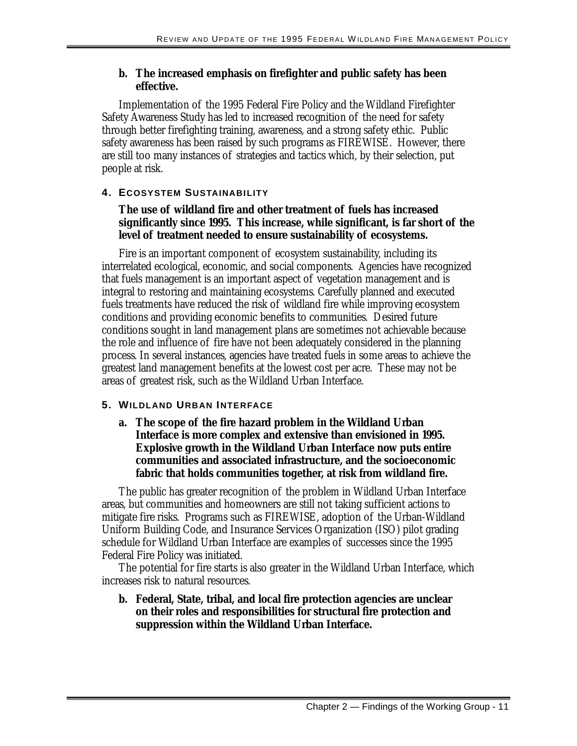#### **b. The increased emphasis on firefighter and public safety has been effective.**

Implementation of the 1995 Federal Fire Policy and the Wildland Firefighter Safety Awareness Study has led to increased recognition of the need for safety through better firefighting training, awareness, and a strong safety ethic. Public safety awareness has been raised by such programs as FIREWISE. However, there are still too many instances of strategies and tactics which, by their selection, put people at risk.

# **4. ECOSYSTEM SUSTAINABILITY**

# **The use of wildland fire and other treatment of fuels has increased significantly since 1995. This increase, while significant, is far short of the level of treatment needed to ensure sustainability of ecosystems.**

Fire is an important component of ecosystem sustainability, including its interrelated ecological, economic, and social components. Agencies have recognized that fuels management is an important aspect of vegetation management and is integral to restoring and maintaining ecosystems. Carefully planned and executed fuels treatments have reduced the risk of wildland fire while improving ecosystem conditions and providing economic benefits to communities. Desired future conditions sought in land management plans are sometimes not achievable because the role and influence of fire have not been adequately considered in the planning process. In several instances, agencies have treated fuels in some areas to achieve the greatest land management benefits at the lowest cost per acre. These may not be areas of greatest risk, such as the Wildland Urban Interface.

# **5. WILDLAND URBAN INTERFACE**

**a. The scope of the fire hazard problem in the Wildland Urban Interface is more complex and extensive than envisioned in 1995. Explosive growth in the Wildland Urban Interface now puts entire communities and associated infrastructure, and the socioeconomic fabric that holds communities together, at risk from wildland fire.** 

The public has greater recognition of the problem in Wildland Urban Interface areas, but communities and homeowners are still not taking sufficient actions to mitigate fire risks. Programs such as FIREWISE, adoption of the Urban-Wildland Uniform Building Code, and Insurance Services Organization (ISO) pilot grading schedule for Wildland Urban Interface are examples of successes since the 1995 Federal Fire Policy was initiated.

The potential for fire starts is also greater in the Wildland Urban Interface, which increases risk to natural resources.

#### **b. Federal, State, tribal, and local fire protection agencies are unclear on their roles and responsibilities for structural fire protection and suppression within the Wildland Urban Interface.**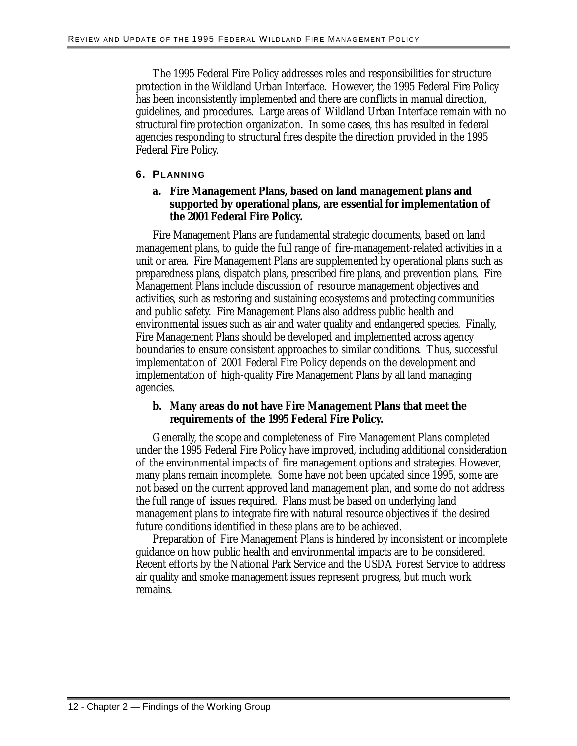The 1995 Federal Fire Policy addresses roles and responsibilities for structure protection in the Wildland Urban Interface. However, the 1995 Federal Fire Policy has been inconsistently implemented and there are conflicts in manual direction, guidelines, and procedures. Large areas of Wildland Urban Interface remain with no structural fire protection organization. In some cases, this has resulted in federal agencies responding to structural fires despite the direction provided in the 1995 Federal Fire Policy.

#### **6. PLANNING**

#### **a. Fire Management Plans, based on land management plans and supported by operational plans, are essential for implementation of the 2001 Federal Fire Policy.**

Fire Management Plans are fundamental strategic documents, based on land management plans, to guide the full range of fire-management-related activities in a unit or area. Fire Management Plans are supplemented by operational plans such as preparedness plans, dispatch plans, prescribed fire plans, and prevention plans. Fire Management Plans include discussion of resource management objectives and activities, such as restoring and sustaining ecosystems and protecting communities and public safety. Fire Management Plans also address public health and environmental issues such as air and water quality and endangered species. Finally, Fire Management Plans should be developed and implemented across agency boundaries to ensure consistent approaches to similar conditions. Thus, successful implementation of 2001 Federal Fire Policy depends on the development and implementation of high-quality Fire Management Plans by all land managing agencies.

#### **b. Many areas do not have Fire Management Plans that meet the requirements of the 1995 Federal Fire Policy.**

Generally, the scope and completeness of Fire Management Plans completed under the 1995 Federal Fire Policy have improved, including additional consideration of the environmental impacts of fire management options and strategies. However, many plans remain incomplete. Some have not been updated since 1995, some are not based on the current approved land management plan, and some do not address the full range of issues required. Plans must be based on underlying land management plans to integrate fire with natural resource objectives if the desired future conditions identified in these plans are to be achieved.

Preparation of Fire Management Plans is hindered by inconsistent or incomplete guidance on how public health and environmental impacts are to be considered. Recent efforts by the National Park Service and the USDA Forest Service to address air quality and smoke management issues represent progress, but much work remains.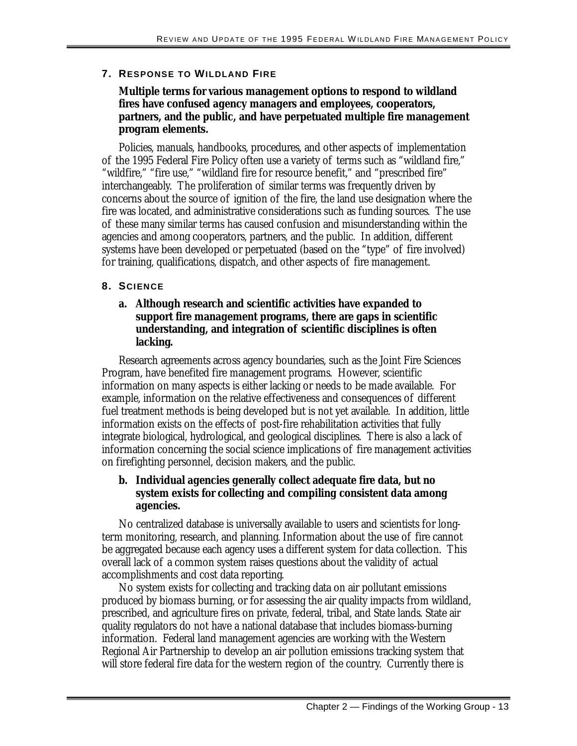#### **7. RESPONSE TO WILDLAND FIRE**

#### **Multiple terms for various management options to respond to wildland fires have confused agency managers and employees, cooperators, partners, and the public, and have perpetuated multiple fire management program elements.**

Policies, manuals, handbooks, procedures, and other aspects of implementation of the 1995 Federal Fire Policy often use a variety of terms such as "wildland fire," "wildfire," "fire use," "wildland fire for resource benefit," and "prescribed fire" interchangeably. The proliferation of similar terms was frequently driven by concerns about the source of ignition of the fire, the land use designation where the fire was located, and administrative considerations such as funding sources. The use of these many similar terms has caused confusion and misunderstanding within the agencies and among cooperators, partners, and the public. In addition, different systems have been developed or perpetuated (based on the "type" of fire involved) for training, qualifications, dispatch, and other aspects of fire management.

#### **8. SCIENCE**

#### **a. Although research and scientific activities have expanded to support fire management programs, there are gaps in scientific understanding, and integration of scientific disciplines is often lacking.**

Research agreements across agency boundaries, such as the Joint Fire Sciences Program, have benefited fire management programs. However, scientific information on many aspects is either lacking or needs to be made available. For example, information on the relative effectiveness and consequences of different fuel treatment methods is being developed but is not yet available. In addition, little information exists on the effects of post-fire rehabilitation activities that fully integrate biological, hydrological, and geological disciplines. There is also a lack of information concerning the social science implications of fire management activities on firefighting personnel, decision makers, and the public.

#### **b. Individual agencies generally collect adequate fire data, but no system exists for collecting and compiling consistent data among agencies.**

No centralized database is universally available to users and scientists for longterm monitoring, research, and planning. Information about the use of fire cannot be aggregated because each agency uses a different system for data collection. This overall lack of a common system raises questions about the validity of actual accomplishments and cost data reporting.

 will store federal fire data for the western region of the country. Currently there is No system exists for collecting and tracking data on air pollutant emissions produced by biomass burning, or for assessing the air quality impacts from wildland, prescribed, and agriculture fires on private, federal, tribal, and State lands. State air quality regulators do not have a national database that includes biomass-burning information. Federal land management agencies are working with the Western Regional Air Partnership to develop an air pollution emissions tracking system that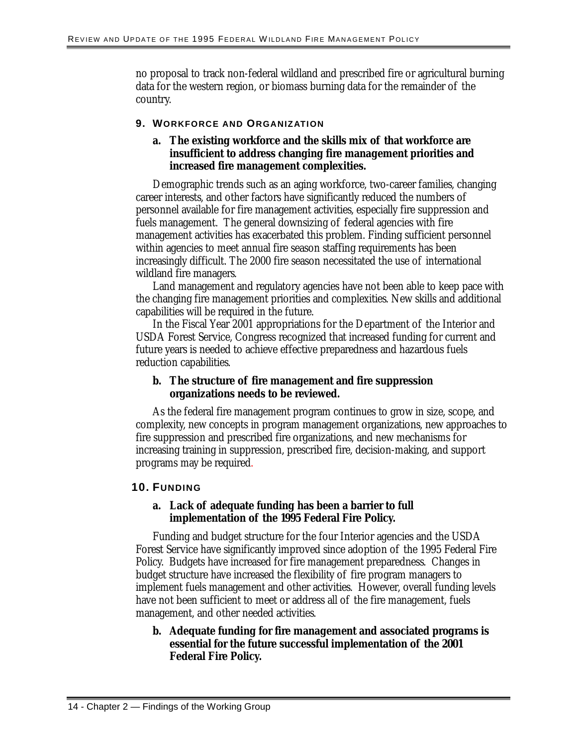no proposal to track non-federal wildland and prescribed fire or agricultural burning data for the western region, or biomass burning data for the remainder of the country.

#### **9. WORKFORCE AND ORGANIZATION**

#### **a. The existing workforce and the skills mix of that workforce are insufficient to address changing fire management priorities and increased fire management complexities.**

Demographic trends such as an aging workforce, two-career families, changing career interests, and other factors have significantly reduced the numbers of personnel available for fire management activities, especially fire suppression and fuels management. The general downsizing of federal agencies with fire management activities has exacerbated this problem. Finding sufficient personnel within agencies to meet annual fire season staffing requirements has been increasingly difficult. The 2000 fire season necessitated the use of international wildland fire managers.

Land management and regulatory agencies have not been able to keep pace with the changing fire management priorities and complexities. New skills and additional capabilities will be required in the future.

In the Fiscal Year 2001 appropriations for the Department of the Interior and USDA Forest Service, Congress recognized that increased funding for current and future years is needed to achieve effective preparedness and hazardous fuels reduction capabilities.

# **b. The structure of fire management and fire suppression organizations needs to be reviewed.**

As the federal fire management program continues to grow in size, scope, and complexity, new concepts in program management organizations, new approaches to fire suppression and prescribed fire organizations, and new mechanisms for increasing training in suppression, prescribed fire, decision-making, and support programs may be required.

# **10. FUNDING**

#### **a. Lack of adequate funding has been a barrier to full implementation of the 1995 Federal Fire Policy.**

Funding and budget structure for the four Interior agencies and the USDA Forest Service have significantly improved since adoption of the 1995 Federal Fire Policy. Budgets have increased for fire management preparedness. Changes in budget structure have increased the flexibility of fire program managers to implement fuels management and other activities. However, overall funding levels have not been sufficient to meet or address all of the fire management, fuels management, and other needed activities.

# **b. Adequate funding for fire management and associated programs is essential for the future successful implementation of the 2001 Federal Fire Policy.**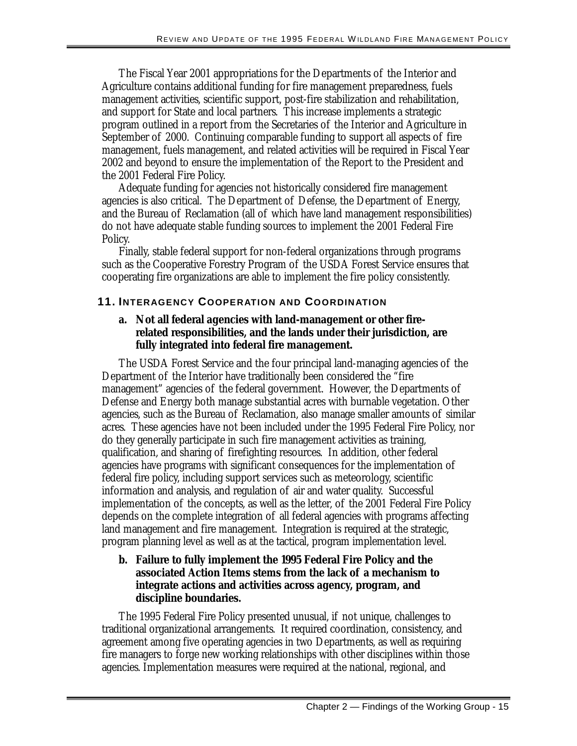The Fiscal Year 2001 appropriations for the Departments of the Interior and Agriculture contains additional funding for fire management preparedness, fuels management activities, scientific support, post-fire stabilization and rehabilitation, and support for State and local partners. This increase implements a strategic program outlined in a report from the Secretaries of the Interior and Agriculture in September of 2000. Continuing comparable funding to support all aspects of fire management, fuels management, and related activities will be required in Fiscal Year 2002 and beyond to ensure the implementation of the Report to the President and the 2001 Federal Fire Policy.

Adequate funding for agencies not historically considered fire management agencies is also critical. The Department of Defense, the Department of Energy, and the Bureau of Reclamation (all of which have land management responsibilities) do not have adequate stable funding sources to implement the 2001 Federal Fire Policy.

Finally, stable federal support for non-federal organizations through programs such as the Cooperative Forestry Program of the USDA Forest Service ensures that cooperating fire organizations are able to implement the fire policy consistently.

# **11. INTERAGENCY COOPERATION AND COORDINATION**

#### **a. Not all federal agencies with land-management or other firerelated responsibilities, and the lands under their jurisdiction, are fully integrated into federal fire management.**

The USDA Forest Service and the four principal land-managing agencies of the Department of the Interior have traditionally been considered the "fire management" agencies of the federal government. However, the Departments of Defense and Energy both manage substantial acres with burnable vegetation. Other agencies, such as the Bureau of Reclamation, also manage smaller amounts of similar acres. These agencies have not been included under the 1995 Federal Fire Policy, nor do they generally participate in such fire management activities as training, qualification, and sharing of firefighting resources. In addition, other federal agencies have programs with significant consequences for the implementation of federal fire policy, including support services such as meteorology, scientific information and analysis, and regulation of air and water quality. Successful implementation of the concepts, as well as the letter, of the 2001 Federal Fire Policy depends on the complete integration of all federal agencies with programs affecting land management and fire management. Integration is required at the strategic, program planning level as well as at the tactical, program implementation level.

#### **b. Failure to fully implement the 1995 Federal Fire Policy and the associated Action Items stems from the lack of a mechanism to integrate actions and activities across agency, program, and discipline boundaries.**

The 1995 Federal Fire Policy presented unusual, if not unique, challenges to traditional organizational arrangements. It required coordination, consistency, and agreement among five operating agencies in two Departments, as well as requiring fire managers to forge new working relationships with other disciplines within those agencies. Implementation measures were required at the national, regional, and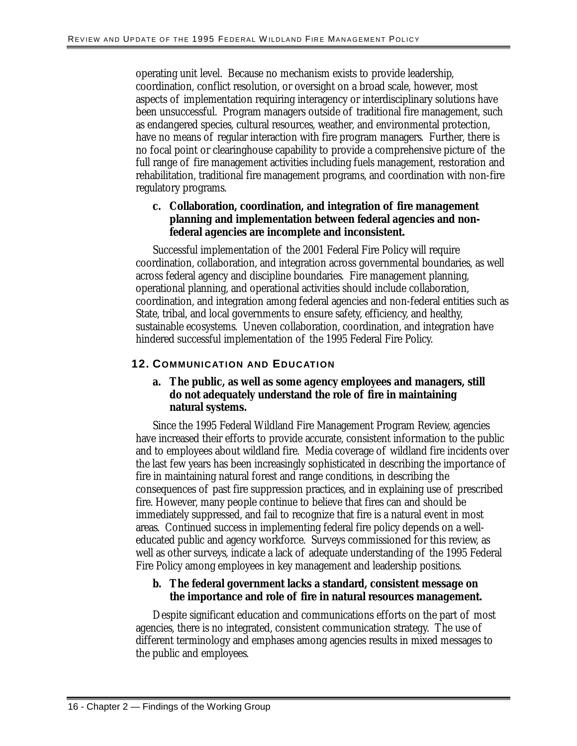operating unit level. Because no mechanism exists to provide leadership, coordination, conflict resolution, or oversight on a broad scale, however, most aspects of implementation requiring interagency or interdisciplinary solutions have been unsuccessful. Program managers outside of traditional fire management, such as endangered species, cultural resources, weather, and environmental protection, have no means of regular interaction with fire program managers. Further, there is no focal point or clearinghouse capability to provide a comprehensive picture of the full range of fire management activities including fuels management, restoration and rehabilitation, traditional fire management programs, and coordination with non-fire regulatory programs.

# **c. Collaboration, coordination, and integration of fire management planning and implementation between federal agencies and nonfederal agencies are incomplete and inconsistent.**

Successful implementation of the 2001 Federal Fire Policy will require coordination, collaboration, and integration across governmental boundaries, as well across federal agency and discipline boundaries. Fire management planning, operational planning, and operational activities should include collaboration, coordination, and integration among federal agencies and non-federal entities such as State, tribal, and local governments to ensure safety, efficiency, and healthy, sustainable ecosystems. Uneven collaboration, coordination, and integration have hindered successful implementation of the 1995 Federal Fire Policy.

# **12. COMMUNICATION AND EDUCATION**

#### **a. The public, as well as some agency employees and managers, still do not adequately understand the role of fire in maintaining natural systems.**

Since the 1995 Federal Wildland Fire Management Program Review, agencies have increased their efforts to provide accurate, consistent information to the public and to employees about wildland fire. Media coverage of wildland fire incidents over the last few years has been increasingly sophisticated in describing the importance of fire in maintaining natural forest and range conditions, in describing the consequences of past fire suppression practices, and in explaining use of prescribed fire. However, many people continue to believe that fires can and should be immediately suppressed, and fail to recognize that fire is a natural event in most areas. Continued success in implementing federal fire policy depends on a welleducated public and agency workforce. Surveys commissioned for this review, as well as other surveys, indicate a lack of adequate understanding of the 1995 Federal Fire Policy among employees in key management and leadership positions.

# **b. The federal government lacks a standard, consistent message on the importance and role of fire in natural resources management.**

Despite significant education and communications efforts on the part of most agencies, there is no integrated, consistent communication strategy. The use of different terminology and emphases among agencies results in mixed messages to the public and employees.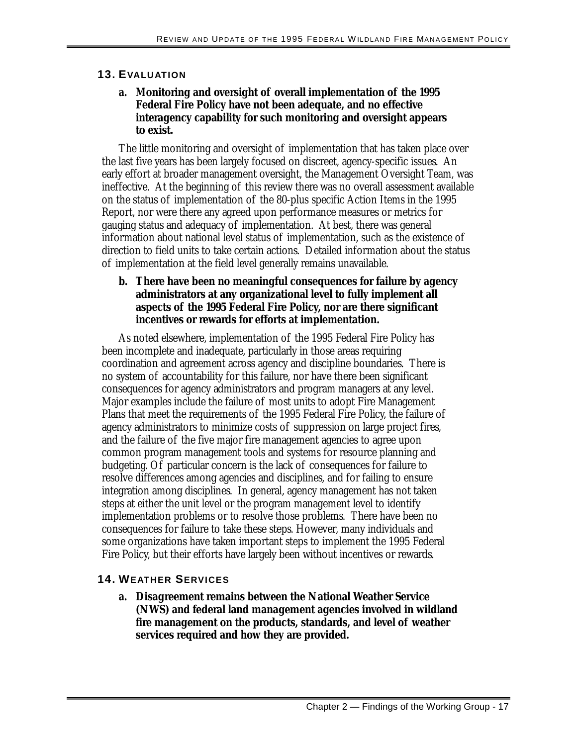#### **13. EVALUATION**

#### **a. Monitoring and oversight of overall implementation of the 1995 Federal Fire Policy have not been adequate, and no effective interagency capability for such monitoring and oversight appears to exist.**

The little monitoring and oversight of implementation that has taken place over the last five years has been largely focused on discreet, agency-specific issues. An early effort at broader management oversight, the Management Oversight Team, was ineffective. At the beginning of this review there was no overall assessment available on the status of implementation of the 80-plus specific Action Items in the 1995 Report, nor were there any agreed upon performance measures or metrics for gauging status and adequacy of implementation. At best, there was general information about national level status of implementation, such as the existence of direction to field units to take certain actions. Detailed information about the status of implementation at the field level generally remains unavailable.

#### **b. There have been no meaningful consequences for failure by agency administrators at any organizational level to fully implement all aspects of the 1995 Federal Fire Policy, nor are there significant incentives or rewards for efforts at implementation.**

 implementation problems or to resolve those problems. There have been no As noted elsewhere, implementation of the 1995 Federal Fire Policy has been incomplete and inadequate, particularly in those areas requiring coordination and agreement across agency and discipline boundaries. There is no system of accountability for this failure, nor have there been significant consequences for agency administrators and program managers at any level. Major examples include the failure of most units to adopt Fire Management Plans that meet the requirements of the 1995 Federal Fire Policy, the failure of agency administrators to minimize costs of suppression on large project fires, and the failure of the five major fire management agencies to agree upon common program management tools and systems for resource planning and budgeting. Of particular concern is the lack of consequences for failure to resolve differences among agencies and disciplines, and for failing to ensure integration among disciplines. In general, agency management has not taken steps at either the unit level or the program management level to identify consequences for failure to take these steps. However, many individuals and some organizations have taken important steps to implement the 1995 Federal Fire Policy, but their efforts have largely been without incentives or rewards.

#### **14. WEATHER SERVICES**

**a. Disagreement remains between the National Weather Service (NWS) and federal land management agencies involved in wildland fire management on the products, standards, and level of weather services required and how they are provided.**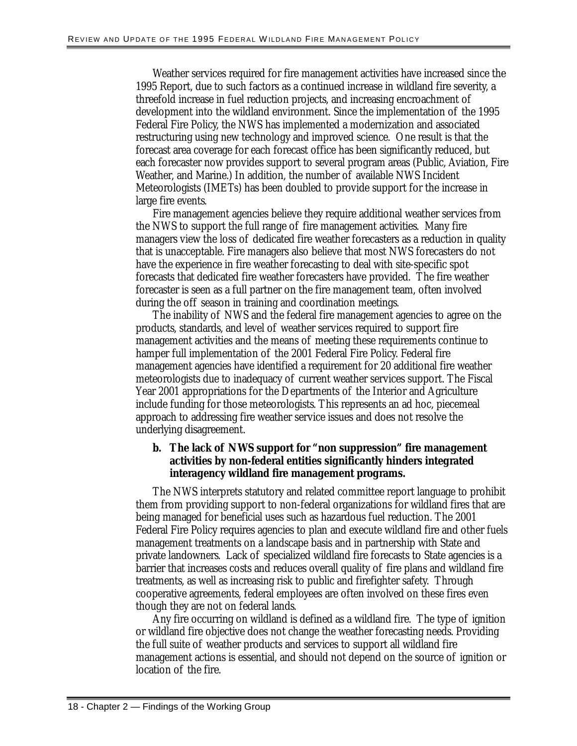Weather services required for fire management activities have increased since the 1995 Report, due to such factors as a continued increase in wildland fire severity, a threefold increase in fuel reduction projects, and increasing encroachment of development into the wildland environment. Since the implementation of the 1995 Federal Fire Policy, the NWS has implemented a modernization and associated restructuring using new technology and improved science. One result is that the forecast area coverage for each forecast office has been significantly reduced, but each forecaster now provides support to several program areas (Public, Aviation, Fire Weather, and Marine.) In addition, the number of available NWS Incident Meteorologists (IMETs) has been doubled to provide support for the increase in large fire events.

Fire management agencies believe they require additional weather services from the NWS to support the full range of fire management activities. Many fire managers view the loss of dedicated fire weather forecasters as a reduction in quality that is unacceptable. Fire managers also believe that most NWS forecasters do not have the experience in fire weather forecasting to deal with site-specific spot forecasts that dedicated fire weather forecasters have provided. The fire weather forecaster is seen as a full partner on the fire management team, often involved during the off season in training and coordination meetings.

The inability of NWS and the federal fire management agencies to agree on the products, standards, and level of weather services required to support fire management activities and the means of meeting these requirements continue to hamper full implementation of the 2001 Federal Fire Policy. Federal fire management agencies have identified a requirement for 20 additional fire weather meteorologists due to inadequacy of current weather services support. The Fiscal Year 2001 appropriations for the Departments of the Interior and Agriculture include funding for those meteorologists. This represents an ad hoc, piecemeal approach to addressing fire weather service issues and does not resolve the underlying disagreement.

#### **b. The lack of NWS support for "non suppression" fire management activities by non-federal entities significantly hinders integrated interagency wildland fire management programs.**

The NWS interprets statutory and related committee report language to prohibit them from providing support to non-federal organizations for wildland fires that are being managed for beneficial uses such as hazardous fuel reduction. The 2001 Federal Fire Policy requires agencies to plan and execute wildland fire and other fuels management treatments on a landscape basis and in partnership with State and private landowners. Lack of specialized wildland fire forecasts to State agencies is a barrier that increases costs and reduces overall quality of fire plans and wildland fire treatments, as well as increasing risk to public and firefighter safety. Through cooperative agreements, federal employees are often involved on these fires even though they are not on federal lands.

Any fire occurring on wildland is defined as a wildland fire. The type of ignition or wildland fire objective does not change the weather forecasting needs. Providing the full suite of weather products and services to support all wildland fire management actions is essential, and should not depend on the source of ignition or location of the fire.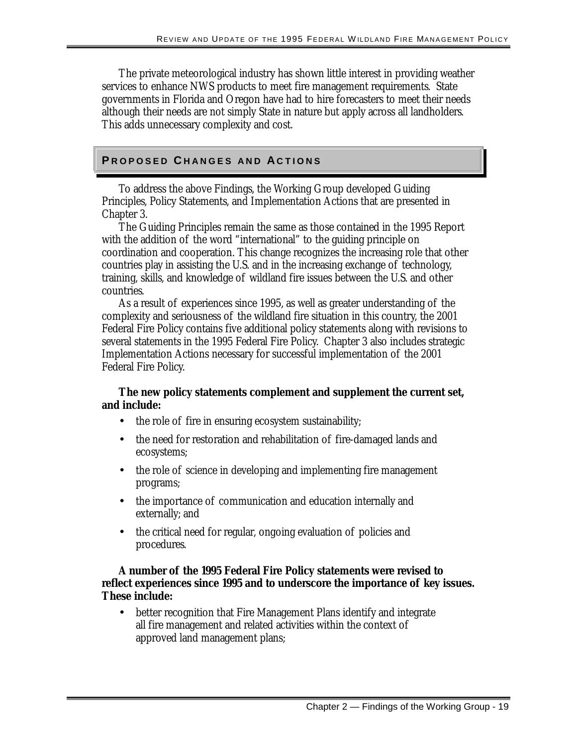The private meteorological industry has shown little interest in providing weather services to enhance NWS products to meet fire management requirements. State governments in Florida and Oregon have had to hire forecasters to meet their needs although their needs are not simply State in nature but apply across all landholders. This adds unnecessary complexity and cost.

# **P**ROPOSED CHANGES AND ACTIONS

To address the above Findings, the Working Group developed Guiding Principles, Policy Statements, and Implementation Actions that are presented in Chapter 3.

The Guiding Principles remain the same as those contained in the 1995 Report with the addition of the word "international" to the guiding principle on coordination and cooperation. This change recognizes the increasing role that other countries play in assisting the U.S. and in the increasing exchange of technology, training, skills, and knowledge of wildland fire issues between the U.S. and other countries.

 several statements in the 1995 Federal Fire Policy. Chapter 3 also includes strategic As a result of experiences since 1995, as well as greater understanding of the complexity and seriousness of the wildland fire situation in this country, the 2001 Federal Fire Policy contains five additional policy statements along with revisions to Implementation Actions necessary for successful implementation of the 2001 Federal Fire Policy.

#### **The new policy statements complement and supplement the current set, and include:**

- the role of fire in ensuring ecosystem sustainability;
- the need for restoration and rehabilitation of fire-damaged lands and ecosystems;
- the role of science in developing and implementing fire management programs;
- the importance of communication and education internally and externally; and
- the critical need for regular, ongoing evaluation of policies and procedures.

#### **A number of the 1995 Federal Fire Policy statements were revised to reflect experiences since 1995 and to underscore the importance of key issues. These include:**

• better recognition that Fire Management Plans identify and integrate all fire management and related activities within the context of approved land management plans;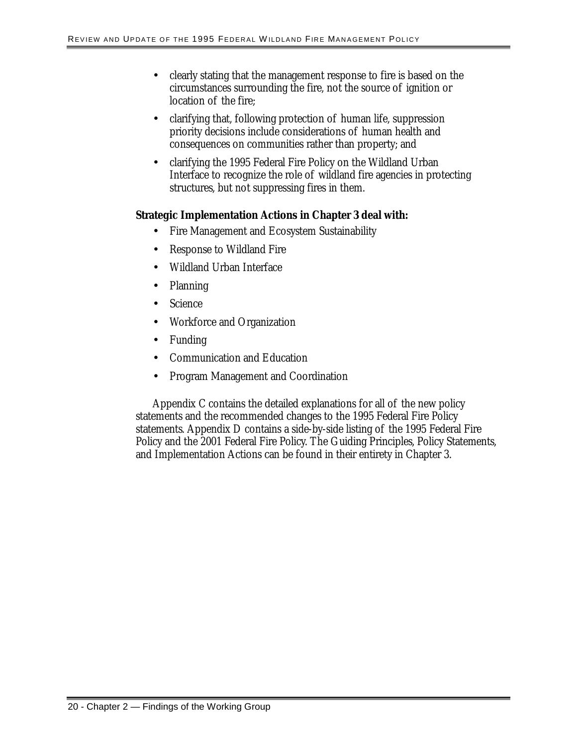- clearly stating that the management response to fire is based on the circumstances surrounding the fire, not the source of ignition or location of the fire;
- clarifying that, following protection of human life, suppression priority decisions include considerations of human health and consequences on communities rather than property; and
- clarifying the 1995 Federal Fire Policy on the Wildland Urban Interface to recognize the role of wildland fire agencies in protecting structures, but not suppressing fires in them.

#### **Strategic Implementation Actions in Chapter 3 deal with:**

- Fire Management and Ecosystem Sustainability
- Response to Wildland Fire
- Wildland Urban Interface
- Planning
- Science
- Workforce and Organization
- Funding
- Communication and Education
- Program Management and Coordination

Appendix C contains the detailed explanations for all of the new policy statements and the recommended changes to the 1995 Federal Fire Policy statements. Appendix D contains a side-by-side listing of the 1995 Federal Fire Policy and the 2001 Federal Fire Policy. The Guiding Principles, Policy Statements, and Implementation Actions can be found in their entirety in Chapter 3.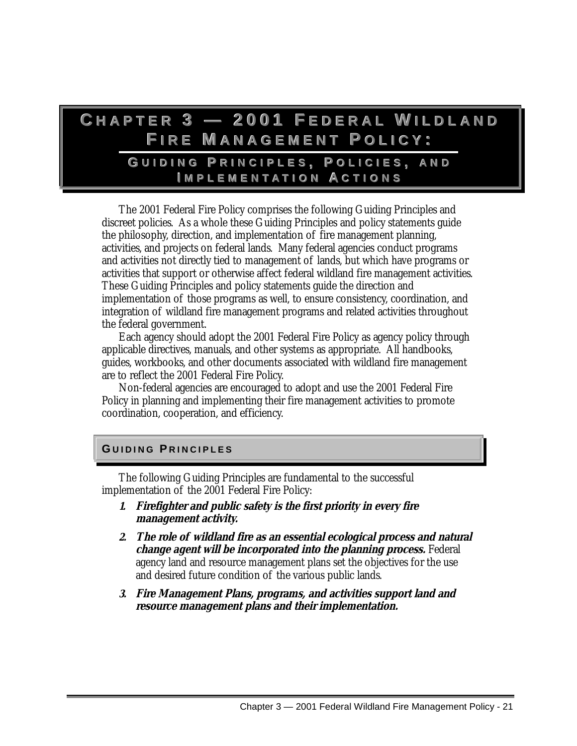# **C H A P T E R3—2 0 0 1F E D E R A LW I L D L A N D**  $F$ **IRE** MANAGEMENT POLICY:

# **G UIDINGP RINCIPLES,P OLICIES,A ND I MPLEMENT A TIONA CTIONS**

The 2001 Federal Fire Policy comprises the following Guiding Principles and discreet policies. As a whole these Guiding Principles and policy statements guide the philosophy, direction, and implementation of fire management planning, activities, and projects on federal lands. Many federal agencies conduct programs and activities not directly tied to management of lands, but which have programs or activities that support or otherwise affect federal wildland fire management activities. These Guiding Principles and policy statements guide the direction and implementation of those programs as well, to ensure consistency, coordination, and integration of wildland fire management programs and related activities throughout the federal government.

Each agency should adopt the 2001 Federal Fire Policy as agency policy through applicable directives, manuals, and other systems as appropriate. All handbooks, guides, workbooks, and other documents associated with wildland fire management are to reflect the 2001 Federal Fire Policy.

Non-federal agencies are encouraged to adopt and use the 2001 Federal Fire Policy in planning and implementing their fire management activities to promote coordination, cooperation, and efficiency.

#### **G UIDING P RINCIPLE S**

The following Guiding Principles are fundamental to the successful implementation of the 2001 Federal Fire Policy:

- **1. Firefighter and public safety is the first priority in every fire management activity.**
- **2. The role of wildland fire as an essential ecological process and natural change agent will be incorporated into the planning process.** Federal agency land and resource management plans set the objectives for the use and desired future condition of the various public lands.
- **3. Fire Management Plans, programs, and activities support land and resource management plans and their implementation.**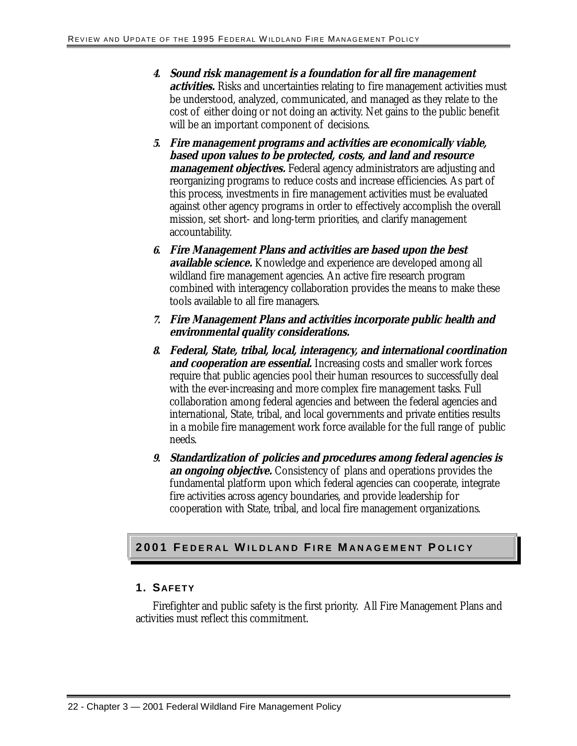- **4. Sound risk management is a foundation for all fire management activities.** Risks and uncertainties relating to fire management activities must be understood, analyzed, communicated, and managed as they relate to the cost of either doing or not doing an activity. Net gains to the public benefit will be an important component of decisions.
- **5. Fire management programs and activities are economically viable, based upon values to be protected, costs, and land and resource management objectives.** Federal agency administrators are adjusting and reorganizing programs to reduce costs and increase efficiencies. As part of this process, investments in fire management activities must be evaluated against other agency programs in order to effectively accomplish the overall mission, set short- and long-term priorities, and clarify management accountability.
- **6. Fire Management Plans and activities are based upon the best available science.** Knowledge and experience are developed among all wildland fire management agencies. An active fire research program combined with interagency collaboration provides the means to make these tools available to all fire managers.
- **7. Fire Management Plans and activities incorporate public health and environmental quality considerations.**
- **8. Federal, State, tribal, local, interagency, and international coordination and cooperation are essential.** Increasing costs and smaller work forces require that public agencies pool their human resources to successfully deal with the ever-increasing and more complex fire management tasks. Full collaboration among federal agencies and between the federal agencies and international, State, tribal, and local governments and private entities results in a mobile fire management work force available for the full range of public needs.
- **9. Standardization of policies and procedures among federal agencies is an ongoing objective.** Consistency of plans and operations provides the fundamental platform upon which federal agencies can cooperate, integrate fire activities across agency boundaries, and provide leadership for cooperation with State, tribal, and local fire management organizations.

#### **2001 F EDERAL W ILDLAND F IRE M ANAGEMENT P OLIC Y**

#### **1. SAFETY**

Firefighter and public safety is the first priority. All Fire Management Plans and activities must reflect this commitment.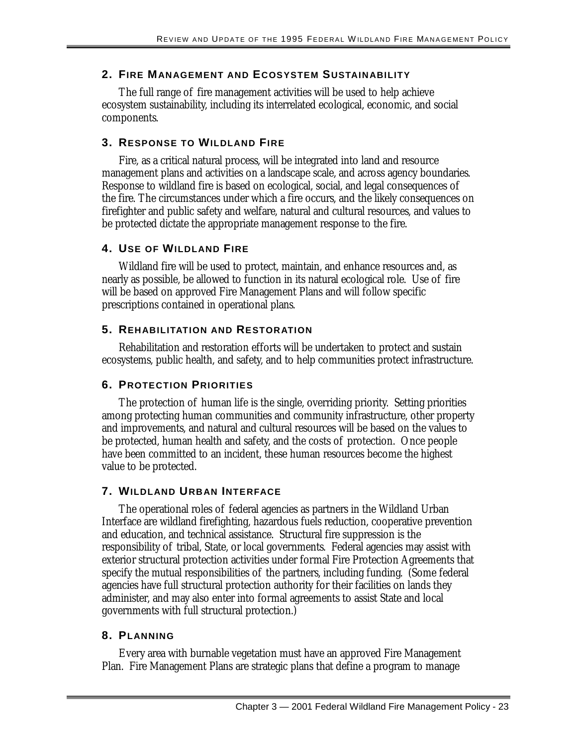# **2. FIRE MANAGEMENT AND ECOSYSTEM SUSTAINABILITY**

The full range of fire management activities will be used to help achieve ecosystem sustainability, including its interrelated ecological, economic, and social components.

### **3. RESPONSE TO WILDLAND FIRE**

Fire, as a critical natural process, will be integrated into land and resource management plans and activities on a landscape scale, and across agency boundaries. Response to wildland fire is based on ecological, social, and legal consequences of the fire. The circumstances under which a fire occurs, and the likely consequences on firefighter and public safety and welfare, natural and cultural resources, and values to be protected dictate the appropriate management response to the fire.

# **4. USE OF WILDLAND FIRE**

Wildland fire will be used to protect, maintain, and enhance resources and, as nearly as possible, be allowed to function in its natural ecological role. Use of fire will be based on approved Fire Management Plans and will follow specific prescriptions contained in operational plans.

# **5. REHABILITATION AND RESTORATION**

Rehabilitation and restoration efforts will be undertaken to protect and sustain ecosystems, public health, and safety, and to help communities protect infrastructure.

# **6. PROTECTION PRIORITIES**

The protection of human life is the single, overriding priority. Setting priorities among protecting human communities and community infrastructure, other property and improvements, and natural and cultural resources will be based on the values to be protected, human health and safety, and the costs of protection. Once people have been committed to an incident, these human resources become the highest value to be protected.

# **7. WILDLAND URBAN INTERFACE**

The operational roles of federal agencies as partners in the Wildland Urban Interface are wildland firefighting, hazardous fuels reduction, cooperative prevention and education, and technical assistance. Structural fire suppression is the responsibility of tribal, State, or local governments. Federal agencies may assist with exterior structural protection activities under formal Fire Protection Agreements that specify the mutual responsibilities of the partners, including funding. (Some federal agencies have full structural protection authority for their facilities on lands they administer, and may also enter into formal agreements to assist State and local governments with full structural protection.)

#### **8. PLANNING**

Every area with burnable vegetation must have an approved Fire Management Plan. Fire Management Plans are strategic plans that define a program to manage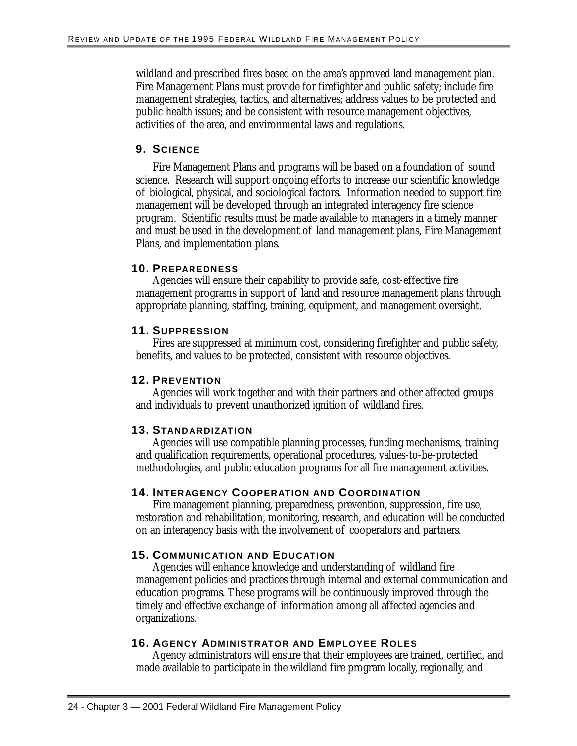wildland and prescribed fires based on the area's approved land management plan. Fire Management Plans must provide for firefighter and public safety; include fire management strategies, tactics, and alternatives; address values to be protected and public health issues; and be consistent with resource management objectives, activities of the area, and environmental laws and regulations.

### **9. SCIENCE**

Fire Management Plans and programs will be based on a foundation of sound science. Research will support ongoing efforts to increase our scientific knowledge of biological, physical, and sociological factors. Information needed to support fire management will be developed through an integrated interagency fire science program. Scientific results must be made available to managers in a timely manner and must be used in the development of land management plans, Fire Management Plans, and implementation plans.

#### **10. PREPAREDNESS**

Agencies will ensure their capability to provide safe, cost-effective fire management programs in support of land and resource management plans through appropriate planning, staffing, training, equipment, and management oversight.

#### **11. SUPPRESSION**

Fires are suppressed at minimum cost, considering firefighter and public safety, benefits, and values to be protected, consistent with resource objectives.

#### **12. PREVENTION**

Agencies will work together and with their partners and other affected groups and individuals to prevent unauthorized ignition of wildland fires.

#### **13. STANDARDIZATION**

Agencies will use compatible planning processes, funding mechanisms, training and qualification requirements, operational procedures, values-to-be-protected methodologies, and public education programs for all fire management activities.

#### **14. INTERAGENCY COOPERATION AND COORDINATION**

Fire management planning, preparedness, prevention, suppression, fire use, restoration and rehabilitation, monitoring, research, and education will be conducted on an interagency basis with the involvement of cooperators and partners.

#### **15. COMMUNICATION AND EDUCATION**

Agencies will enhance knowledge and understanding of wildland fire management policies and practices through internal and external communication and education programs. These programs will be continuously improved through the timely and effective exchange of information among all affected agencies and organizations.

#### **16. AGENCY ADMINISTRATOR AND EMPLOYEE ROLES**

Agency administrators will ensure that their employees are trained, certified, and made available to participate in the wildland fire program locally, regionally, and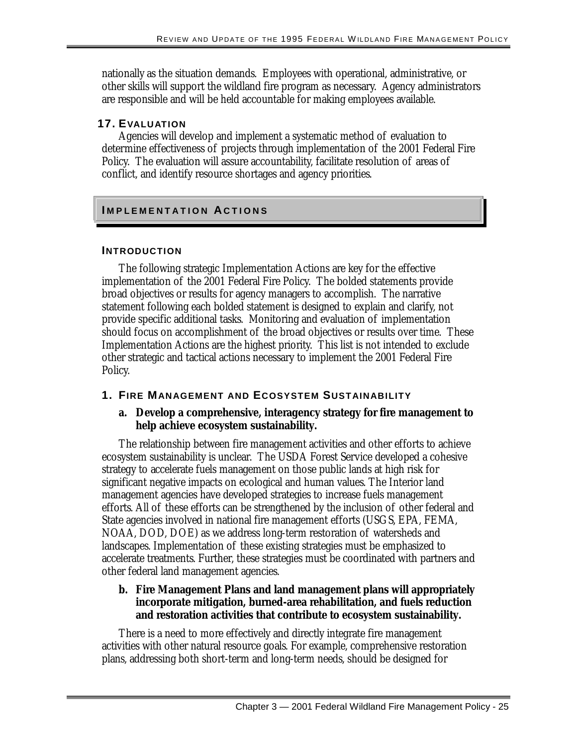nationally as the situation demands. Employees with operational, administrative, or other skills will support the wildland fire program as necessary. Agency administrators are responsible and will be held accountable for making employees available.

#### **17. EVALUATION**

Agencies will develop and implement a systematic method of evaluation to determine effectiveness of projects through implementation of the 2001 Federal Fire Policy. The evaluation will assure accountability, facilitate resolution of areas of conflict, and identify resource shortages and agency priorities.

# **I MPLEMENTATION AC T IONS**

#### **INTRODUCTION**

The following strategic Implementation Actions are key for the effective implementation of the 2001 Federal Fire Policy. The bolded statements provide broad objectives or results for agency managers to accomplish. The narrative statement following each bolded statement is designed to explain and clarify, not provide specific additional tasks. Monitoring and evaluation of implementation should focus on accomplishment of the broad objectives or results over time. These Implementation Actions are the highest priority. This list is not intended to exclude other strategic and tactical actions necessary to implement the 2001 Federal Fire Policy.

#### **1. FIRE MANAGEMENT AND ECOSYSTEM SUSTAINABILITY**

#### **a. Develop a comprehensive, interagency strategy for fire management to help achieve ecosystem sustainability.**

The relationship between fire management activities and other efforts to achieve ecosystem sustainability is unclear. The USDA Forest Service developed a cohesive strategy to accelerate fuels management on those public lands at high risk for significant negative impacts on ecological and human values. The Interior land management agencies have developed strategies to increase fuels management efforts. All of these efforts can be strengthened by the inclusion of other federal and State agencies involved in national fire management efforts (USGS, EPA, FEMA, NOAA, DOD, DOE) as we address long-term restoration of watersheds and landscapes. Implementation of these existing strategies must be emphasized to accelerate treatments. Further, these strategies must be coordinated with partners and other federal land management agencies.

#### **b. Fire Management Plans and land management plans will appropriately incorporate mitigation, burned-area rehabilitation, and fuels reduction and restoration activities that contribute to ecosystem sustainability.**

There is a need to more effectively and directly integrate fire management activities with other natural resource goals. For example, comprehensive restoration plans, addressing both short-term and long-term needs, should be designed for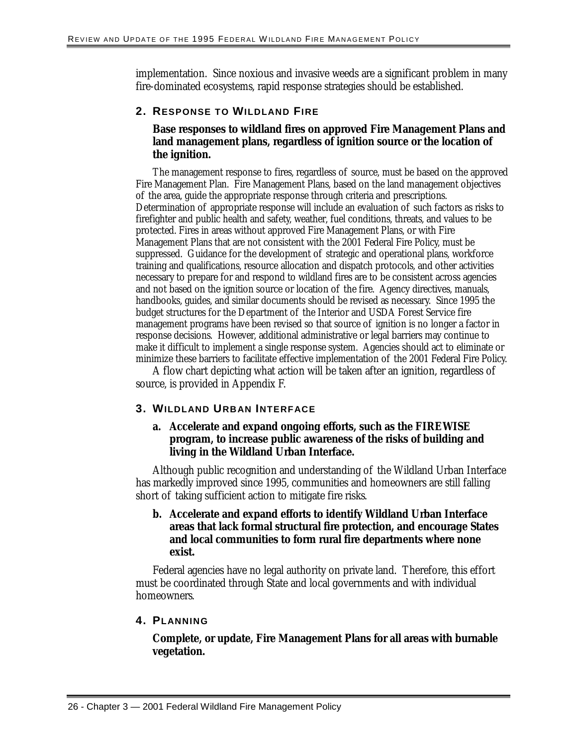implementation. Since noxious and invasive weeds are a significant problem in many fire-dominated ecosystems, rapid response strategies should be established.

#### **2. RESPONSE TO WILDLAND FIRE**

#### **Base responses to wildland fires on approved Fire Management Plans and land management plans, regardless of ignition source or the location of the ignition.**

 Determination of appropriate response will include an evaluation of such factors as risks to The management response to fires, regardless of source, must be based on the approved Fire Management Plan. Fire Management Plans, based on the land management objectives of the area, guide the appropriate response through criteria and prescriptions. firefighter and public health and safety, weather, fuel conditions, threats, and values to be protected. Fires in areas without approved Fire Management Plans, or with Fire Management Plans that are not consistent with the 2001 Federal Fire Policy, must be suppressed. Guidance for the development of strategic and operational plans, workforce training and qualifications, resource allocation and dispatch protocols, and other activities necessary to prepare for and respond to wildland fires are to be consistent across agencies and not based on the ignition source or location of the fire. Agency directives, manuals, handbooks, guides, and similar documents should be revised as necessary. Since 1995 the budget structures for the Department of the Interior and USDA Forest Service fire management programs have been revised so that source of ignition is no longer a factor in response decisions. However, additional administrative or legal barriers may continue to make it difficult to implement a single response system. Agencies should act to eliminate or minimize these barriers to facilitate effective implementation of the 2001 Federal Fire Policy.

A flow chart depicting what action will be taken after an ignition, regardless of source, is provided in Appendix F.

#### **3. WILDLAND URBAN INTERFACE**

#### **a. Accelerate and expand ongoing efforts, such as the FIREWISE program, to increase public awareness of the risks of building and living in the Wildland Urban Interface.**

Although public recognition and understanding of the Wildland Urban Interface has markedly improved since 1995, communities and homeowners are still falling short of taking sufficient action to mitigate fire risks.

#### **b. Accelerate and expand efforts to identify Wildland Urban Interface areas that lack formal structural fire protection, and encourage States and local communities to form rural fire departments where none exist.**

Federal agencies have no legal authority on private land. Therefore, this effort must be coordinated through State and local governments and with individual homeowners.

#### **4. PLANNING**

#### **Complete, or update, Fire Management Plans for all areas with burnable vegetation.**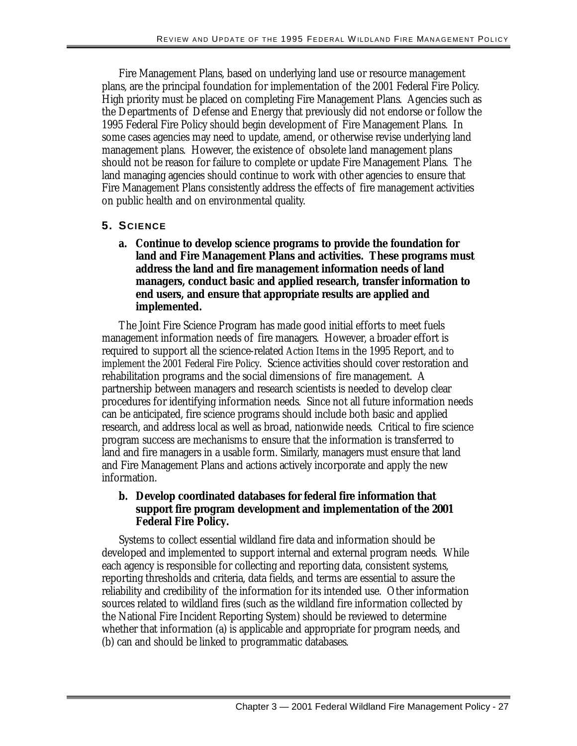Fire Management Plans, based on underlying land use or resource management plans, are the principal foundation for implementation of the 2001 Federal Fire Policy. High priority must be placed on completing Fire Management Plans. Agencies such as the Departments of Defense and Energy that previously did not endorse or follow the 1995 Federal Fire Policy should begin development of Fire Management Plans. In some cases agencies may need to update, amend, or otherwise revise underlying land management plans. However, the existence of obsolete land management plans should not be reason for failure to complete or update Fire Management Plans. The land managing agencies should continue to work with other agencies to ensure that Fire Management Plans consistently address the effects of fire management activities on public health and on environmental quality.

#### **5. SCIENCE**

**a. Continue to develop science programs to provide the foundation for land and Fire Management Plans and activities. These programs must address the land and fire management information needs of land managers, conduct basic and applied research, transfer information to end users, and ensure that appropriate results are applied and implemented.**

The Joint Fire Science Program has made good initial efforts to meet fuels management information needs of fire managers. However, a broader effort is required to support all the science-related Action Items in the 1995 Report, and to implement the 2001 Federal Fire Policy. Science activities should cover restoration and rehabilitation programs and the social dimensions of fire management. A partnership between managers and research scientists is needed to develop clear procedures for identifying information needs. Since not all future information needs can be anticipated, fire science programs should include both basic and applied research, and address local as well as broad, nationwide needs. Critical to fire science program success are mechanisms to ensure that the information is transferred to land and fire managers in a usable form. Similarly, managers must ensure that land and Fire Management Plans and actions actively incorporate and apply the new information.

#### **b. Develop coordinated databases for federal fire information that support fire program development and implementation of the 2001 Federal Fire Policy.**

Systems to collect essential wildland fire data and information should be developed and implemented to support internal and external program needs. While each agency is responsible for collecting and reporting data, consistent systems, reporting thresholds and criteria, data fields, and terms are essential to assure the reliability and credibility of the information for its intended use. Other information sources related to wildland fires (such as the wildland fire information collected by the National Fire Incident Reporting System) should be reviewed to determine whether that information (a) is applicable and appropriate for program needs, and (b) can and should be linked to programmatic databases.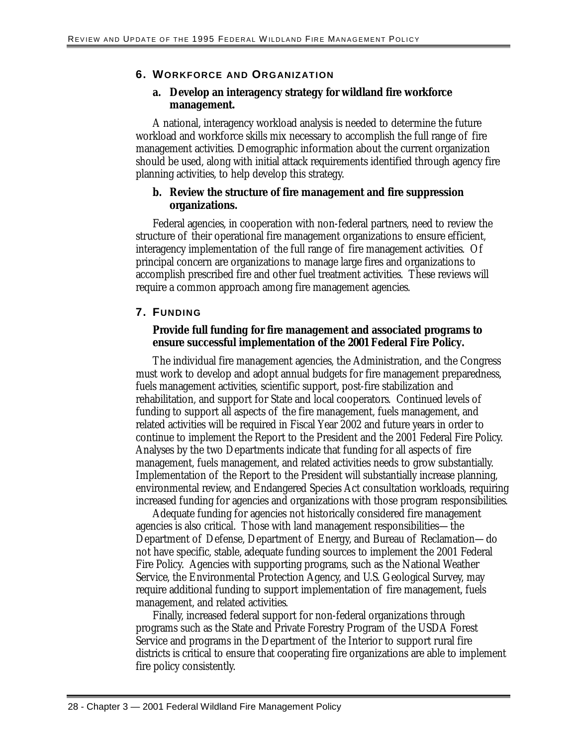#### **6. WORKFORCE AND ORGANIZATION**

#### **a. Develop an interagency strategy for wildland fire workforce management.**

A national, interagency workload analysis is needed to determine the future workload and workforce skills mix necessary to accomplish the full range of fire management activities. Demographic information about the current organization should be used, along with initial attack requirements identified through agency fire planning activities, to help develop this strategy.

#### **b. Review the structure of fire management and fire suppression organizations.**

Federal agencies, in cooperation with non-federal partners, need to review the structure of their operational fire management organizations to ensure efficient, interagency implementation of the full range of fire management activities. Of principal concern are organizations to manage large fires and organizations to accomplish prescribed fire and other fuel treatment activities. These reviews will require a common approach among fire management agencies.

#### **7. FUNDING**

#### **Provide full funding for fire management and associated programs to ensure successful implementation of the 2001 Federal Fire Policy.**

The individual fire management agencies, the Administration, and the Congress must work to develop and adopt annual budgets for fire management preparedness, fuels management activities, scientific support, post-fire stabilization and rehabilitation, and support for State and local cooperators. Continued levels of funding to support all aspects of the fire management, fuels management, and related activities will be required in Fiscal Year 2002 and future years in order to continue to implement the Report to the President and the 2001 Federal Fire Policy. Analyses by the two Departments indicate that funding for all aspects of fire management, fuels management, and related activities needs to grow substantially. Implementation of the Report to the President will substantially increase planning, environmental review, and Endangered Species Act consultation workloads, requiring increased funding for agencies and organizations with those program responsibilities.

Adequate funding for agencies not historically considered fire management agencies is also critical. Those with land management responsibilities—the Department of Defense, Department of Energy, and Bureau of Reclamation—do not have specific, stable, adequate funding sources to implement the 2001 Federal Fire Policy. Agencies with supporting programs, such as the National Weather Service, the Environmental Protection Agency, and U.S. Geological Survey, may require additional funding to support implementation of fire management, fuels management, and related activities.

Finally, increased federal support for non-federal organizations through programs such as the State and Private Forestry Program of the USDA Forest Service and programs in the Department of the Interior to support rural fire districts is critical to ensure that cooperating fire organizations are able to implement fire policy consistently.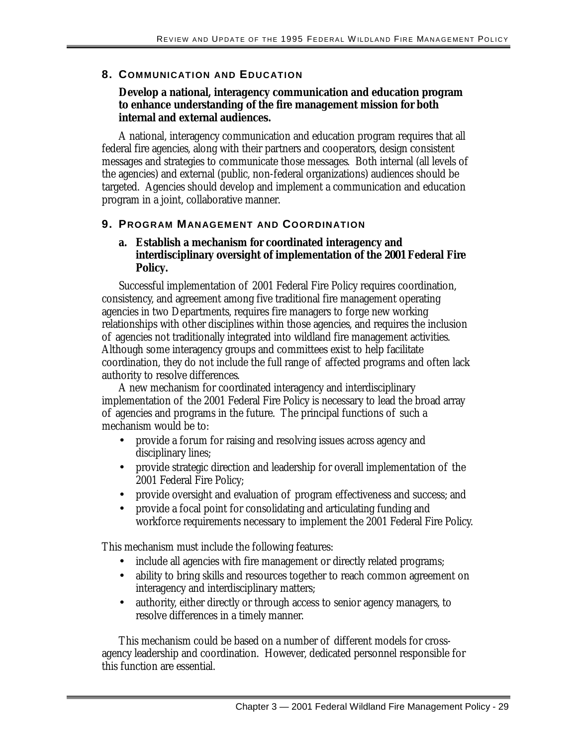#### **8. COMMUNICATION AND EDUCATION**

#### **Develop a national, interagency communication and education program to enhance understanding of the fire management mission for both internal and external audiences.**

A national, interagency communication and education program requires that all federal fire agencies, along with their partners and cooperators, design consistent messages and strategies to communicate those messages. Both internal (all levels of the agencies) and external (public, non-federal organizations) audiences should be targeted. Agencies should develop and implement a communication and education program in a joint, collaborative manner.

#### **9. PROGRAM MANAGEMENT AND COORDINATION**

#### **a. Establish a mechanism for coordinated interagency and interdisciplinary oversight of implementation of the 2001 Federal Fire Policy.**

Successful implementation of 2001 Federal Fire Policy requires coordination, consistency, and agreement among five traditional fire management operating agencies in two Departments, requires fire managers to forge new working relationships with other disciplines within those agencies, and requires the inclusion of agencies not traditionally integrated into wildland fire management activities. Although some interagency groups and committees exist to help facilitate coordination, they do not include the full range of affected programs and often lack authority to resolve differences.

A new mechanism for coordinated interagency and interdisciplinary implementation of the 2001 Federal Fire Policy is necessary to lead the broad array of agencies and programs in the future. The principal functions of such a mechanism would be to:

- provide a forum for raising and resolving issues across agency and disciplinary lines;
- provide strategic direction and leadership for overall implementation of the 2001 Federal Fire Policy;
- provide oversight and evaluation of program effectiveness and success; and
- provide a focal point for consolidating and articulating funding and workforce requirements necessary to implement the 2001 Federal Fire Policy.

This mechanism must include the following features:

- include all agencies with fire management or directly related programs;
- ability to bring skills and resources together to reach common agreement on interagency and interdisciplinary matters;
- authority, either directly or through access to senior agency managers, to resolve differences in a timely manner.

This mechanism could be based on a number of different models for crossagency leadership and coordination. However, dedicated personnel responsible for this function are essential.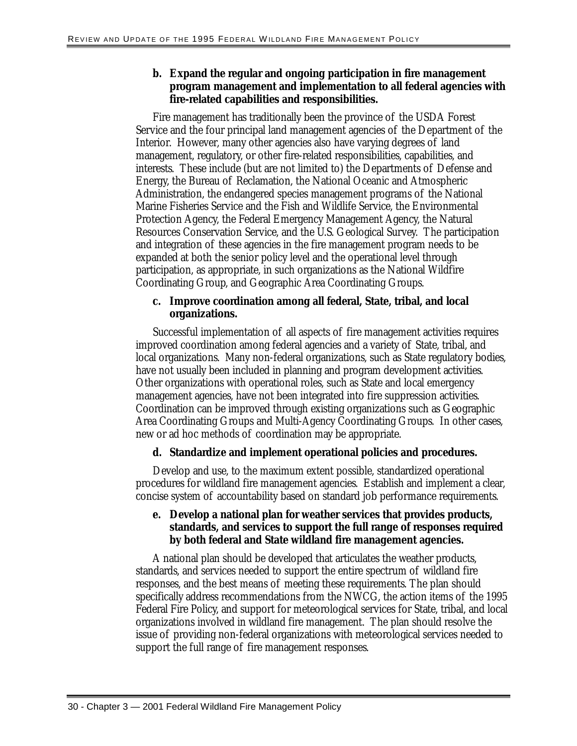#### **b. Expand the regular and ongoing participation in fire management program management and implementation to all federal agencies with fire-related capabilities and responsibilities.**

Fire management has traditionally been the province of the USDA Forest Service and the four principal land management agencies of the Department of the Interior. However, many other agencies also have varying degrees of land management, regulatory, or other fire-related responsibilities, capabilities, and interests. These include (but are not limited to) the Departments of Defense and Energy, the Bureau of Reclamation, the National Oceanic and Atmospheric Administration, the endangered species management programs of the National Marine Fisheries Service and the Fish and Wildlife Service, the Environmental Protection Agency, the Federal Emergency Management Agency, the Natural Resources Conservation Service, and the U.S. Geological Survey. The participation and integration of these agencies in the fire management program needs to be expanded at both the senior policy level and the operational level through participation, as appropriate, in such organizations as the National Wildfire Coordinating Group, and Geographic Area Coordinating Groups.

#### **c. Improve coordination among all federal, State, tribal, and local organizations.**

Successful implementation of all aspects of fire management activities requires improved coordination among federal agencies and a variety of State, tribal, and local organizations. Many non-federal organizations, such as State regulatory bodies, have not usually been included in planning and program development activities. Other organizations with operational roles, such as State and local emergency management agencies, have not been integrated into fire suppression activities. Coordination can be improved through existing organizations such as Geographic Area Coordinating Groups and Multi-Agency Coordinating Groups. In other cases, new or ad hoc methods of coordination may be appropriate.

#### **d. Standardize and implement operational policies and procedures.**

Develop and use, to the maximum extent possible, standardized operational procedures for wildland fire management agencies. Establish and implement a clear, concise system of accountability based on standard job performance requirements.

#### **e. Develop a national plan for weather services that provides products, standards, and services to support the full range of responses required by both federal and State wildland fire management agencies.**

A national plan should be developed that articulates the weather products, standards, and services needed to support the entire spectrum of wildland fire responses, and the best means of meeting these requirements. The plan should specifically address recommendations from the NWCG, the action items of the 1995 Federal Fire Policy, and support for meteorological services for State, tribal, and local organizations involved in wildland fire management. The plan should resolve the issue of providing non-federal organizations with meteorological services needed to support the full range of fire management responses.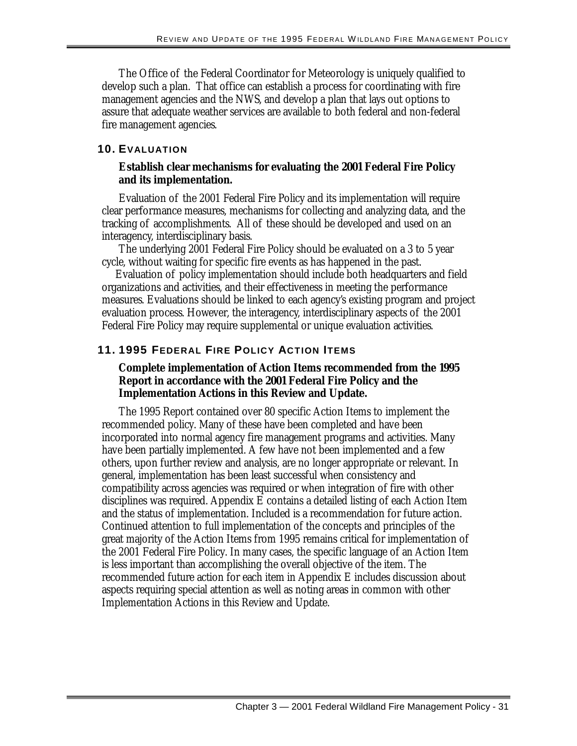The Office of the Federal Coordinator for Meteorology is uniquely qualified to develop such a plan. That office can establish a process for coordinating with fire management agencies and the NWS, and develop a plan that lays out options to assure that adequate weather services are available to both federal and non-federal fire management agencies.

#### **10. EVALUATION**

#### **Establish clear mechanisms for evaluating the 2001 Federal Fire Policy and its implementation.**

Evaluation of the 2001 Federal Fire Policy and its implementation will require clear performance measures, mechanisms for collecting and analyzing data, and the tracking of accomplishments. All of these should be developed and used on an interagency, interdisciplinary basis.

The underlying 2001 Federal Fire Policy should be evaluated on a 3 to 5 year cycle, without waiting for specific fire events as has happened in the past.

Evaluation of policy implementation should include both headquarters and field organizations and activities, and their effectiveness in meeting the performance measures. Evaluations should be linked to each agency's existing program and project evaluation process. However, the interagency, interdisciplinary aspects of the 2001 Federal Fire Policy may require supplemental or unique evaluation activities.

#### **11. 1995 FEDERAL FIRE POLICY ACTION ITEMS**

#### **Complete implementation of Action Items recommended from the 1995 Report in accordance with the 2001 Federal Fire Policy and the Implementation Actions in this Review and Update.**

The 1995 Report contained over 80 specific Action Items to implement the recommended policy. Many of these have been completed and have been incorporated into normal agency fire management programs and activities. Many have been partially implemented. A few have not been implemented and a few others, upon further review and analysis, are no longer appropriate or relevant. In general, implementation has been least successful when consistency and compatibility across agencies was required or when integration of fire with other disciplines was required. Appendix E contains a detailed listing of each Action Item and the status of implementation. Included is a recommendation for future action. Continued attention to full implementation of the concepts and principles of the great majority of the Action Items from 1995 remains critical for implementation of the 2001 Federal Fire Policy. In many cases, the specific language of an Action Item is less important than accomplishing the overall objective of the item. The recommended future action for each item in Appendix E includes discussion about aspects requiring special attention as well as noting areas in common with other Implementation Actions in this Review and Update.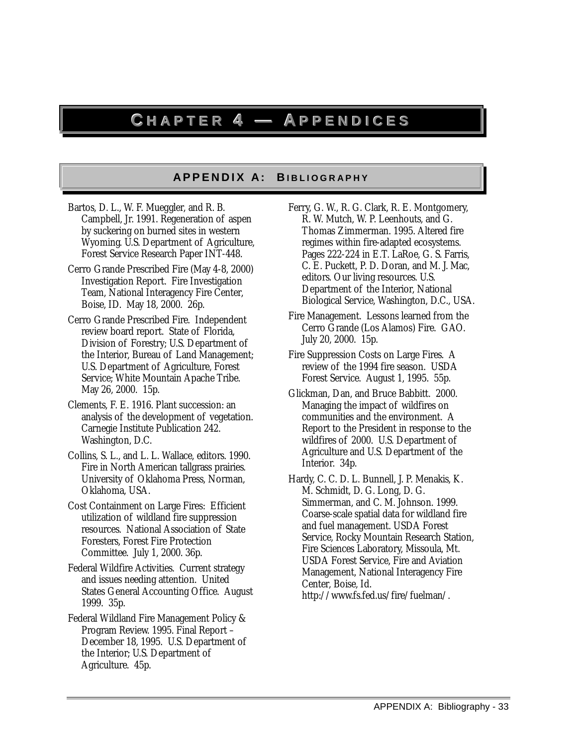## **CHAPTER4—APPENDICES**

#### **A P P E N D I X A: B I B L I O G R A P H Y A P P E N I X A: BI B L I O G R A P H Y**

- by suckering on burned sites in western Bartos, D. L., W. F. Mueggler, and R. B. Campbell, Jr. 1991. Regeneration of aspen Wyoming. U.S. Department of Agriculture, Forest Service Research Paper INT-448.
- Cerro Grande Prescribed Fire (May 4-8, 2000) Investigation Report. Fire Investigation Team, National Interagency Fire Center, Boise, ID. May 18, 2000. 26p.
- Cerro Grande Prescribed Fire. Independent review board report. State of Florida, Division of Forestry; U.S. Department of the Interior, Bureau of Land Management; U.S. Department of Agriculture, Forest Service; White Mountain Apache Tribe. May 26, 2000. 15p.
- Clements, F. E. 1916. Plant succession: an analysis of the development of vegetation. Carnegie Institute Publication 242. Washington, D.C.
- Collins, S. L., and L. L. Wallace, editors. 1990. Fire in North American tallgrass prairies. University of Oklahoma Press, Norman, Oklahoma, USA.
- Cost Containment on Large Fires: Efficient utilization of wildland fire suppression resources. National Association of State Foresters, Forest Fire Protection Committee. July 1, 2000. 36p.
- Federal Wildfire Activities. Current strategy and issues needing attention. United States General Accounting Office. August 1999. 35p.
- Federal Wildland Fire Management Policy & Program Review. 1995. Final Report – December 18, 1995. U.S. Department of the Interior; U.S. Department of Agriculture. 45p.
- Ferry, G. W., R. G. Clark, R. E. Montgomery, R. W. Mutch, W. P. Leenhouts, and G. Thomas Zimmerman. 1995. Altered fire regimes within fire-adapted ecosystems. Pages 222-224 in E.T. LaRoe, G. S. Farris, C. E. Puckett, P. D. Doran, and M. J. Mac, editors. Our living resources. U.S. Department of the Interior, National Biological Service, Washington, D.C., USA.
- Fire Management. Lessons learned from the Cerro Grande (Los Alamos) Fire. GAO. July 20, 2000. 15p.
- Fire Suppression Costs on Large Fires. A review of the 1994 fire season. USDA Forest Service. August 1, 1995. 55p.
- Glickman, Dan, and Bruce Babbitt. 2000. Managing the impact of wildfires on communities and the environment. A Report to the President in response to the wildfires of 2000. U.S. Department of Agriculture and U.S. Department of the Interior. 34p.
- Hardy, C. C. D. L. Bunnell, J. P. Menakis, K. M. Schmidt, D. G. Long, D. G. Simmerman, and C. M. Johnson. 1999. Coarse-scale spatial data for wildland fire and fuel management. USDA Forest Service, Rocky Mountain Research Station, Fire Sciences Laboratory, Missoula, Mt. USDA Forest Service, Fire and Aviation Management, National Interagency Fire Center, Boise, Id. http://www.fs.fed.us/fire/fuelman/.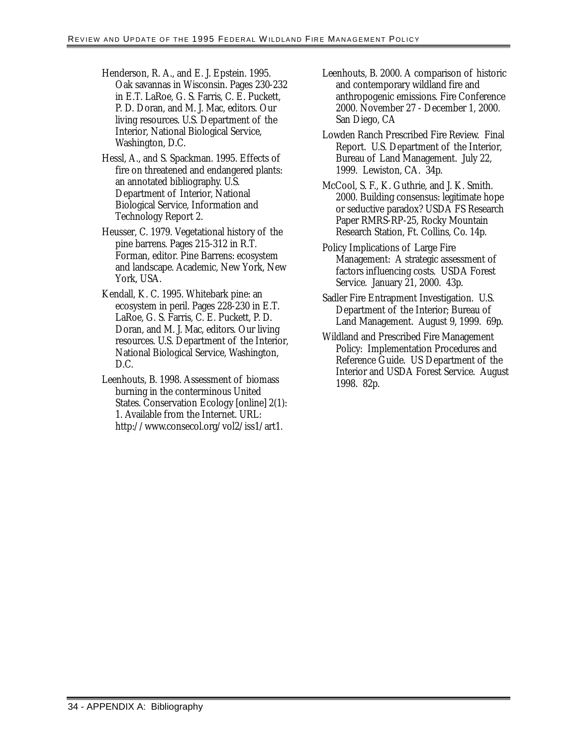- Henderson, R. A., and E. J. Epstein. 1995. Oak savannas in Wisconsin. Pages 230-232 in E.T. LaRoe, G. S. Farris, C. E. Puckett, P. D. Doran, and M. J. Mac, editors. Our living resources. U.S. Department of the Interior, National Biological Service, Washington, D.C.
- Hessl, A., and S. Spackman. 1995. Effects of fire on threatened and endangered plants: an annotated bibliography. U.S. Department of Interior, National Biological Service, Information and Technology Report 2.
- Heusser, C. 1979. Vegetational history of the pine barrens. Pages 215-312 in R.T. Forman, editor. Pine Barrens: ecosystem and landscape. Academic, New York, New York, USA.
- Kendall, K. C. 1995. Whitebark pine: an ecosystem in peril. Pages 228-230 in E.T. LaRoe, G. S. Farris, C. E. Puckett, P. D. Doran, and M. J. Mac, editors. Our living resources. U.S. Department of the Interior, National Biological Service, Washington, D.C.
- Leenhouts, B. 1998. Assessment of biomass burning in the conterminous United States. Conservation Ecology [online] 2(1): 1. Available from the Internet. URL: http://www.consecol.org/vol2/iss1/art1.
- Leenhouts, B. 2000. A comparison of historic and contemporary wildland fire and anthropogenic emissions. Fire Conference 2000. November 27 - December 1, 2000. San Diego, CA
- Lowden Ranch Prescribed Fire Review. Final Report. U.S. Department of the Interior, Bureau of Land Management. July 22, 1999. Lewiston, CA. 34p.
- McCool, S. F., K. Guthrie, and J. K. Smith. 2000. Building consensus: legitimate hope or seductive paradox? USDA FS Research Paper RMRS-RP-25, Rocky Mountain Research Station, Ft. Collins, Co. 14p.
- Policy Implications of Large Fire Management: A strategic assessment of factors influencing costs. USDA Forest Service. January 21, 2000. 43p.
- Sadler Fire Entrapment Investigation. U.S. Department of the Interior; Bureau of Land Management. August 9, 1999. 69p.
- Wildland and Prescribed Fire Management Policy: Implementation Procedures and Reference Guide. US Department of the Interior and USDA Forest Service. August 1998. 82p.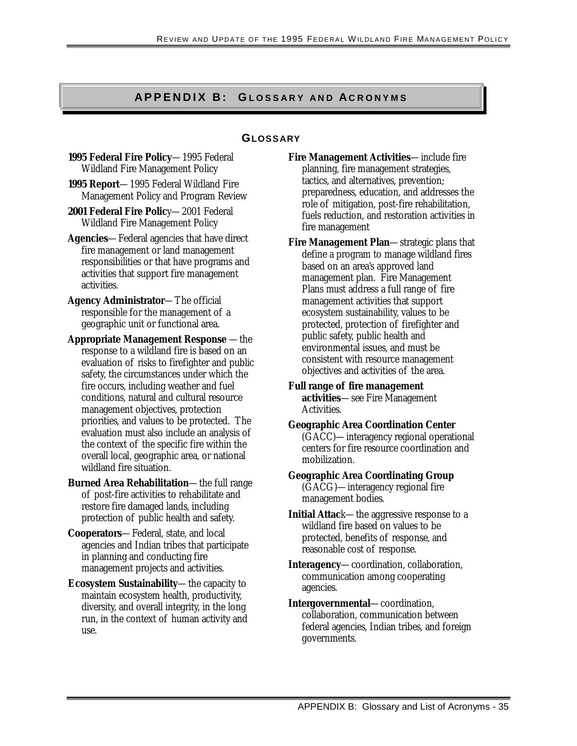# **A P P E N D I X B : GLOSSARY AND ACRONYMS<br>
GLOSSARY**

**1995 Federal Fire Policy**—1995 Federal Wildland Fire Management Policy

**1995 Report**—1995 Federal Wildland Fire Management Policy and Program Review

**2001 Federal Fire Polic**y—2001 Federal Wildland Fire Management Policy

**Agencies**—Federal agencies that have direct fire management or land management responsibilities or that have programs and activities that support fire management activities.

**Agency Administrator**—The official responsible for the management of a geographic unit or functional area.

**Appropriate Management Response** —the response to a wildland fire is based on an evaluation of risks to firefighter and public safety, the circumstances under which the fire occurs, including weather and fuel conditions, natural and cultural resource management objectives, protection priorities, and values to be protected. The evaluation must also include an analysis of the context of the specific fire within the overall local, geographic area, or national wildland fire situation.

**Burned Area Rehabilitation**—the full range of post-fire activities to rehabilitate and restore fire damaged lands, including protection of public health and safety.

**Cooperators**—Federal, state, and local agencies and Indian tribes that participate in planning and conducting fire management projects and activities.

**Ecosystem Sustainability**—the capacity to maintain ecosystem health, productivity, diversity, and overall integrity, in the long run, in the context of human activity and use.

**Fire Management Activities**—include fire planning, fire management strategies, tactics, and alternatives, prevention; preparedness, education, and addresses the role of mitigation, post-fire rehabilitation, fuels reduction, and restoration activities in fire management

**Fire Management Plan**—strategic plans that define a program to manage wildland fires based on an area's approved land management plan. Fire Management Plans must address a full range of fire management activities that support ecosystem sustainability, values to be protected, protection of firefighter and public safety, public health and environmental issues, and must be consistent with resource management objectives and activities of the area.

**Full range of fire management activities**—see Fire Management Activities.

**Geographic Area Coordination Center**  (GACC)—interagency regional operational centers for fire resource coordination and mobilization.

#### **Geographic Area Coordinating Group**  (GACG)—interagency regional fire management bodies.

**Initial Attac**k—the aggressive response to a wildland fire based on values to be protected, benefits of response, and reasonable cost of response.

**Interagency**—coordination, collaboration, communication among cooperating agencies.

**Intergovernmental**—coordination, collaboration, communication between federal agencies, Indian tribes, and foreign governments.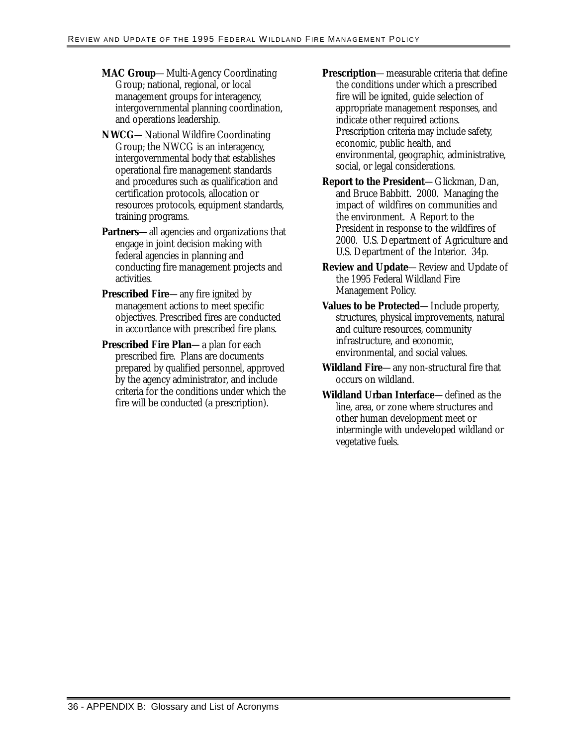- **MAC Group**—Multi-Agency Coordinating Group; national, regional, or local management groups for interagency, intergovernmental planning coordination, and operations leadership.
- **NWCG**—National Wildfire Coordinating Group; the NWCG is an interagency, intergovernmental body that establishes operational fire management standards and procedures such as qualification and certification protocols, allocation or resources protocols, equipment standards, training programs.
- **Partners**—all agencies and organizations that engage in joint decision making with federal agencies in planning and conducting fire management projects and activities.
- **Prescribed Fire**—any fire ignited by management actions to meet specific objectives. Prescribed fires are conducted in accordance with prescribed fire plans.
- **Prescribed Fire Plan**—a plan for each prescribed fire. Plans are documents prepared by qualified personnel, approved by the agency administrator, and include criteria for the conditions under which the fire will be conducted (a prescription).
- **Prescription**—measurable criteria that define the conditions under which a prescribed fire will be ignited, guide selection of appropriate management responses, and indicate other required actions. Prescription criteria may include safety, economic, public health, and environmental, geographic, administrative, social, or legal considerations.
- **Report to the President**—Glickman, Dan, and Bruce Babbitt. 2000. Managing the impact of wildfires on communities and the environment. A Report to the President in response to the wildfires of 2000. U.S. Department of Agriculture and U.S. Department of the Interior. 34p.
- **Review and Update**—Review and Update of the 1995 Federal Wildland Fire Management Policy.
- **Values to be Protected**—Include property, structures, physical improvements, natural and culture resources, community infrastructure, and economic, environmental, and social values.
- **Wildland Fire**—any non-structural fire that occurs on wildland.
- **Wildland Urban Interface**—defined as the line, area, or zone where structures and other human development meet or intermingle with undeveloped wildland or vegetative fuels.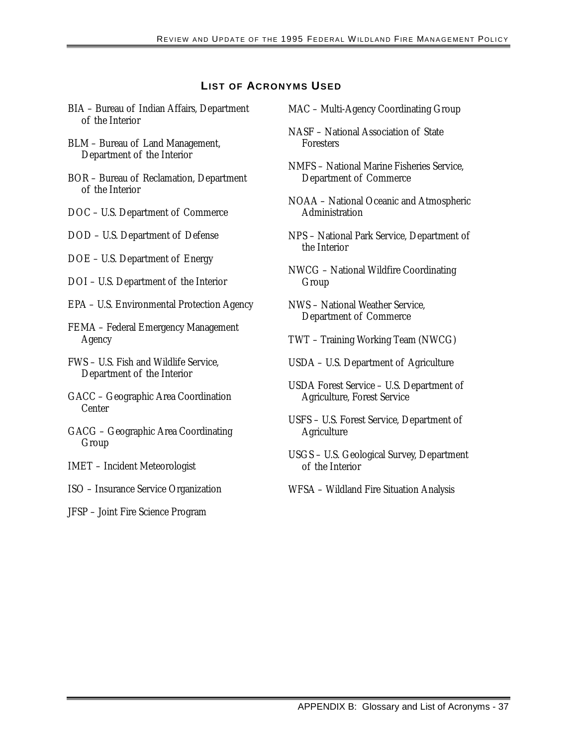#### **LIST OF ACRONYMS USED**

- BIA Bureau of Indian Affairs, Department of the Interior
- BLM Bureau of Land Management, Department of the Interior
- BOR Bureau of Reclamation, Department of the Interior
- DOC U.S. Department of Commerce
- DOD U.S. Department of Defense
- DOE U.S. Department of Energy
- DOI U.S. Department of the Interior
- EPA U.S. Environmental Protection Agency
- FEMA Federal Emergency Management Agency
- FWS U.S. Fish and Wildlife Service, Department of the Interior
- GACC Geographic Area Coordination Center
- GACG Geographic Area Coordinating Group
- IMET Incident Meteorologist
- ISO Insurance Service Organization
- JFSP Joint Fire Science Program
- MAC Multi-Agency Coordinating Group
- NASF National Association of State Foresters
- NMFS National Marine Fisheries Service, Department of Commerce
- NOAA National Oceanic and Atmospheric Administration
- NPS National Park Service, Department of the Interior
- NWCG National Wildfire Coordinating Group
- NWS National Weather Service, Department of Commerce
- TWT Training Working Team (NWCG)
- USDA U.S. Department of Agriculture
- USDA Forest Service U.S. Department of Agriculture, Forest Service
- USFS U.S. Forest Service, Department of Agriculture
- USGS U.S. Geological Survey, Department of the Interior
- WFSA Wildland Fire Situation Analysis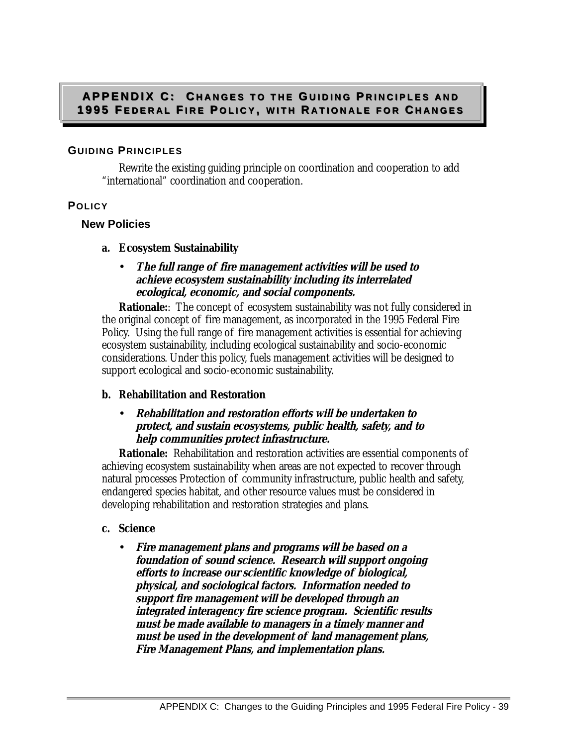#### **APPENDIX C: CHANGES TO THE GUIDING PRINCIPLES AND 1995 FEDERAL FIRE POLICY, WITH RATIONALE FOR CHANGES**

#### **GUIDING PRINCIPLES**

Rewrite the existing guiding principle on coordination and cooperation to add "international" coordination and cooperation.

#### **POLICY**

#### **New Policies**

- **a. Ecosystem Sustainability**
	- **The full range of fire management activities will be used to achieve ecosystem sustainability including its interrelated ecological, economic, and social components.**

**Rationale::** The concept of ecosystem sustainability was not fully considered in the original concept of fire management, as incorporated in the 1995 Federal Fire Policy. Using the full range of fire management activities is essential for achieving ecosystem sustainability, including ecological sustainability and socio-economic considerations. Under this policy, fuels management activities will be designed to support ecological and socio-economic sustainability.

#### **b. Rehabilitation and Restoration**

#### • **Rehabilitation and restoration efforts will be undertaken to protect, and sustain ecosystems, public health, safety, and to help communities protect infrastructure.**

**Rationale:** Rehabilitation and restoration activities are essential components of achieving ecosystem sustainability when areas are not expected to recover through natural processes Protection of community infrastructure, public health and safety, endangered species habitat, and other resource values must be considered in developing rehabilitation and restoration strategies and plans.

#### **c. Science**

• **Fire management plans and programs will be based on a foundation of sound science. Research will support ongoing efforts to increase our scientific knowledge of biological, physical, and sociological factors. Information needed to support fire management will be developed through an integrated interagency fire science program. Scientific results must be made available to managers in a timely manner and must be used in the development of land management plans, Fire Management Plans, and implementation plans.**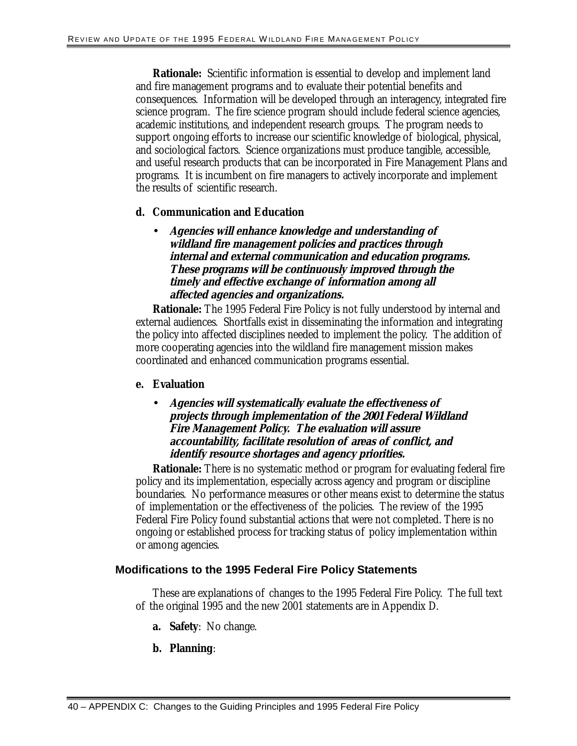**Rationale:** Scientific information is essential to develop and implement land and fire management programs and to evaluate their potential benefits and consequences. Information will be developed through an interagency, integrated fire science program. The fire science program should include federal science agencies, academic institutions, and independent research groups. The program needs to support ongoing efforts to increase our scientific knowledge of biological, physical, and sociological factors. Science organizations must produce tangible, accessible, and useful research products that can be incorporated in Fire Management Plans and programs. It is incumbent on fire managers to actively incorporate and implement the results of scientific research.

#### **d. Communication and Education**

• **Agencies will enhance knowledge and understanding of wildland fire management policies and practices through internal and external communication and education programs. These programs will be continuously improved through the timely and effective exchange of information among all affected agencies and organizations.** 

**Rationale:** The 1995 Federal Fire Policy is not fully understood by internal and external audiences. Shortfalls exist in disseminating the information and integrating the policy into affected disciplines needed to implement the policy. The addition of more cooperating agencies into the wildland fire management mission makes coordinated and enhanced communication programs essential.

#### **e. Evaluation**

• **Agencies will systematically evaluate the effectiveness of projects through implementation of the 2001 Federal Wildland Fire Management Policy. The evaluation will assure accountability, facilitate resolution of areas of conflict, and identify resource shortages and agency priorities.** 

**Rationale:** There is no systematic method or program for evaluating federal fire policy and its implementation, especially across agency and program or discipline boundaries. No performance measures or other means exist to determine the status of implementation or the effectiveness of the policies. The review of the 1995 Federal Fire Policy found substantial actions that were not completed. There is no ongoing or established process for tracking status of policy implementation within or among agencies.

#### **Modifications to the 1995 Federal Fire Policy Statements**

These are explanations of changes to the 1995 Federal Fire Policy. The full text of the original 1995 and the new 2001 statements are in Appendix D.

- **a. Safety**: No change.
- **b. Planning**: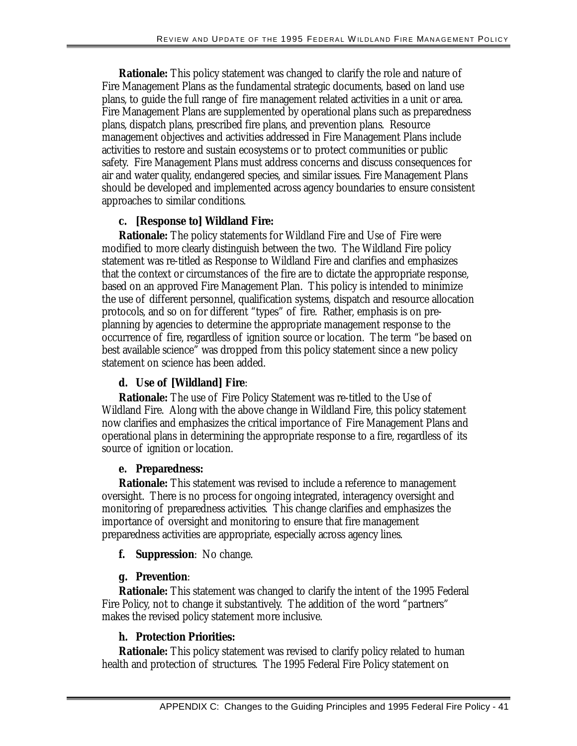**Rationale:** This policy statement was changed to clarify the role and nature of Fire Management Plans as the fundamental strategic documents, based on land use plans, to guide the full range of fire management related activities in a unit or area. Fire Management Plans are supplemented by operational plans such as preparedness plans, dispatch plans, prescribed fire plans, and prevention plans. Resource management objectives and activities addressed in Fire Management Plans include activities to restore and sustain ecosystems or to protect communities or public safety. Fire Management Plans must address concerns and discuss consequences for air and water quality, endangered species, and similar issues. Fire Management Plans should be developed and implemented across agency boundaries to ensure consistent approaches to similar conditions.

#### **c. [Response to] Wildland Fire:**

**Rationale:** The policy statements for Wildland Fire and Use of Fire were modified to more clearly distinguish between the two. The Wildland Fire policy statement was re-titled as Response to Wildland Fire and clarifies and emphasizes that the context or circumstances of the fire are to dictate the appropriate response, based on an approved Fire Management Plan. This policy is intended to minimize the use of different personnel, qualification systems, dispatch and resource allocation protocols, and so on for different "types" of fire. Rather, emphasis is on preplanning by agencies to determine the appropriate management response to the occurrence of fire, regardless of ignition source or location. The term "be based on best available science" was dropped from this policy statement since a new policy statement on science has been added.

#### **d. Use of [Wildland] Fire**:

**Rationale:** The use of Fire Policy Statement was re-titled to the Use of Wildland Fire. Along with the above change in Wildland Fire, this policy statement now clarifies and emphasizes the critical importance of Fire Management Plans and operational plans in determining the appropriate response to a fire, regardless of its source of ignition or location.

#### **e. Preparedness:**

**Rationale:** This statement was revised to include a reference to management oversight. There is no process for ongoing integrated, interagency oversight and monitoring of preparedness activities. This change clarifies and emphasizes the importance of oversight and monitoring to ensure that fire management preparedness activities are appropriate, especially across agency lines.

**f. Suppression**: No change.

#### **g. Prevention**:

**Rationale:** This statement was changed to clarify the intent of the 1995 Federal Fire Policy, not to change it substantively. The addition of the word "partners" makes the revised policy statement more inclusive.

#### **h. Protection Priorities:**

**Rationale:** This policy statement was revised to clarify policy related to human health and protection of structures. The 1995 Federal Fire Policy statement on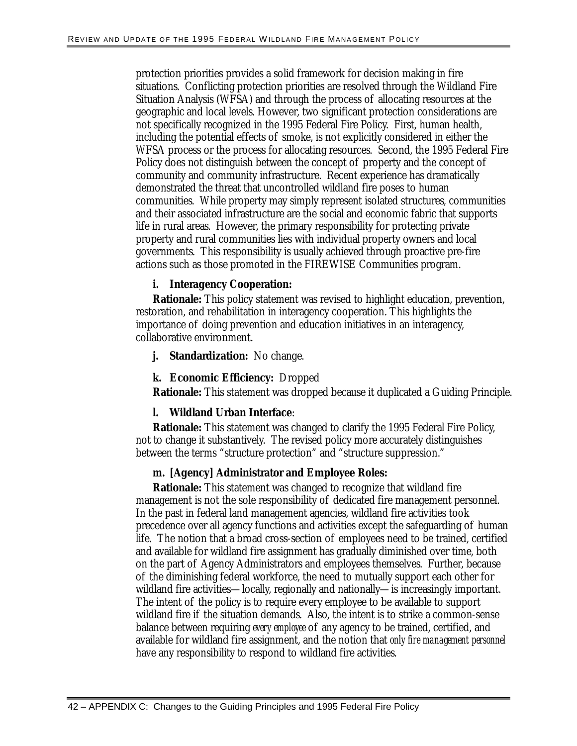protection priorities provides a solid framework for decision making in fire situations. Conflicting protection priorities are resolved through the Wildland Fire Situation Analysis (WFSA) and through the process of allocating resources at the geographic and local levels. However, two significant protection considerations are not specifically recognized in the 1995 Federal Fire Policy. First, human health, including the potential effects of smoke, is not explicitly considered in either the WFSA process or the process for allocating resources. Second, the 1995 Federal Fire Policy does not distinguish between the concept of property and the concept of community and community infrastructure. Recent experience has dramatically demonstrated the threat that uncontrolled wildland fire poses to human communities. While property may simply represent isolated structures, communities and their associated infrastructure are the social and economic fabric that supports life in rural areas. However, the primary responsibility for protecting private property and rural communities lies with individual property owners and local governments. This responsibility is usually achieved through proactive pre-fire actions such as those promoted in the FIREWISE Communities program.

#### **i. Interagency Cooperation:**

**Rationale:** This policy statement was revised to highlight education, prevention, restoration, and rehabilitation in interagency cooperation. This highlights the importance of doing prevention and education initiatives in an interagency, collaborative environment.

**j. Standardization:** No change.

#### **k. Economic Efficiency:** Dropped

**Rationale:** This statement was dropped because it duplicated a Guiding Principle.

#### **l. Wildland Urban Interface**:

**Rationale:** This statement was changed to clarify the 1995 Federal Fire Policy, not to change it substantively. The revised policy more accurately distinguishes between the terms "structure protection" and "structure suppression."

#### **m. [Agency] Administrator and Employee Roles:**

**Rationale:** This statement was changed to recognize that wildland fire management is not the sole responsibility of dedicated fire management personnel. In the past in federal land management agencies, wildland fire activities took precedence over all agency functions and activities except the safeguarding of human life. The notion that a broad cross-section of employees need to be trained, certified and available for wildland fire assignment has gradually diminished over time, both on the part of Agency Administrators and employees themselves. Further, because of the diminishing federal workforce, the need to mutually support each other for wildland fire activities—locally, regionally and nationally—is increasingly important. The intent of the policy is to require every employee to be available to support wildland fire if the situation demands. Also, the intent is to strike a common-sense balance between requiring *every employee* of any agency to be trained, certified, and available for wildland fire assignment, and the notion that *only fire management personnel*  have any responsibility to respond to wildland fire activities.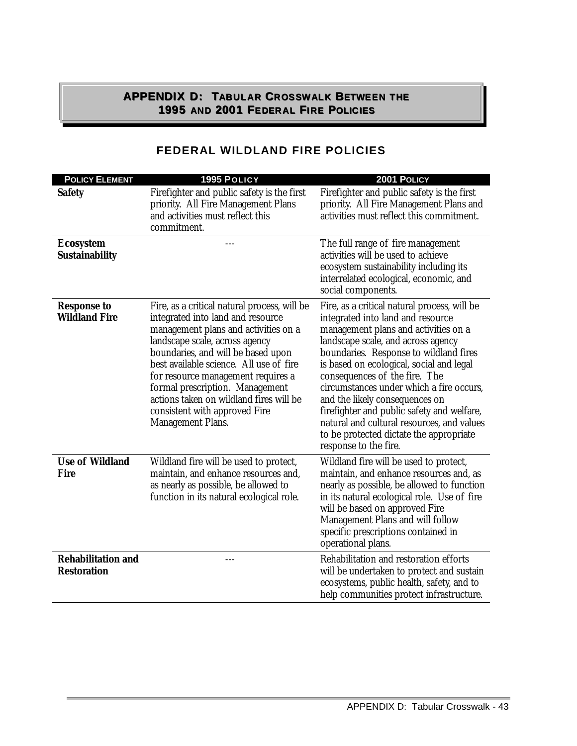#### **APPENDIX D: TABULAR CROSSWALK BETWEEN THE 1995AND2001FEDERALFIREPOLICIES**

| <b>POLICY ELEMENT</b>                           | 1995 POLICY                                                                                                                                                                                                                                                                                                                                                                                                                   | 2001 POLICY                                                                                                                                                                                                                                                                                                                                                                                                                                                                                                                          |
|-------------------------------------------------|-------------------------------------------------------------------------------------------------------------------------------------------------------------------------------------------------------------------------------------------------------------------------------------------------------------------------------------------------------------------------------------------------------------------------------|--------------------------------------------------------------------------------------------------------------------------------------------------------------------------------------------------------------------------------------------------------------------------------------------------------------------------------------------------------------------------------------------------------------------------------------------------------------------------------------------------------------------------------------|
| <b>Safety</b>                                   | Firefighter and public safety is the first<br>priority. All Fire Management Plans<br>and activities must reflect this<br>commitment.                                                                                                                                                                                                                                                                                          | Firefighter and public safety is the first<br>priority. All Fire Management Plans and<br>activities must reflect this commitment.                                                                                                                                                                                                                                                                                                                                                                                                    |
| <b>Ecosystem</b><br><b>Sustainability</b>       |                                                                                                                                                                                                                                                                                                                                                                                                                               | The full range of fire management<br>activities will be used to achieve<br>ecosystem sustainability including its<br>interrelated ecological, economic, and<br>social components.                                                                                                                                                                                                                                                                                                                                                    |
| <b>Response to</b><br><b>Wildland Fire</b>      | Fire, as a critical natural process, will be<br>integrated into land and resource<br>management plans and activities on a<br>landscape scale, across agency<br>boundaries, and will be based upon<br>best available science. All use of fire<br>for resource management requires a<br>formal prescription. Management<br>actions taken on wildland fires will be<br>consistent with approved Fire<br><b>Management Plans.</b> | Fire, as a critical natural process, will be<br>integrated into land and resource<br>management plans and activities on a<br>landscape scale, and across agency<br>boundaries. Response to wildland fires<br>is based on ecological, social and legal<br>consequences of the fire. The<br>circumstances under which a fire occurs,<br>and the likely consequences on<br>firefighter and public safety and welfare,<br>natural and cultural resources, and values<br>to be protected dictate the appropriate<br>response to the fire. |
| <b>Use of Wildland</b><br><b>Fire</b>           | Wildland fire will be used to protect,<br>maintain, and enhance resources and,<br>as nearly as possible, be allowed to<br>function in its natural ecological role.                                                                                                                                                                                                                                                            | Wildland fire will be used to protect,<br>maintain, and enhance resources and, as<br>nearly as possible, be allowed to function<br>in its natural ecological role. Use of fire<br>will be based on approved Fire<br>Management Plans and will follow<br>specific prescriptions contained in<br>operational plans.                                                                                                                                                                                                                    |
| <b>Rehabilitation and</b><br><b>Restoration</b> | ---                                                                                                                                                                                                                                                                                                                                                                                                                           | Rehabilitation and restoration efforts<br>will be undertaken to protect and sustain<br>ecosystems, public health, safety, and to<br>help communities protect infrastructure.                                                                                                                                                                                                                                                                                                                                                         |

### **FEDERAL WILDLAND FIRE POLICIES**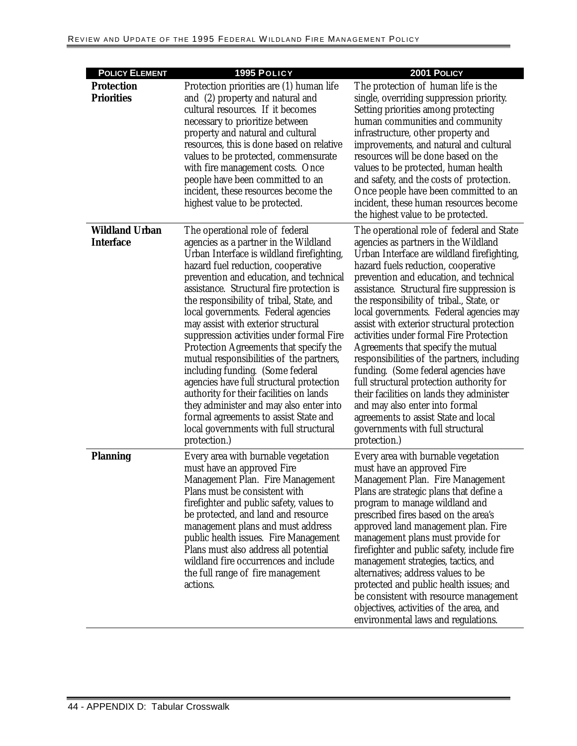| <b>POLICY ELEMENT</b>                     | 1995 POLICY                                                                                                                                                                                                                                                                                                                                                                                                                                                                                                                                                                                                                                                                                                                                                                              | 2001 POLICY                                                                                                                                                                                                                                                                                                                                                                                                                                                                                                                                                                                                                                                                                                                                                                                         |
|-------------------------------------------|------------------------------------------------------------------------------------------------------------------------------------------------------------------------------------------------------------------------------------------------------------------------------------------------------------------------------------------------------------------------------------------------------------------------------------------------------------------------------------------------------------------------------------------------------------------------------------------------------------------------------------------------------------------------------------------------------------------------------------------------------------------------------------------|-----------------------------------------------------------------------------------------------------------------------------------------------------------------------------------------------------------------------------------------------------------------------------------------------------------------------------------------------------------------------------------------------------------------------------------------------------------------------------------------------------------------------------------------------------------------------------------------------------------------------------------------------------------------------------------------------------------------------------------------------------------------------------------------------------|
| <b>Protection</b><br><b>Priorities</b>    | Protection priorities are (1) human life<br>and (2) property and natural and<br>cultural resources. If it becomes<br>necessary to prioritize between<br>property and natural and cultural<br>resources, this is done based on relative<br>values to be protected, commensurate<br>with fire management costs. Once<br>people have been committed to an<br>incident, these resources become the<br>highest value to be protected.                                                                                                                                                                                                                                                                                                                                                         | The protection of human life is the<br>single, overriding suppression priority.<br>Setting priorities among protecting<br>human communities and community<br>infrastructure, other property and<br>improvements, and natural and cultural<br>resources will be done based on the<br>values to be protected, human health<br>and safety, and the costs of protection.<br>Once people have been committed to an<br>incident, these human resources become<br>the highest value to be protected.                                                                                                                                                                                                                                                                                                       |
| <b>Wildland Urban</b><br><b>Interface</b> | The operational role of federal<br>agencies as a partner in the Wildland<br>Urban Interface is wildland firefighting,<br>hazard fuel reduction, cooperative<br>prevention and education, and technical<br>assistance. Structural fire protection is<br>the responsibility of tribal, State, and<br>local governments. Federal agencies<br>may assist with exterior structural<br>suppression activities under formal Fire<br>Protection Agreements that specify the<br>mutual responsibilities of the partners,<br>including funding. (Some federal<br>agencies have full structural protection<br>authority for their facilities on lands<br>they administer and may also enter into<br>formal agreements to assist State and<br>local governments with full structural<br>protection.) | The operational role of federal and State<br>agencies as partners in the Wildland<br>Urban Interface are wildland firefighting,<br>hazard fuels reduction, cooperative<br>prevention and education, and technical<br>assistance. Structural fire suppression is<br>the responsibility of tribal., State, or<br>local governments. Federal agencies may<br>assist with exterior structural protection<br>activities under formal Fire Protection<br>Agreements that specify the mutual<br>responsibilities of the partners, including<br>funding. (Some federal agencies have<br>full structural protection authority for<br>their facilities on lands they administer<br>and may also enter into formal<br>agreements to assist State and local<br>governments with full structural<br>protection.) |
| <b>Planning</b>                           | Every area with burnable vegetation<br>must have an approved Fire<br>Management Plan. Fire Management<br>Plans must be consistent with<br>firefighter and public safety, values to<br>be protected, and land and resource<br>management plans and must address<br>public health issues. Fire Management<br>Plans must also address all potential<br>wildland fire occurrences and include<br>the full range of fire management<br>actions.                                                                                                                                                                                                                                                                                                                                               | Every area with burnable vegetation<br>must have an approved Fire<br>Management Plan. Fire Management<br>Plans are strategic plans that define a<br>program to manage wildland and<br>prescribed fires based on the area's<br>approved land management plan. Fire<br>management plans must provide for<br>firefighter and public safety, include fire<br>management strategies, tactics, and<br>alternatives; address values to be<br>protected and public health issues; and<br>be consistent with resource management<br>objectives, activities of the area, and<br>environmental laws and regulations.                                                                                                                                                                                           |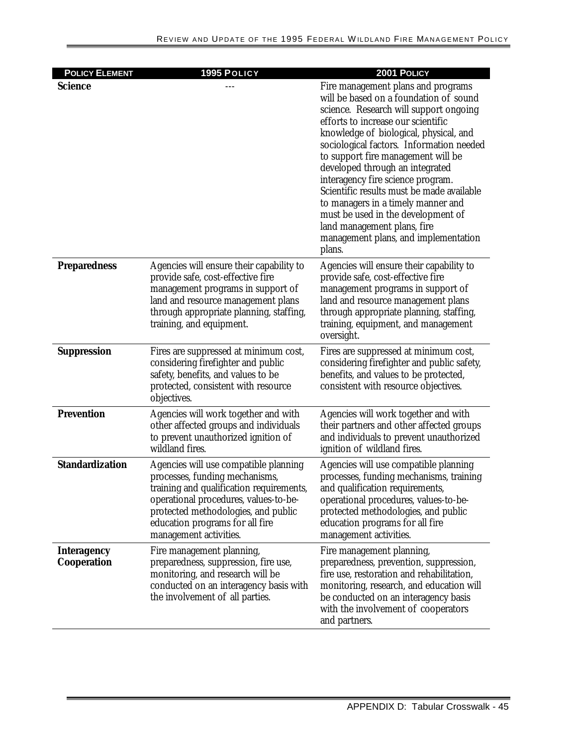| <b>POLICY ELEMENT</b>             | 1995 POLICY                                                                                                                                                                                                                                                      | 2001 POLICY                                                                                                                                                                                                                                                                                                                                                                                                                                                                                                                                                                |
|-----------------------------------|------------------------------------------------------------------------------------------------------------------------------------------------------------------------------------------------------------------------------------------------------------------|----------------------------------------------------------------------------------------------------------------------------------------------------------------------------------------------------------------------------------------------------------------------------------------------------------------------------------------------------------------------------------------------------------------------------------------------------------------------------------------------------------------------------------------------------------------------------|
| <b>Science</b>                    |                                                                                                                                                                                                                                                                  | Fire management plans and programs<br>will be based on a foundation of sound<br>science. Research will support ongoing<br>efforts to increase our scientific<br>knowledge of biological, physical, and<br>sociological factors. Information needed<br>to support fire management will be<br>developed through an integrated<br>interagency fire science program.<br>Scientific results must be made available<br>to managers in a timely manner and<br>must be used in the development of<br>land management plans, fire<br>management plans, and implementation<br>plans. |
| <b>Preparedness</b>               | Agencies will ensure their capability to<br>provide safe, cost-effective fire<br>management programs in support of<br>land and resource management plans<br>through appropriate planning, staffing,<br>training, and equipment.                                  | Agencies will ensure their capability to<br>provide safe, cost-effective fire<br>management programs in support of<br>land and resource management plans<br>through appropriate planning, staffing,<br>training, equipment, and management<br>oversight.                                                                                                                                                                                                                                                                                                                   |
| <b>Suppression</b>                | Fires are suppressed at minimum cost,<br>considering firefighter and public<br>safety, benefits, and values to be<br>protected, consistent with resource<br>objectives.                                                                                          | Fires are suppressed at minimum cost,<br>considering firefighter and public safety,<br>benefits, and values to be protected,<br>consistent with resource objectives.                                                                                                                                                                                                                                                                                                                                                                                                       |
| <b>Prevention</b>                 | Agencies will work together and with<br>other affected groups and individuals<br>to prevent unauthorized ignition of<br>wildland fires.                                                                                                                          | Agencies will work together and with<br>their partners and other affected groups<br>and individuals to prevent unauthorized<br>ignition of wildland fires.                                                                                                                                                                                                                                                                                                                                                                                                                 |
| <b>Standardization</b>            | Agencies will use compatible planning<br>processes, funding mechanisms,<br>training and qualification requirements,<br>operational procedures, values-to-be-<br>protected methodologies, and public<br>education programs for all fire<br>management activities. | Agencies will use compatible planning<br>processes, funding mechanisms, training<br>and qualification requirements,<br>operational procedures, values-to-be-<br>protected methodologies, and public<br>education programs for all fire<br>management activities.                                                                                                                                                                                                                                                                                                           |
| <b>Interagency</b><br>Cooperation | Fire management planning,<br>preparedness, suppression, fire use,<br>monitoring, and research will be<br>conducted on an interagency basis with<br>the involvement of all parties.                                                                               | Fire management planning,<br>preparedness, prevention, suppression,<br>fire use, restoration and rehabilitation,<br>monitoring, research, and education will<br>be conducted on an interagency basis<br>with the involvement of cooperators<br>and partners.                                                                                                                                                                                                                                                                                                               |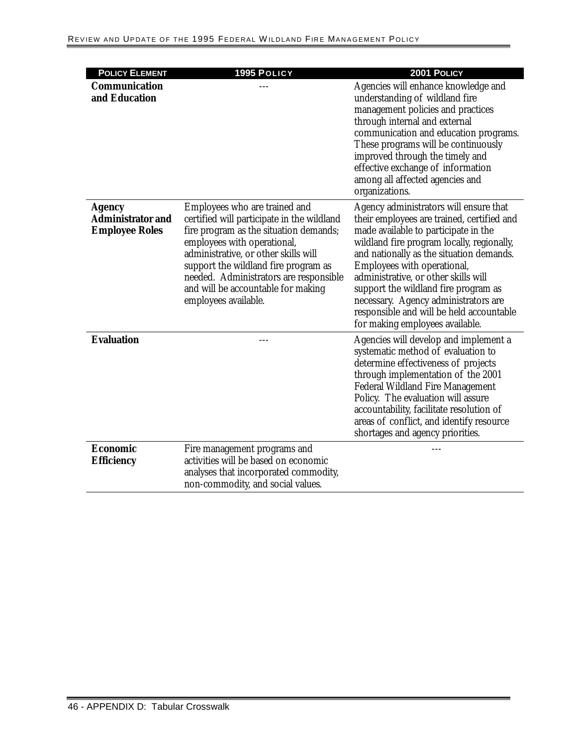| <b>POLICY ELEMENT</b>                                              | 1995 POLICY                                                                                                                                                                                                                                                                                                                                  | 2001 POLICY                                                                                                                                                                                                                                                                                                                                                                                                                                                  |
|--------------------------------------------------------------------|----------------------------------------------------------------------------------------------------------------------------------------------------------------------------------------------------------------------------------------------------------------------------------------------------------------------------------------------|--------------------------------------------------------------------------------------------------------------------------------------------------------------------------------------------------------------------------------------------------------------------------------------------------------------------------------------------------------------------------------------------------------------------------------------------------------------|
| <b>Communication</b><br>and Education                              |                                                                                                                                                                                                                                                                                                                                              | Agencies will enhance knowledge and<br>understanding of wildland fire<br>management policies and practices<br>through internal and external<br>communication and education programs.<br>These programs will be continuously<br>improved through the timely and<br>effective exchange of information<br>among all affected agencies and<br>organizations.                                                                                                     |
| <b>Agency</b><br><b>Administrator and</b><br><b>Employee Roles</b> | Employees who are trained and<br>certified will participate in the wildland<br>fire program as the situation demands;<br>employees with operational,<br>administrative, or other skills will<br>support the wildland fire program as<br>needed. Administrators are responsible<br>and will be accountable for making<br>employees available. | Agency administrators will ensure that<br>their employees are trained, certified and<br>made available to participate in the<br>wildland fire program locally, regionally,<br>and nationally as the situation demands.<br>Employees with operational,<br>administrative, or other skills will<br>support the wildland fire program as<br>necessary. Agency administrators are<br>responsible and will be held accountable<br>for making employees available. |
| <b>Evaluation</b>                                                  |                                                                                                                                                                                                                                                                                                                                              | Agencies will develop and implement a<br>systematic method of evaluation to<br>determine effectiveness of projects<br>through implementation of the 2001<br><b>Federal Wildland Fire Management</b><br>Policy. The evaluation will assure<br>accountability, facilitate resolution of<br>areas of conflict, and identify resource<br>shortages and agency priorities.                                                                                        |
| <b>Economic</b><br><b>Efficiency</b>                               | Fire management programs and<br>activities will be based on economic<br>analyses that incorporated commodity,<br>non-commodity, and social values.                                                                                                                                                                                           |                                                                                                                                                                                                                                                                                                                                                                                                                                                              |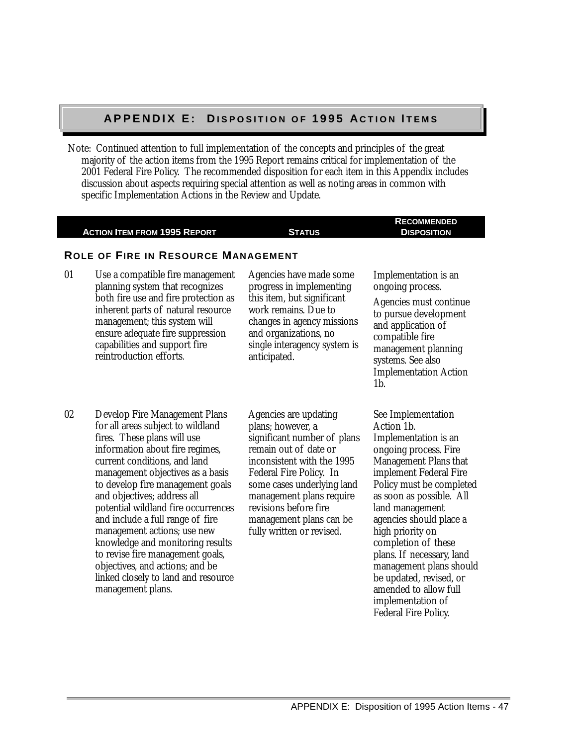#### **A P P E N D I X E : D A P P E N D I X E : DI S P O S I T I O N O F I S P O S I T I O N O F 1 9 9 5 A 1 9 9 5 AC T I O N C T I O N I T E M S T E M S**

Note: Continued attention to full implementation of the concepts and principles of the great majority of the action items from the 1995 Report remains critical for implementation of the 2001 Federal Fire Policy. The recommended disposition for each item in this Appendix includes discussion about aspects requiring special attention as well as noting areas in common with specific Implementation Actions in the Review and Update.

|    | <b>ACTION ITEM FROM 1995 REPORT</b>                                                                                                                                                                                                                                                                                                                                                                                                                                                                                                                                 | <b>STATUS</b>                                                                                                                                                                                                                                                                                          | <b>RECOMMENDED</b><br><b>DISPOSITION</b>                                                                                                                                                                                                                                                                                                                                                                                                              |
|----|---------------------------------------------------------------------------------------------------------------------------------------------------------------------------------------------------------------------------------------------------------------------------------------------------------------------------------------------------------------------------------------------------------------------------------------------------------------------------------------------------------------------------------------------------------------------|--------------------------------------------------------------------------------------------------------------------------------------------------------------------------------------------------------------------------------------------------------------------------------------------------------|-------------------------------------------------------------------------------------------------------------------------------------------------------------------------------------------------------------------------------------------------------------------------------------------------------------------------------------------------------------------------------------------------------------------------------------------------------|
|    | <b>ROLE OF FIRE IN RESOURCE MANAGEMENT</b>                                                                                                                                                                                                                                                                                                                                                                                                                                                                                                                          |                                                                                                                                                                                                                                                                                                        |                                                                                                                                                                                                                                                                                                                                                                                                                                                       |
| 01 | Use a compatible fire management<br>planning system that recognizes<br>both fire use and fire protection as<br>inherent parts of natural resource<br>management; this system will<br>ensure adequate fire suppression<br>capabilities and support fire<br>reintroduction efforts.                                                                                                                                                                                                                                                                                   | Agencies have made some<br>progress in implementing<br>this item, but significant<br>work remains. Due to<br>changes in agency missions<br>and organizations, no<br>single interagency system is<br>anticipated.                                                                                       | Implementation is an<br>ongoing process.<br>Agencies must continue<br>to pursue development<br>and application of<br>compatible fire<br>management planning<br>systems. See also<br><b>Implementation Action</b><br>$1b$ .                                                                                                                                                                                                                            |
| 02 | <b>Develop Fire Management Plans</b><br>for all areas subject to wildland<br>fires. These plans will use<br>information about fire regimes,<br>current conditions, and land<br>management objectives as a basis<br>to develop fire management goals<br>and objectives; address all<br>potential wildland fire occurrences<br>and include a full range of fire<br>management actions; use new<br>knowledge and monitoring results<br>to revise fire management goals,<br>objectives, and actions; and be<br>linked closely to land and resource<br>management plans. | Agencies are updating<br>plans; however, a<br>significant number of plans<br>remain out of date or<br>inconsistent with the 1995<br>Federal Fire Policy. In<br>some cases underlying land<br>management plans require<br>revisions before fire<br>management plans can be<br>fully written or revised. | See Implementation<br>Action 1b.<br>Implementation is an<br>ongoing process. Fire<br>Management Plans that<br>implement Federal Fire<br>Policy must be completed<br>as soon as possible. All<br>land management<br>agencies should place a<br>high priority on<br>completion of these<br>plans. If necessary, land<br>management plans should<br>be updated, revised, or<br>amended to allow full<br>implementation of<br><b>Federal Fire Policy.</b> |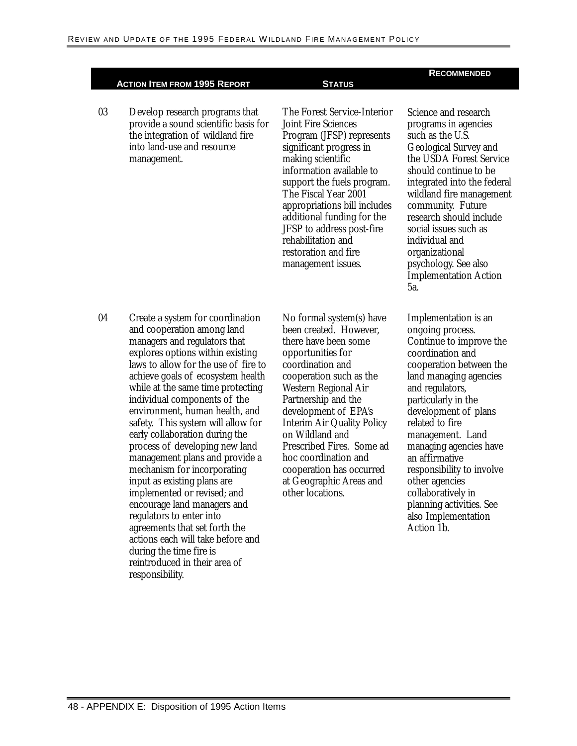03 Develop research programs that provide a sound scientific basis for the integration of wildland fire into land-use and resource management.

The Forest Service-Interior Joint Fire Sciences Program (JFSP) represents significant progress in making scientific information available to support the fuels program. The Fiscal Year 2001 appropriations bill includes additional funding for the JFSP to address post-fire rehabilitation and restoration and fire management issues.

#### **RECOMMENDED**

Science and research programs in agencies such as the U.S. Geological Survey and the USDA Forest Service should continue to be integrated into the federal wildland fire management community. Future research should include social issues such as individual and organizational psychology. See also Implementation Action 5a.

04 Create a system for coordination and cooperation among land managers and regulators that explores options within existing laws to allow for the use of fire to achieve goals of ecosystem health while at the same time protecting individual components of the environment, human health, and safety. This system will allow for early collaboration during the process of developing new land management plans and provide a mechanism for incorporating input as existing plans are implemented or revised; and encourage land managers and regulators to enter into agreements that set forth the actions each will take before and during the time fire is reintroduced in their area of responsibility.

No formal system(s) have been created. However, there have been some opportunities for coordination and cooperation such as the Western Regional Air Partnership and the development of EPA's Interim Air Quality Policy on Wildland and Prescribed Fires. Some ad hoc coordination and cooperation has occurred at Geographic Areas and other locations.

Implementation is an ongoing process. Continue to improve the coordination and cooperation between the land managing agencies and regulators, particularly in the development of plans related to fire management. Land managing agencies have an affirmative responsibility to involve other agencies collaboratively in planning activities. See also Implementation Action 1b.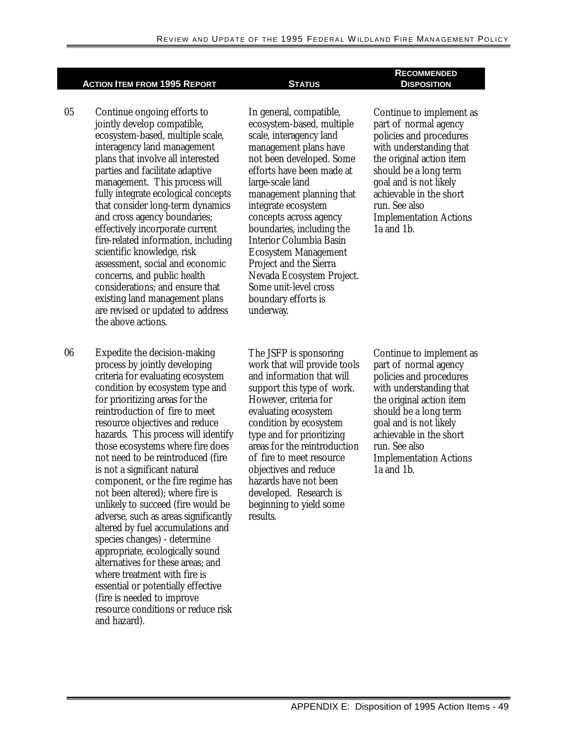- 05 Continue ongoing efforts to jointly develop compatible, ecosystem-based, multiple scale, interagency land management plans that involve all interested parties and facilitate adaptive management. This process will fully integrate ecological concepts that consider long-term dynamics and cross agency boundaries; effectively incorporate current fire-related information, including scientific knowledge, risk assessment, social and economic concerns, and public health considerations; and ensure that existing land management plans are revised or updated to address the above actions.
- hazards. This process will identify 06 Expedite the decision-making process by jointly developing criteria for evaluating ecosystem condition by ecosystem type and for prioritizing areas for the reintroduction of fire to meet resource objectives and reduce those ecosystems where fire does not need to be reintroduced (fire is not a significant natural component, or the fire regime has not been altered); where fire is unlikely to succeed (fire would be adverse, such as areas significantly altered by fuel accumulations and species changes) - determine appropriate, ecologically sound alternatives for these areas; and where treatment with fire is essential or potentially effective (fire is needed to improve resource conditions or reduce risk and hazard).

In general, compatible, ecosystem-based, multiple scale, interagency land management plans have not been developed. Some efforts have been made at large-scale land management planning that integrate ecosystem concepts across agency boundaries, including the Interior Columbia Basin Ecosystem Management Project and the Sierra Nevada Ecosystem Project. Some unit-level cross boundary efforts is underway.

The JSFP is sponsoring work that will provide tools and information that will support this type of work. However, criteria for evaluating ecosystem condition by ecosystem type and for prioritizing areas for the reintroduction of fire to meet resource objectives and reduce hazards have not been developed. Research is beginning to yield some results.

#### **RECOMMENDED DISPOSITION**

Continue to implement as part of normal agency policies and procedures with understanding that the original action item should be a long term goal and is not likely achievable in the short run. See also Implementation Actions 1a and 1b.

Continue to implement as part of normal agency policies and procedures with understanding that the original action item should be a long term goal and is not likely achievable in the short run. See also Implementation Actions 1a and 1b.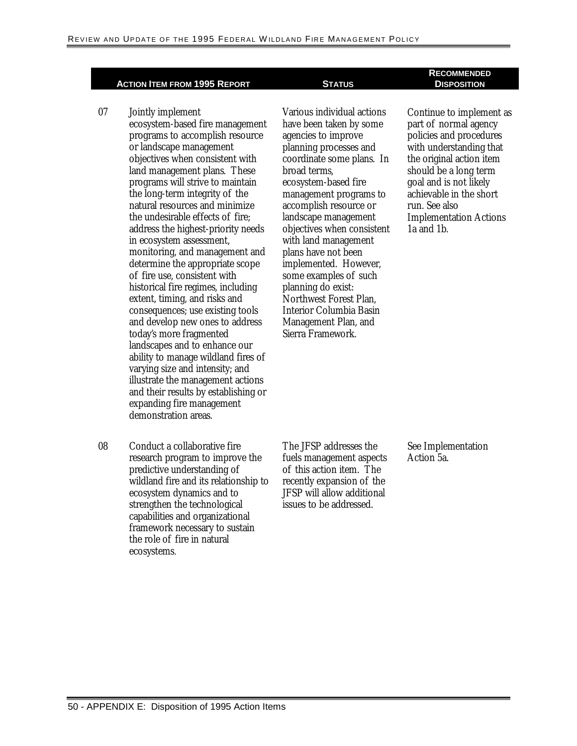- 07 Jointly implement ecosystem-based fire management programs to accomplish resource or landscape management objectives when consistent with land management plans. These programs will strive to maintain the long-term integrity of the natural resources and minimize the undesirable effects of fire; address the highest-priority needs in ecosystem assessment, monitoring, and management and determine the appropriate scope of fire use, consistent with historical fire regimes, including extent, timing, and risks and consequences; use existing tools and develop new ones to address today's more fragmented landscapes and to enhance our ability to manage wildland fires of varying size and intensity; and illustrate the management actions and their results by establishing or expanding fire management demonstration areas.
- 08 Conduct a collaborative fire research program to improve the predictive understanding of wildland fire and its relationship to ecosystem dynamics and to strengthen the technological capabilities and organizational framework necessary to sustain the role of fire in natural ecosystems*.*

 coordinate some plans. In Various individual actions have been taken by some agencies to improve planning processes and broad terms, ecosystem-based fire management programs to accomplish resource or landscape management objectives when consistent with land management plans have not been implemented. However, some examples of such planning do exist: Northwest Forest Plan, Interior Columbia Basin Management Plan, and Sierra Framework.

#### **RECOMMENDED DISPOSITION**

Continue to implement as part of normal agency policies and procedures with understanding that the original action item should be a long term goal and is not likely achievable in the short run. See also Implementation Actions 1a and 1b.

The JFSP addresses the fuels management aspects of this action item. The recently expansion of the JFSP will allow additional issues to be addressed.

See Implementation Action 5a.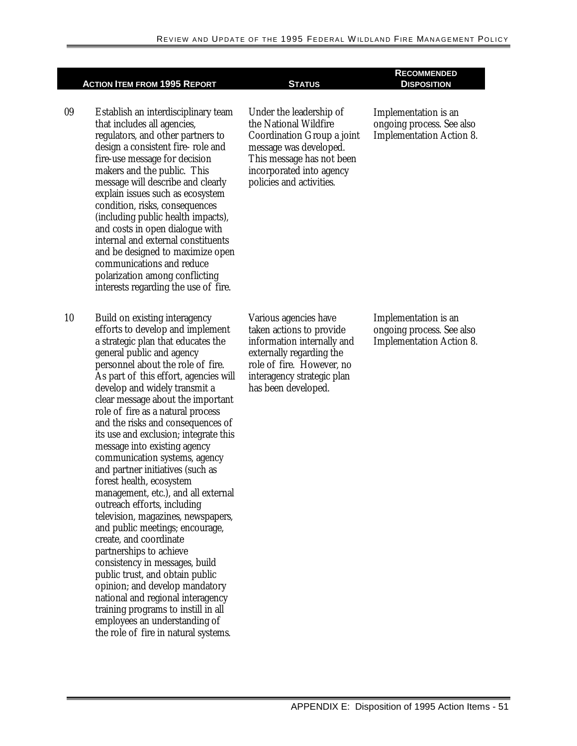|    | <b>ACTION ITEM FROM 1995 REPORT</b>                                                                                                                                                                                                                                                                                                                                                                                                                                                                                                                                                                                                                                                                                                                                                                                                                                                                                                                                                                          | <b>STATUS</b>                                                                                                                                                                                 | <b>RECOMMENDED</b><br><b>DISPOSITION</b>                                             |
|----|--------------------------------------------------------------------------------------------------------------------------------------------------------------------------------------------------------------------------------------------------------------------------------------------------------------------------------------------------------------------------------------------------------------------------------------------------------------------------------------------------------------------------------------------------------------------------------------------------------------------------------------------------------------------------------------------------------------------------------------------------------------------------------------------------------------------------------------------------------------------------------------------------------------------------------------------------------------------------------------------------------------|-----------------------------------------------------------------------------------------------------------------------------------------------------------------------------------------------|--------------------------------------------------------------------------------------|
| 09 | Establish an interdisciplinary team<br>that includes all agencies,<br>regulators, and other partners to<br>design a consistent fire-role and<br>fire-use message for decision<br>makers and the public. This<br>message will describe and clearly<br>explain issues such as ecosystem<br>condition, risks, consequences<br>(including public health impacts),<br>and costs in open dialogue with<br>internal and external constituents<br>and be designed to maximize open<br>communications and reduce<br>polarization among conflicting<br>interests regarding the use of fire.                                                                                                                                                                                                                                                                                                                                                                                                                            | Under the leadership of<br>the National Wildfire<br>Coordination Group a joint<br>message was developed.<br>This message has not been<br>incorporated into agency<br>policies and activities. | Implementation is an<br>ongoing process. See also<br><b>Implementation Action 8.</b> |
| 10 | Build on existing interagency<br>efforts to develop and implement<br>a strategic plan that educates the<br>general public and agency<br>personnel about the role of fire.<br>As part of this effort, agencies will<br>develop and widely transmit a<br>clear message about the important<br>role of fire as a natural process<br>and the risks and consequences of<br>its use and exclusion; integrate this<br>message into existing agency<br>communication systems, agency<br>and partner initiatives (such as<br>forest health, ecosystem<br>management, etc.), and all external<br>outreach efforts, including<br>television, magazines, newspapers,<br>and public meetings; encourage,<br>create, and coordinate<br>partnerships to achieve<br>consistency in messages, build<br>public trust, and obtain public<br>opinion; and develop mandatory<br>national and regional interagency<br>training programs to instill in all<br>employees an understanding of<br>the role of fire in natural systems. | Various agencies have<br>taken actions to provide<br>information internally and<br>externally regarding the<br>role of fire. However, no<br>interagency strategic plan<br>has been developed. | Implementation is an<br>ongoing process. See also<br><b>Implementation Action 8.</b> |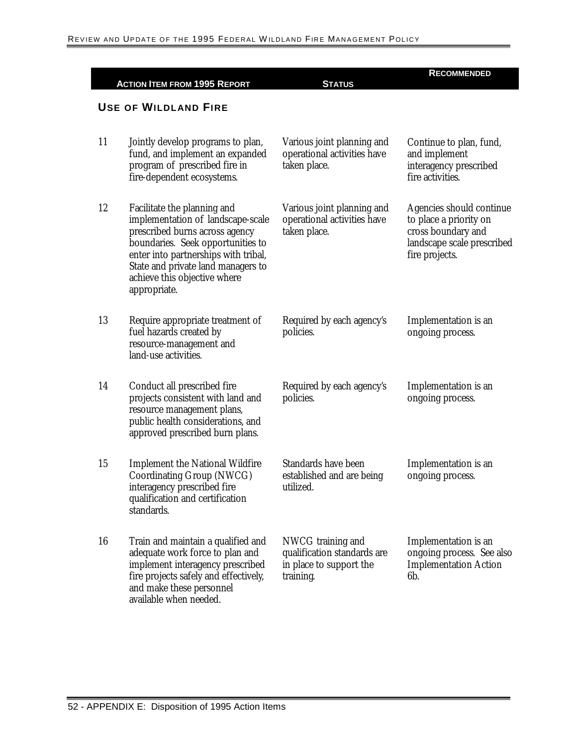|    | <b>ACTION ITEM FROM 1995 REPORT</b>                                                                                                                                                                                                                                   | <b>STATUS</b>                                                                            | <b>RECOMMENDED</b>                                                                                                       |
|----|-----------------------------------------------------------------------------------------------------------------------------------------------------------------------------------------------------------------------------------------------------------------------|------------------------------------------------------------------------------------------|--------------------------------------------------------------------------------------------------------------------------|
|    | <b>USE OF WILDLAND FIRE</b>                                                                                                                                                                                                                                           |                                                                                          |                                                                                                                          |
| 11 | Jointly develop programs to plan,<br>fund, and implement an expanded<br>program of prescribed fire in<br>fire-dependent ecosystems.                                                                                                                                   | Various joint planning and<br>operational activities have<br>taken place.                | Continue to plan, fund,<br>and implement<br>interagency prescribed<br>fire activities.                                   |
| 12 | Facilitate the planning and<br>implementation of landscape-scale<br>prescribed burns across agency<br>boundaries. Seek opportunities to<br>enter into partnerships with tribal,<br>State and private land managers to<br>achieve this objective where<br>appropriate. | Various joint planning and<br>operational activities have<br>taken place.                | Agencies should continue<br>to place a priority on<br>cross boundary and<br>landscape scale prescribed<br>fire projects. |
| 13 | Require appropriate treatment of<br>fuel hazards created by<br>resource-management and<br>land-use activities.                                                                                                                                                        | Required by each agency's<br>policies.                                                   | Implementation is an<br>ongoing process.                                                                                 |
| 14 | Conduct all prescribed fire<br>projects consistent with land and<br>resource management plans,<br>public health considerations, and<br>approved prescribed burn plans.                                                                                                | Required by each agency's<br>policies.                                                   | Implementation is an<br>ongoing process.                                                                                 |
| 15 | <b>Implement the National Wildfire</b><br>Coordinating Group (NWCG)<br>interagency prescribed fire<br>qualification and certification<br>standards.                                                                                                                   | <b>Standards have been</b><br>established and are being<br>utilized.                     | Implementation is an<br>ongoing process.                                                                                 |
| 16 | Train and maintain a qualified and<br>adequate work force to plan and<br>implement interagency prescribed<br>fire projects safely and effectively,<br>and make these personnel<br>available when needed.                                                              | NWCG training and<br>qualification standards are<br>in place to support the<br>training. | Implementation is an<br>ongoing process. See also<br><b>Implementation Action</b><br>6b.                                 |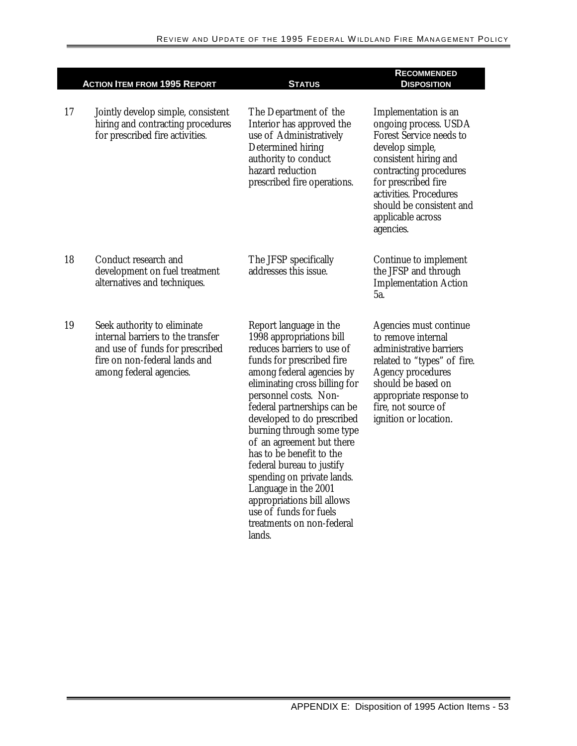|    | <b>ACTION ITEM FROM 1995 REPORT</b>                                                                                                                             | <b>STATUS</b>                                                                                                                                                                                                                                                                                                                                                                                                                                                                                                                             | <b>RECOMMENDED</b><br><b>DISPOSITION</b>                                                                                                                                                                                                                             |
|----|-----------------------------------------------------------------------------------------------------------------------------------------------------------------|-------------------------------------------------------------------------------------------------------------------------------------------------------------------------------------------------------------------------------------------------------------------------------------------------------------------------------------------------------------------------------------------------------------------------------------------------------------------------------------------------------------------------------------------|----------------------------------------------------------------------------------------------------------------------------------------------------------------------------------------------------------------------------------------------------------------------|
| 17 | Jointly develop simple, consistent<br>hiring and contracting procedures<br>for prescribed fire activities.                                                      | The Department of the<br>Interior has approved the<br>use of Administratively<br>Determined hiring<br>authority to conduct<br>hazard reduction<br>prescribed fire operations.                                                                                                                                                                                                                                                                                                                                                             | Implementation is an<br>ongoing process. USDA<br><b>Forest Service needs to</b><br>develop simple,<br>consistent hiring and<br>contracting procedures<br>for prescribed fire<br>activities. Procedures<br>should be consistent and<br>applicable across<br>agencies. |
| 18 | Conduct research and<br>development on fuel treatment<br>alternatives and techniques.                                                                           | The JFSP specifically<br>addresses this issue.                                                                                                                                                                                                                                                                                                                                                                                                                                                                                            | Continue to implement<br>the JFSP and through<br><b>Implementation Action</b><br>5a.                                                                                                                                                                                 |
| 19 | Seek authority to eliminate<br>internal barriers to the transfer<br>and use of funds for prescribed<br>fire on non-federal lands and<br>among federal agencies. | Report language in the<br>1998 appropriations bill<br>reduces barriers to use of<br>funds for prescribed fire<br>among federal agencies by<br>eliminating cross billing for<br>personnel costs. Non-<br>federal partnerships can be<br>developed to do prescribed<br>burning through some type<br>of an agreement but there<br>has to be benefit to the<br>federal bureau to justify<br>spending on private lands.<br>Language in the 2001<br>appropriations bill allows<br>use of funds for fuels<br>treatments on non-federal<br>lands. | Agencies must continue<br>to remove internal<br>administrative barriers<br>related to "types" of fire.<br><b>Agency procedures</b><br>should be based on<br>appropriate response to<br>fire, not source of<br>ignition or location.                                  |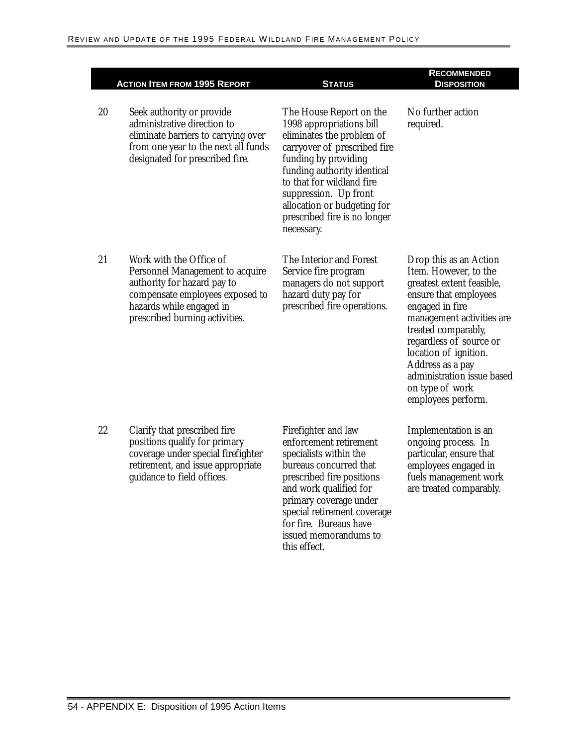Γ

|    | <b>ACTION ITEM FROM 1995 REPORT</b>                                                                                                                                                        | <b>STATUS</b>                                                                                                                                                                                                                                                                                              | <b>RECOMMENDED</b><br><b>DISPOSITION</b>                                                                                                                                                                                                                                                                                    |
|----|--------------------------------------------------------------------------------------------------------------------------------------------------------------------------------------------|------------------------------------------------------------------------------------------------------------------------------------------------------------------------------------------------------------------------------------------------------------------------------------------------------------|-----------------------------------------------------------------------------------------------------------------------------------------------------------------------------------------------------------------------------------------------------------------------------------------------------------------------------|
| 20 | Seek authority or provide<br>administrative direction to<br>eliminate barriers to carrying over<br>from one year to the next all funds<br>designated for prescribed fire.                  | The House Report on the<br>1998 appropriations bill<br>eliminates the problem of<br>carryover of prescribed fire<br>funding by providing<br>funding authority identical<br>to that for wildland fire<br>suppression. Up front<br>allocation or budgeting for<br>prescribed fire is no longer<br>necessary. | No further action<br>required.                                                                                                                                                                                                                                                                                              |
| 21 | Work with the Office of<br>Personnel Management to acquire<br>authority for hazard pay to<br>compensate employees exposed to<br>hazards while engaged in<br>prescribed burning activities. | The Interior and Forest<br>Service fire program<br>managers do not support<br>hazard duty pay for<br>prescribed fire operations.                                                                                                                                                                           | Drop this as an Action<br>Item. However, to the<br>greatest extent feasible,<br>ensure that employees<br>engaged in fire<br>management activities are<br>treated comparably,<br>regardless of source or<br>location of ignition.<br>Address as a pay<br>administration issue based<br>on type of work<br>employees perform. |
| 22 | Clarify that prescribed fire<br>positions qualify for primary<br>coverage under special firefighter<br>retirement, and issue appropriate<br>guidance to field offices.                     | Firefighter and law<br>enforcement retirement<br>specialists within the<br>bureaus concurred that<br>prescribed fire positions<br>and work qualified for<br>primary coverage under<br>special retirement coverage                                                                                          | Implementation is an<br>ongoing process. In<br>particular, ensure that<br>employees engaged in<br>fuels management work<br>are treated comparably.                                                                                                                                                                          |

for fire. Bureaus have issued memorandums to

this effect.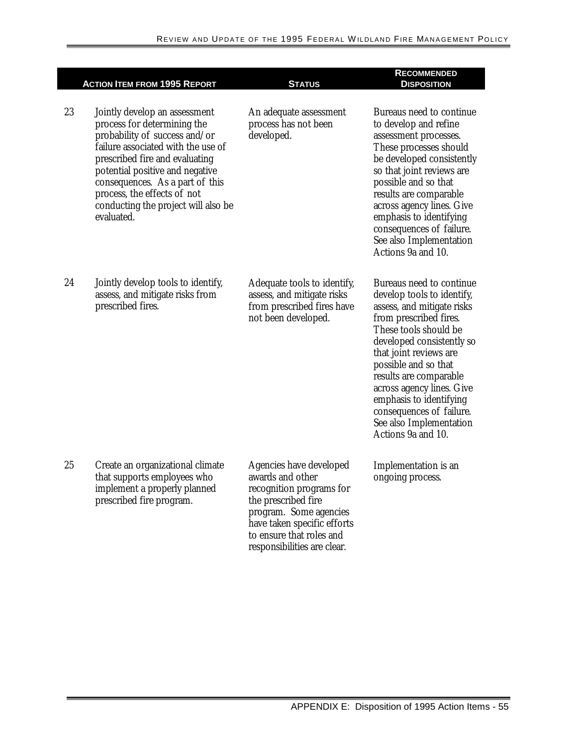|    | <b>ACTION ITEM FROM 1995 REPORT</b>                                                                                                                                                                                                                                                                                             | <b>STATUS</b>                                                                                                                                                                                                      | <b>RECOMMENDED</b><br><b>DISPOSITION</b>                                                                                                                                                                                                                                                                                                                                              |
|----|---------------------------------------------------------------------------------------------------------------------------------------------------------------------------------------------------------------------------------------------------------------------------------------------------------------------------------|--------------------------------------------------------------------------------------------------------------------------------------------------------------------------------------------------------------------|---------------------------------------------------------------------------------------------------------------------------------------------------------------------------------------------------------------------------------------------------------------------------------------------------------------------------------------------------------------------------------------|
| 23 | Jointly develop an assessment<br>process for determining the<br>probability of success and/or<br>failure associated with the use of<br>prescribed fire and evaluating<br>potential positive and negative<br>consequences. As a part of this<br>process, the effects of not<br>conducting the project will also be<br>evaluated. | An adequate assessment<br>process has not been<br>developed.                                                                                                                                                       | Bureaus need to continue<br>to develop and refine<br>assessment processes.<br>These processes should<br>be developed consistently<br>so that joint reviews are<br>possible and so that<br>results are comparable<br>across agency lines. Give<br>emphasis to identifying<br>consequences of failure.<br>See also Implementation<br>Actions 9a and 10.                                 |
| 24 | Jointly develop tools to identify,<br>assess, and mitigate risks from<br>prescribed fires.                                                                                                                                                                                                                                      | Adequate tools to identify,<br>assess, and mitigate risks<br>from prescribed fires have<br>not been developed.                                                                                                     | Bureaus need to continue<br>develop tools to identify,<br>assess, and mitigate risks<br>from prescribed fires.<br>These tools should be<br>developed consistently so<br>that joint reviews are<br>possible and so that<br>results are comparable<br>across agency lines. Give<br>emphasis to identifying<br>consequences of failure.<br>See also Implementation<br>Actions 9a and 10. |
| 25 | Create an organizational climate<br>that supports employees who<br>implement a properly planned<br>prescribed fire program.                                                                                                                                                                                                     | Agencies have developed<br>awards and other<br>recognition programs for<br>the prescribed fire<br>program. Some agencies<br>have taken specific efforts<br>to ensure that roles and<br>responsibilities are clear. | Implementation is an<br>ongoing process.                                                                                                                                                                                                                                                                                                                                              |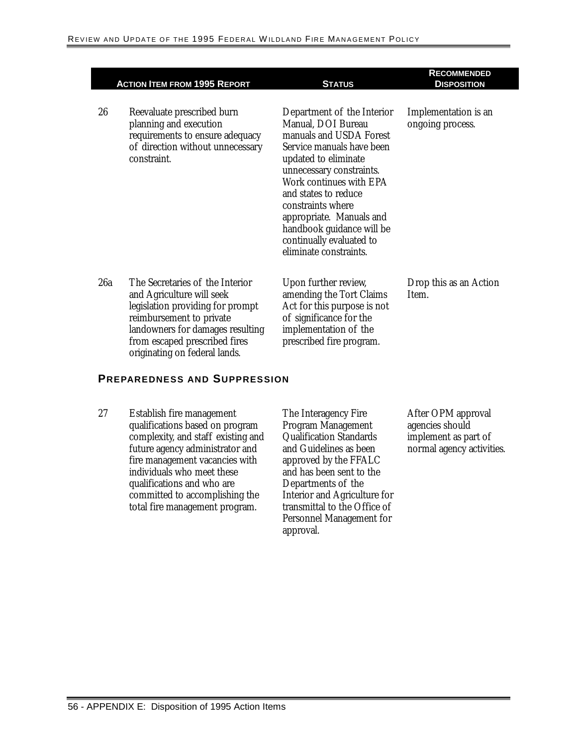|     | <b>ACTION ITEM FROM 1995 REPORT</b>                                                                                                                                                                                                | <b>STATUS</b>                                                                                                                                                                                                                                                                                                                                       | <b>RECOMMENDED</b><br><b>DISPOSITION</b> |
|-----|------------------------------------------------------------------------------------------------------------------------------------------------------------------------------------------------------------------------------------|-----------------------------------------------------------------------------------------------------------------------------------------------------------------------------------------------------------------------------------------------------------------------------------------------------------------------------------------------------|------------------------------------------|
| 26  | Reevaluate prescribed burn<br>planning and execution<br>requirements to ensure adequacy<br>of direction without unnecessary<br>constraint.                                                                                         | Department of the Interior<br>Manual, DOI Bureau<br>manuals and USDA Forest<br>Service manuals have been<br>updated to eliminate<br>unnecessary constraints.<br>Work continues with EPA<br>and states to reduce<br>constraints where<br>appropriate. Manuals and<br>handbook guidance will be<br>continually evaluated to<br>eliminate constraints. | Implementation is an<br>ongoing process. |
| 26a | The Secretaries of the Interior<br>and Agriculture will seek<br>legislation providing for prompt<br>reimbursement to private<br>landowners for damages resulting<br>from escaped prescribed fires<br>originating on federal lands. | Upon further review,<br>amending the Tort Claims<br>Act for this purpose is not<br>of significance for the<br>implementation of the<br>prescribed fire program.                                                                                                                                                                                     | Drop this as an Action<br>Item.          |

#### **PREPAREDNESS AND SUPPRESSION**

27 Establish fire management qualifications based on program complexity, and staff existing and future agency administrator and fire management vacancies with individuals who meet these qualifications and who are committed to accomplishing the total fire management program.

The Interagency Fire Program Management Qualification Standards and Guidelines as been approved by the FFALC and has been sent to the Departments of the Interior and Agriculture for transmittal to the Office of Personnel Management for approval.

After OPM approval agencies should implement as part of normal agency activities.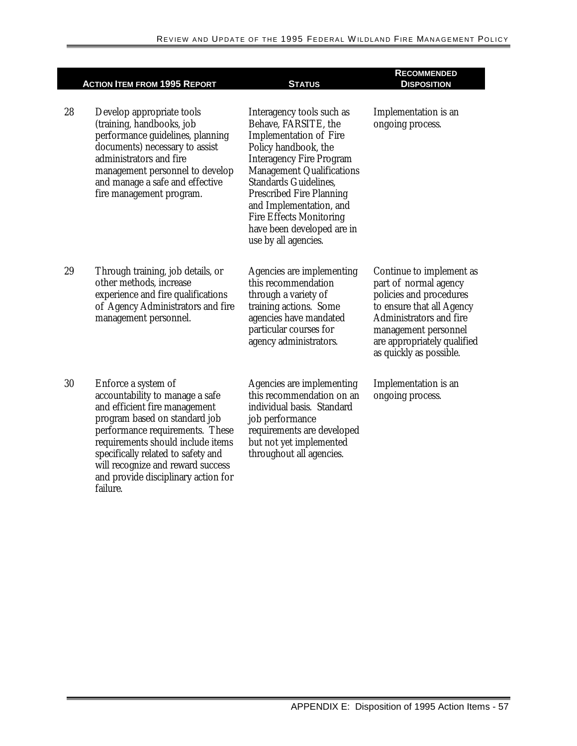|    | <b>ACTION ITEM FROM 1995 REPORT</b>                                                                                                                                                                                                                                                                                            | <b>STATUS</b>                                                                                                                                                                                                                                                                                                                                                           | <b>RECOMMENDED</b><br><b>DISPOSITION</b>                                                                                                                                                                                      |
|----|--------------------------------------------------------------------------------------------------------------------------------------------------------------------------------------------------------------------------------------------------------------------------------------------------------------------------------|-------------------------------------------------------------------------------------------------------------------------------------------------------------------------------------------------------------------------------------------------------------------------------------------------------------------------------------------------------------------------|-------------------------------------------------------------------------------------------------------------------------------------------------------------------------------------------------------------------------------|
| 28 | Develop appropriate tools<br>(training, handbooks, job<br>performance guidelines, planning<br>documents) necessary to assist<br>administrators and fire<br>management personnel to develop<br>and manage a safe and effective<br>fire management program.                                                                      | Interagency tools such as<br>Behave, FARSITE, the<br><b>Implementation of Fire</b><br>Policy handbook, the<br><b>Interagency Fire Program</b><br><b>Management Qualifications</b><br><b>Standards Guidelines.</b><br><b>Prescribed Fire Planning</b><br>and Implementation, and<br><b>Fire Effects Monitoring</b><br>have been developed are in<br>use by all agencies. | Implementation is an<br>ongoing process.                                                                                                                                                                                      |
| 29 | Through training, job details, or<br>other methods, increase<br>experience and fire qualifications<br>of Agency Administrators and fire<br>management personnel.                                                                                                                                                               | Agencies are implementing<br>this recommendation<br>through a variety of<br>training actions. Some<br>agencies have mandated<br>particular courses for<br>agency administrators.                                                                                                                                                                                        | Continue to implement as<br>part of normal agency<br>policies and procedures<br>to ensure that all Agency<br><b>Administrators and fire</b><br>management personnel<br>are appropriately qualified<br>as quickly as possible. |
| 30 | Enforce a system of<br>accountability to manage a safe<br>and efficient fire management<br>program based on standard job<br>performance requirements. These<br>requirements should include items<br>specifically related to safety and<br>will recognize and reward success<br>and provide disciplinary action for<br>failure. | Agencies are implementing<br>this recommendation on an<br>individual basis. Standard<br>job performance<br>requirements are developed<br>but not yet implemented<br>throughout all agencies.                                                                                                                                                                            | Implementation is an<br>ongoing process.                                                                                                                                                                                      |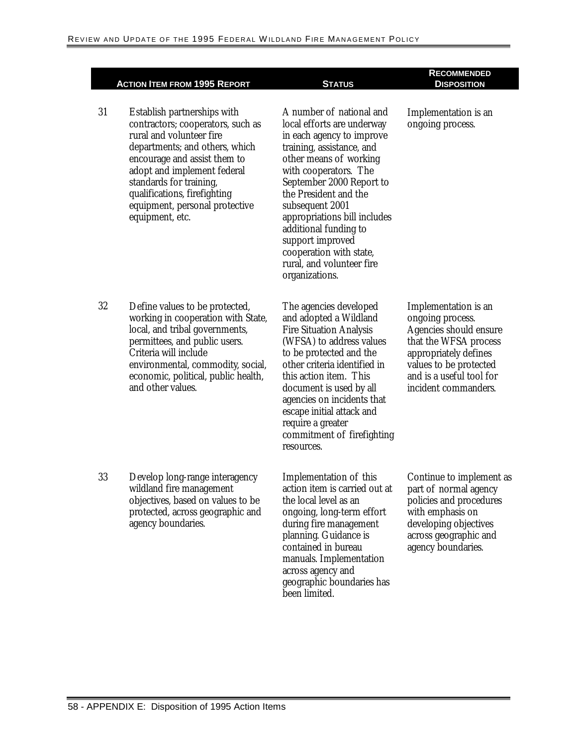31 Establish partnerships with contractors; cooperators, such as rural and volunteer fire departments; and others, which encourage and assist them to adopt and implement federal standards for training, qualifications, firefighting equipment, personal protective equipment, etc.

A number of national and local efforts are underway in each agency to improve training, assistance, and other means of working with cooperators. The September 2000 Report to the President and the subsequent 2001 appropriations bill includes additional funding to support improved cooperation with state, rural, and volunteer fire organizations.

The agencies developed and adopted a Wildland Fire Situation Analysis (WFSA) to address values to be protected and the other criteria identified in this action item. This document is used by all agencies on incidents that escape initial attack and require a greater resources.

action item is carried out at the local level as an ongoing, long-term effort during fire management planning. Guidance is contained in bureau manuals. Implementation across agency and geographic boundaries has been limited.

## **DISPOSITION**

**RECOMMENDED** 

Implementation is an ongoing process.

Implementation is an ongoing process. Agencies should ensure that the WFSA process appropriately defines values to be protected and is a useful tool for incident commanders.

Continue to implement as part of normal agency policies and procedures with emphasis on developing objectives across geographic and agency boundaries.

32 Define values to be protected, working in cooperation with State, local, and tribal governments, permittees, and public users. Criteria will include environmental, commodity, social, economic, political, public health, and other values. commitment of firefighting 33 Develop long-range interagency wildland fire management objectives, based on values to be protected, across geographic and agency boundaries. Implementation of this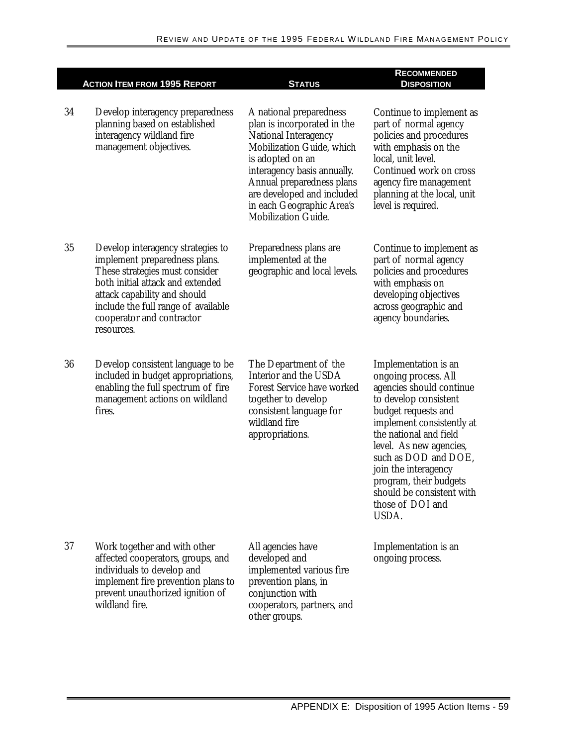|    | <b>ACTION ITEM FROM 1995 REPORT</b>                                                                                                                                                                                                                        | <b>STATUS</b>                                                                                                                                                                                                                                                                               | <b>RECOMMENDED</b><br><b>DISPOSITION</b>                                                                                                                                                                                                                                                                                                       |
|----|------------------------------------------------------------------------------------------------------------------------------------------------------------------------------------------------------------------------------------------------------------|---------------------------------------------------------------------------------------------------------------------------------------------------------------------------------------------------------------------------------------------------------------------------------------------|------------------------------------------------------------------------------------------------------------------------------------------------------------------------------------------------------------------------------------------------------------------------------------------------------------------------------------------------|
| 34 | Develop interagency preparedness<br>planning based on established<br>interagency wildland fire<br>management objectives.                                                                                                                                   | A national preparedness<br>plan is incorporated in the<br><b>National Interagency</b><br>Mobilization Guide, which<br>is adopted on an<br>interagency basis annually.<br>Annual preparedness plans<br>are developed and included<br>in each Geographic Area's<br><b>Mobilization Guide.</b> | Continue to implement as<br>part of normal agency<br>policies and procedures<br>with emphasis on the<br>local, unit level.<br>Continued work on cross<br>agency fire management<br>planning at the local, unit<br>level is required.                                                                                                           |
| 35 | Develop interagency strategies to<br>implement preparedness plans.<br>These strategies must consider<br>both initial attack and extended<br>attack capability and should<br>include the full range of available<br>cooperator and contractor<br>resources. | Preparedness plans are<br>implemented at the<br>geographic and local levels.                                                                                                                                                                                                                | Continue to implement as<br>part of normal agency<br>policies and procedures<br>with emphasis on<br>developing objectives<br>across geographic and<br>agency boundaries.                                                                                                                                                                       |
| 36 | Develop consistent language to be<br>included in budget appropriations,<br>enabling the full spectrum of fire<br>management actions on wildland<br>fires.                                                                                                  | The Department of the<br>Interior and the USDA<br><b>Forest Service have worked</b><br>together to develop<br>consistent language for<br>wildland fire<br>appropriations.                                                                                                                   | Implementation is an<br>ongoing process. All<br>agencies should continue<br>to develop consistent<br>budget requests and<br>implement consistently at<br>the national and field<br>level. As new agencies,<br>such as DOD and DOE,<br>join the interagency<br>program, their budgets<br>should be consistent with<br>those of DOI and<br>USDA. |
| 37 | Work together and with other<br>affected cooperators, groups, and<br>individuals to develop and<br>implement fire prevention plans to<br>prevent unauthorized ignition of<br>wildland fire.                                                                | All agencies have<br>developed and<br>implemented various fire<br>prevention plans, in<br>conjunction with<br>cooperators, partners, and<br>other groups.                                                                                                                                   | Implementation is an<br>ongoing process.                                                                                                                                                                                                                                                                                                       |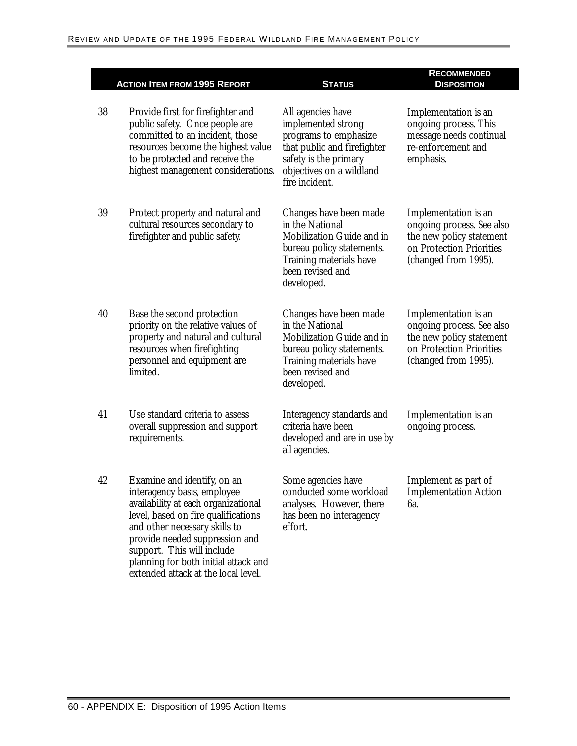|    |                                                                                                                                                                                                                                                                                   |                                                                                                                                                                        | <b>RECOMMENDED</b>                                                                                                                |
|----|-----------------------------------------------------------------------------------------------------------------------------------------------------------------------------------------------------------------------------------------------------------------------------------|------------------------------------------------------------------------------------------------------------------------------------------------------------------------|-----------------------------------------------------------------------------------------------------------------------------------|
|    | <b>ACTION ITEM FROM 1995 REPORT</b>                                                                                                                                                                                                                                               | <b>STATUS</b>                                                                                                                                                          | <b>DISPOSITION</b>                                                                                                                |
| 38 | Provide first for firefighter and<br>public safety. Once people are<br>committed to an incident, those<br>resources become the highest value<br>to be protected and receive the<br>highest management considerations.                                                             | All agencies have<br>implemented strong<br>programs to emphasize<br>that public and firefighter<br>safety is the primary<br>objectives on a wildland<br>fire incident. | Implementation is an<br>ongoing process. This<br>message needs continual<br>re-enforcement and<br>emphasis.                       |
| 39 | Protect property and natural and<br>cultural resources secondary to<br>firefighter and public safety.                                                                                                                                                                             | Changes have been made<br>in the National<br>Mobilization Guide and in<br>bureau policy statements.<br>Training materials have<br>been revised and<br>developed.       | Implementation is an<br>ongoing process. See also<br>the new policy statement<br>on Protection Priorities<br>(changed from 1995). |
| 40 | Base the second protection<br>priority on the relative values of<br>property and natural and cultural<br>resources when firefighting<br>personnel and equipment are<br>limited.                                                                                                   | Changes have been made<br>in the National<br>Mobilization Guide and in<br>bureau policy statements.<br>Training materials have<br>been revised and<br>developed.       | Implementation is an<br>ongoing process. See also<br>the new policy statement<br>on Protection Priorities<br>(changed from 1995). |
| 41 | Use standard criteria to assess<br>overall suppression and support<br>requirements.                                                                                                                                                                                               | Interagency standards and<br>criteria have been<br>developed and are in use by<br>all agencies.                                                                        | Implementation is an<br>ongoing process.                                                                                          |
| 42 | Examine and identify, on an<br>interagency basis, employee<br>availability at each organizational<br>level, based on fire qualifications<br>and other necessary skills to<br>provide needed suppression and<br>support. This will include<br>planning for both initial attack and | Some agencies have<br>conducted some workload<br>analyses. However, there<br>has been no interagency<br>effort.                                                        | Implement as part of<br><b>Implementation Action</b><br>6а.                                                                       |

extended attack at the local level.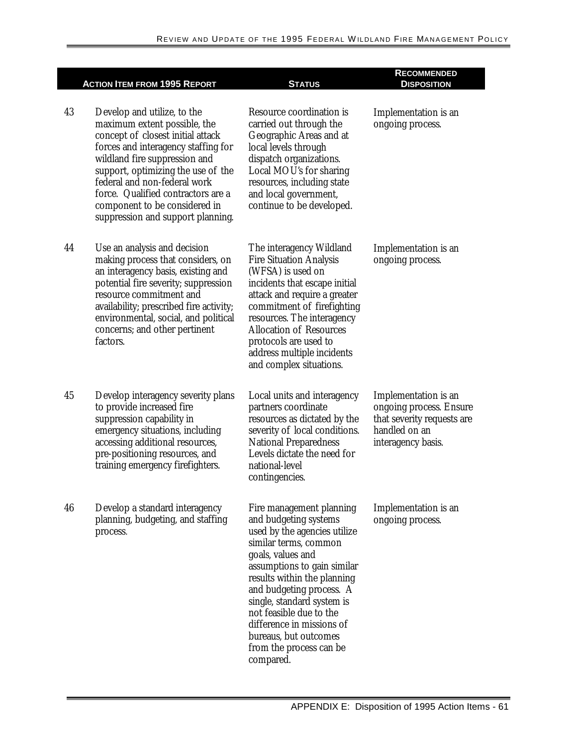|    | <b>ACTION ITEM FROM 1995 REPORT</b>                                                                                                                                                                                                                                                                                                                        | <b>STATUS</b>                                                                                                                                                                                                                                                                                                                                                                    | <b>RECOMMENDED</b><br><b>DISPOSITION</b>                                                                             |
|----|------------------------------------------------------------------------------------------------------------------------------------------------------------------------------------------------------------------------------------------------------------------------------------------------------------------------------------------------------------|----------------------------------------------------------------------------------------------------------------------------------------------------------------------------------------------------------------------------------------------------------------------------------------------------------------------------------------------------------------------------------|----------------------------------------------------------------------------------------------------------------------|
| 43 | Develop and utilize, to the<br>maximum extent possible, the<br>concept of closest initial attack<br>forces and interagency staffing for<br>wildland fire suppression and<br>support, optimizing the use of the<br>federal and non-federal work<br>force. Qualified contractors are a<br>component to be considered in<br>suppression and support planning. | Resource coordination is<br>carried out through the<br>Geographic Areas and at<br>local levels through<br>dispatch organizations.<br>Local MOU's for sharing<br>resources, including state<br>and local government,<br>continue to be developed.                                                                                                                                 | Implementation is an<br>ongoing process.                                                                             |
| 44 | Use an analysis and decision<br>making process that considers, on<br>an interagency basis, existing and<br>potential fire severity; suppression<br>resource commitment and<br>availability; prescribed fire activity;<br>environmental, social, and political<br>concerns; and other pertinent<br>factors.                                                 | The interagency Wildland<br><b>Fire Situation Analysis</b><br>(WFSA) is used on<br>incidents that escape initial<br>attack and require a greater<br>commitment of firefighting<br>resources. The interagency<br><b>Allocation of Resources</b><br>protocols are used to<br>address multiple incidents<br>and complex situations.                                                 | Implementation is an<br>ongoing process.                                                                             |
| 45 | Develop interagency severity plans<br>to provide increased fire<br>suppression capability in<br>emergency situations, including<br>accessing additional resources,<br>pre-positioning resources, and<br>training emergency firefighters.                                                                                                                   | Local units and interagency<br>partners coordinate<br>resources as dictated by the<br>severity of local conditions.<br><b>National Preparedness</b><br>Levels dictate the need for<br>national-level<br>contingencies.                                                                                                                                                           | Implementation is an<br>ongoing process. Ensure<br>that severity requests are<br>handled on an<br>interagency basis. |
| 46 | Develop a standard interagency<br>planning, budgeting, and staffing<br>process.                                                                                                                                                                                                                                                                            | Fire management planning<br>and budgeting systems<br>used by the agencies utilize<br>similar terms, common<br>goals, values and<br>assumptions to gain similar<br>results within the planning<br>and budgeting process. A<br>single, standard system is<br>not feasible due to the<br>difference in missions of<br>bureaus, but outcomes<br>from the process can be<br>compared. | Implementation is an<br>ongoing process.                                                                             |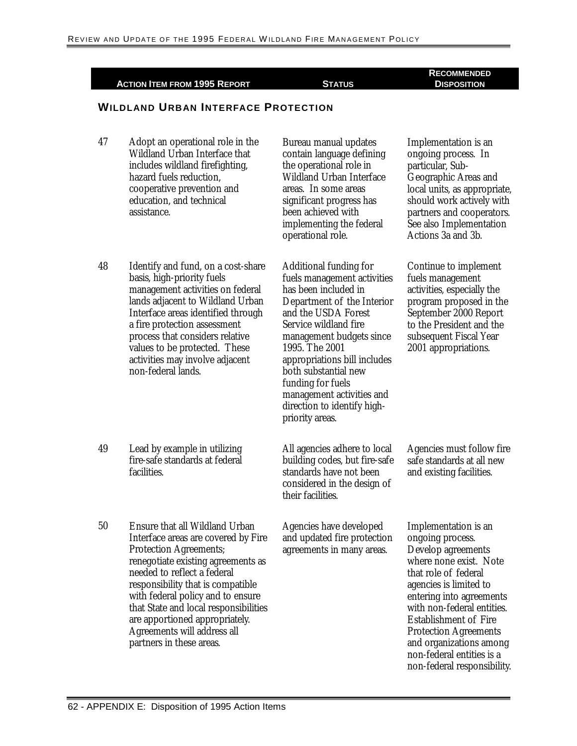**ACTION ITEM FROM 1995 REPORT STATUS RECOMMENDED** 

#### **DISPOSITION**

#### **WILDLAND URBAN INTERFACE PROTECTION**

| 47 | Adopt an operational role in the<br>Wildland Urban Interface that<br>includes wildland firefighting,<br>hazard fuels reduction,<br>cooperative prevention and<br>education, and technical<br>assistance.                                                                                                                                                                                    | Bureau manual updates<br>contain language defining<br>the operational role in<br><b>Wildland Urban Interface</b><br>areas. In some areas<br>significant progress has<br>been achieved with<br>implementing the federal<br>operational role.                                                                                                                                  | Implementation is an<br>ongoing process. In<br>particular, Sub-<br>Geographic Areas and<br>local units, as appropriate,<br>should work actively with<br>partners and cooperators.<br>See also Implementation<br>Actions 3a and 3b.                                                                                                                          |
|----|---------------------------------------------------------------------------------------------------------------------------------------------------------------------------------------------------------------------------------------------------------------------------------------------------------------------------------------------------------------------------------------------|------------------------------------------------------------------------------------------------------------------------------------------------------------------------------------------------------------------------------------------------------------------------------------------------------------------------------------------------------------------------------|-------------------------------------------------------------------------------------------------------------------------------------------------------------------------------------------------------------------------------------------------------------------------------------------------------------------------------------------------------------|
| 48 | Identify and fund, on a cost-share<br>basis, high-priority fuels<br>management activities on federal<br>lands adjacent to Wildland Urban<br>Interface areas identified through<br>a fire protection assessment<br>process that considers relative<br>values to be protected. These<br>activities may involve adjacent<br>non-federal lands.                                                 | <b>Additional funding for</b><br>fuels management activities<br>has been included in<br>Department of the Interior<br>and the USDA Forest<br>Service wildland fire<br>management budgets since<br>1995. The 2001<br>appropriations bill includes<br>both substantial new<br>funding for fuels<br>management activities and<br>direction to identify high-<br>priority areas. | Continue to implement<br>fuels management<br>activities, especially the<br>program proposed in the<br>September 2000 Report<br>to the President and the<br>subsequent Fiscal Year<br>2001 appropriations.                                                                                                                                                   |
| 49 | Lead by example in utilizing<br>fire-safe standards at federal<br>facilities.                                                                                                                                                                                                                                                                                                               | All agencies adhere to local<br>building codes, but fire-safe<br>standards have not been<br>considered in the design of<br>their facilities.                                                                                                                                                                                                                                 | Agencies must follow fire<br>safe standards at all new<br>and existing facilities.                                                                                                                                                                                                                                                                          |
| 50 | Ensure that all Wildland Urban<br>Interface areas are covered by Fire<br><b>Protection Agreements;</b><br>renegotiate existing agreements as<br>needed to reflect a federal<br>responsibility that is compatible<br>with federal policy and to ensure<br>that State and local responsibilities<br>are apportioned appropriately.<br>Agreements will address all<br>partners in these areas. | Agencies have developed<br>and updated fire protection<br>agreements in many areas.                                                                                                                                                                                                                                                                                          | Implementation is an<br>ongoing process.<br>Develop agreements<br>where none exist. Note<br>that role of federal<br>agencies is limited to<br>entering into agreements<br>with non-federal entities.<br><b>Establishment of Fire</b><br><b>Protection Agreements</b><br>and organizations among<br>non-federal entities is a<br>non-federal responsibility. |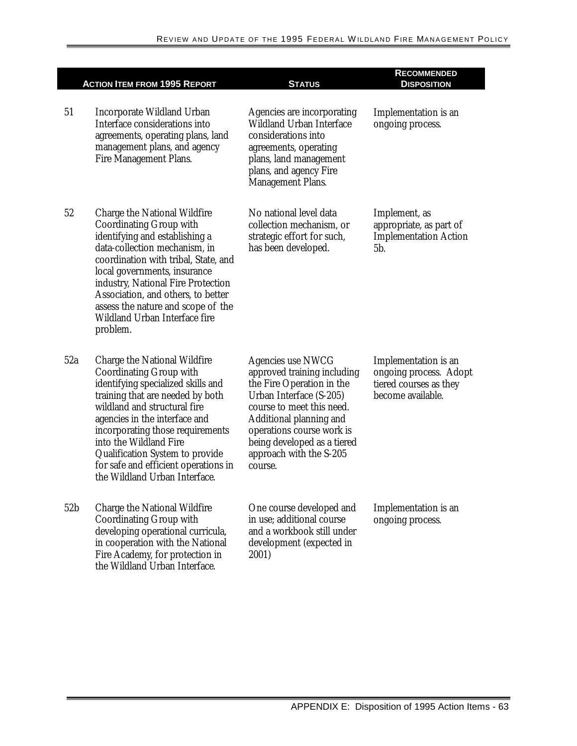|                 | <b>ACTION ITEM FROM 1995 REPORT</b>                                                                                                                                                                                                                                                                                                                                                        | <b>STATUS</b>                                                                                                                                                                                                                                                             | <b>RECOMMENDED</b><br><b>DISPOSITION</b>                                                      |
|-----------------|--------------------------------------------------------------------------------------------------------------------------------------------------------------------------------------------------------------------------------------------------------------------------------------------------------------------------------------------------------------------------------------------|---------------------------------------------------------------------------------------------------------------------------------------------------------------------------------------------------------------------------------------------------------------------------|-----------------------------------------------------------------------------------------------|
| 51              | Incorporate Wildland Urban<br>Interface considerations into<br>agreements, operating plans, land<br>management plans, and agency<br><b>Fire Management Plans.</b>                                                                                                                                                                                                                          | Agencies are incorporating<br><b>Wildland Urban Interface</b><br>considerations into<br>agreements, operating<br>plans, land management<br>plans, and agency Fire<br><b>Management Plans.</b>                                                                             | Implementation is an<br>ongoing process.                                                      |
| 52              | <b>Charge the National Wildfire</b><br><b>Coordinating Group with</b><br>identifying and establishing a<br>data-collection mechanism, in<br>coordination with tribal, State, and<br>local governments, insurance<br>industry, National Fire Protection<br>Association, and others, to better<br>assess the nature and scope of the<br><b>Wildland Urban Interface fire</b><br>problem.     | No national level data<br>collection mechanism, or<br>strategic effort for such,<br>has been developed.                                                                                                                                                                   | Implement, as<br>appropriate, as part of<br><b>Implementation Action</b><br>5b.               |
| 52a             | <b>Charge the National Wildfire</b><br><b>Coordinating Group with</b><br>identifying specialized skills and<br>training that are needed by both<br>wildland and structural fire<br>agencies in the interface and<br>incorporating those requirements<br>into the Wildland Fire<br>Qualification System to provide<br>for safe and efficient operations in<br>the Wildland Urban Interface. | <b>Agencies use NWCG</b><br>approved training including<br>the Fire Operation in the<br>Urban Interface (S-205)<br>course to meet this need.<br>Additional planning and<br>operations course work is<br>being developed as a tiered<br>approach with the S-205<br>course. | Implementation is an<br>ongoing process. Adopt<br>tiered courses as they<br>become available. |
| 52 <sub>b</sub> | <b>Charge the National Wildfire</b><br><b>Coordinating Group with</b><br>developing operational curricula,<br>in cooperation with the National<br>Fire Academy, for protection in<br>the Wildland Urban Interface.                                                                                                                                                                         | One course developed and<br>in use; additional course<br>and a workbook still under<br>development (expected in<br>2001)                                                                                                                                                  | Implementation is an<br>ongoing process.                                                      |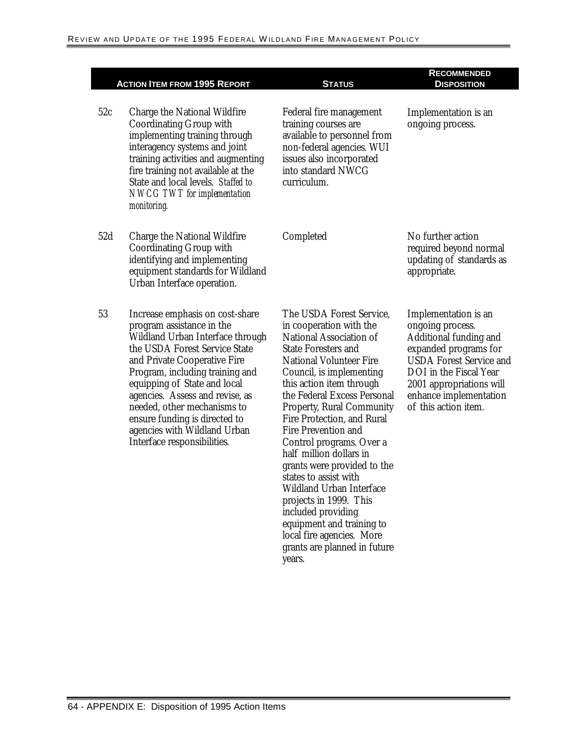|     | <b>ACTION ITEM FROM 1995 REPORT</b>                                                                                                                                                                                                                                                                                                                                                                    | <b>STATUS</b>                                                                                                                                                                                                                                                                                                                                                                                                                                                                                                                                                                                                                               | <b>RECOMMENDED</b><br><b>DISPOSITION</b>                                                                                                                                                                                              |
|-----|--------------------------------------------------------------------------------------------------------------------------------------------------------------------------------------------------------------------------------------------------------------------------------------------------------------------------------------------------------------------------------------------------------|---------------------------------------------------------------------------------------------------------------------------------------------------------------------------------------------------------------------------------------------------------------------------------------------------------------------------------------------------------------------------------------------------------------------------------------------------------------------------------------------------------------------------------------------------------------------------------------------------------------------------------------------|---------------------------------------------------------------------------------------------------------------------------------------------------------------------------------------------------------------------------------------|
| 52c | <b>Charge the National Wildfire</b><br><b>Coordinating Group with</b><br>implementing training through<br>interagency systems and joint<br>training activities and augmenting<br>fire training not available at the<br>State and local levels. Staffed to<br><b>NWCG TWT</b> for implementation<br>monitoring.                                                                                         | Federal fire management<br>training courses are<br>available to personnel from<br>non-federal agencies. WUI<br>issues also incorporated<br>into standard NWCG<br>curriculum.                                                                                                                                                                                                                                                                                                                                                                                                                                                                | Implementation is an<br>ongoing process.                                                                                                                                                                                              |
| 52d | <b>Charge the National Wildfire</b><br><b>Coordinating Group with</b><br>identifying and implementing<br>equipment standards for Wildland<br>Urban Interface operation.                                                                                                                                                                                                                                | Completed                                                                                                                                                                                                                                                                                                                                                                                                                                                                                                                                                                                                                                   | No further action<br>required beyond normal<br>updating of standards as<br>appropriate.                                                                                                                                               |
| 53  | Increase emphasis on cost-share<br>program assistance in the<br>Wildland Urban Interface through<br>the USDA Forest Service State<br>and Private Cooperative Fire<br>Program, including training and<br>equipping of State and local<br>agencies. Assess and revise, as<br>needed, other mechanisms to<br>ensure funding is directed to<br>agencies with Wildland Urban<br>Interface responsibilities. | The USDA Forest Service,<br>in cooperation with the<br><b>National Association of</b><br><b>State Foresters and</b><br><b>National Volunteer Fire</b><br>Council, is implementing<br>this action item through<br>the Federal Excess Personal<br><b>Property, Rural Community</b><br>Fire Protection, and Rural<br><b>Fire Prevention and</b><br>Control programs. Over a<br>half million dollars in<br>grants were provided to the<br>states to assist with<br>Wildland Urban Interface<br>projects in 1999. This<br>included providing<br>equipment and training to<br>local fire agencies. More<br>grants are planned in future<br>years. | Implementation is an<br>ongoing process.<br>Additional funding and<br>expanded programs for<br><b>USDA Forest Service and</b><br>DOI in the Fiscal Year<br>2001 appropriations will<br>enhance implementation<br>of this action item. |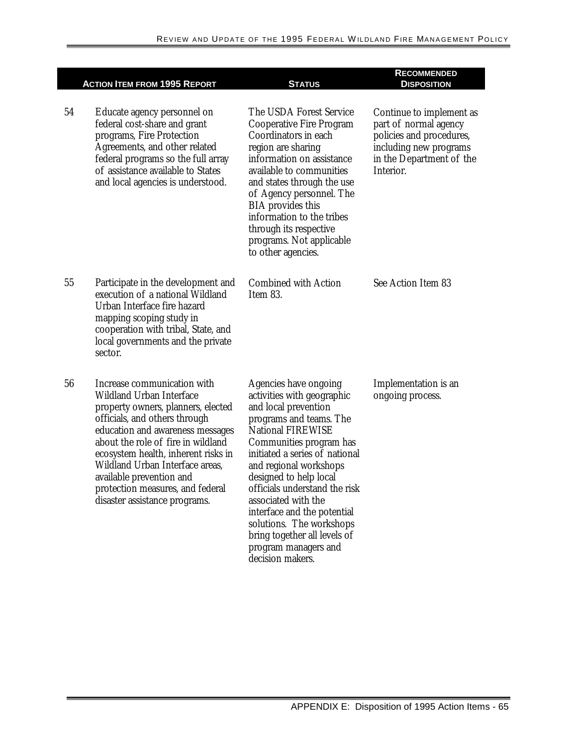|    | <b>ACTION ITEM FROM 1995 REPORT</b>                                                                                                                                                                                                                                                                                                                                                        | <b>STATUS</b>                                                                                                                                                                                                                                                                                                                                                                                                                                      | <b>RECOMMENDED</b><br><b>DISPOSITION</b>                                                                                                         |
|----|--------------------------------------------------------------------------------------------------------------------------------------------------------------------------------------------------------------------------------------------------------------------------------------------------------------------------------------------------------------------------------------------|----------------------------------------------------------------------------------------------------------------------------------------------------------------------------------------------------------------------------------------------------------------------------------------------------------------------------------------------------------------------------------------------------------------------------------------------------|--------------------------------------------------------------------------------------------------------------------------------------------------|
| 54 | Educate agency personnel on<br>federal cost-share and grant<br>programs, Fire Protection<br>Agreements, and other related<br>federal programs so the full array<br>of assistance available to States<br>and local agencies is understood.                                                                                                                                                  | The USDA Forest Service<br><b>Cooperative Fire Program</b><br>Coordinators in each<br>region are sharing<br>information on assistance<br>available to communities<br>and states through the use<br>of Agency personnel. The<br><b>BIA</b> provides this<br>information to the tribes<br>through its respective<br>programs. Not applicable<br>to other agencies.                                                                                   | Continue to implement as<br>part of normal agency<br>policies and procedures,<br>including new programs<br>in the Department of the<br>Interior. |
| 55 | Participate in the development and<br>execution of a national Wildland<br>Urban Interface fire hazard<br>mapping scoping study in<br>cooperation with tribal, State, and<br>local governments and the private<br>sector.                                                                                                                                                                   | <b>Combined with Action</b><br>Item 83.                                                                                                                                                                                                                                                                                                                                                                                                            | See Action Item 83                                                                                                                               |
| 56 | Increase communication with<br><b>Wildland Urban Interface</b><br>property owners, planners, elected<br>officials, and others through<br>education and awareness messages<br>about the role of fire in wildland<br>ecosystem health, inherent risks in<br>Wildland Urban Interface areas,<br>available prevention and<br>protection measures, and federal<br>disaster assistance programs. | Agencies have ongoing<br>activities with geographic<br>and local prevention<br>programs and teams. The<br><b>National FIREWISE</b><br>Communities program has<br>initiated a series of national<br>and regional workshops<br>designed to help local<br>officials understand the risk<br>associated with the<br>interface and the potential<br>solutions. The workshops<br>bring together all levels of<br>program managers and<br>decision makers. | Implementation is an<br>ongoing process.                                                                                                         |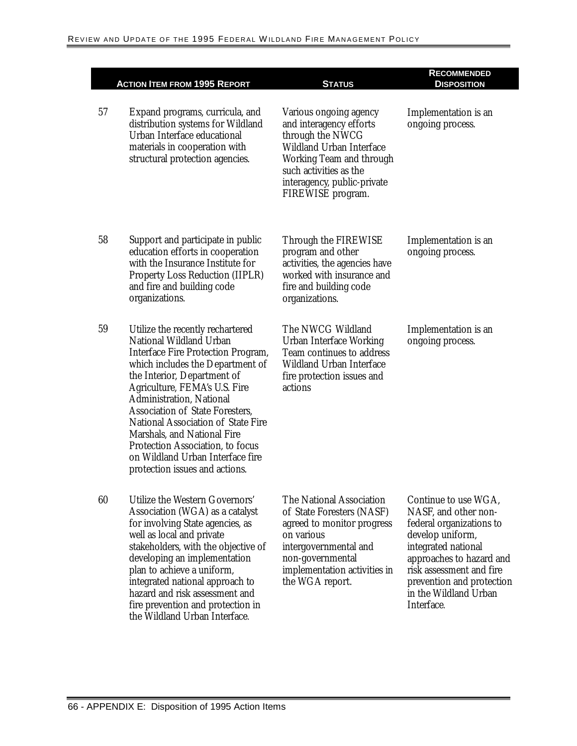|    | <b>ACTION ITEM FROM 1995 REPORT</b>                                                                                                                                                                                                                                                                                                                                                                                                                                             | <b>STATUS</b>                                                                                                                                                                                                      | <b>RECOMMENDED</b><br><b>DISPOSITION</b>                                                                                                                                                                                                        |
|----|---------------------------------------------------------------------------------------------------------------------------------------------------------------------------------------------------------------------------------------------------------------------------------------------------------------------------------------------------------------------------------------------------------------------------------------------------------------------------------|--------------------------------------------------------------------------------------------------------------------------------------------------------------------------------------------------------------------|-------------------------------------------------------------------------------------------------------------------------------------------------------------------------------------------------------------------------------------------------|
| 57 | Expand programs, curricula, and<br>distribution systems for Wildland<br>Urban Interface educational<br>materials in cooperation with<br>structural protection agencies.                                                                                                                                                                                                                                                                                                         | Various ongoing agency<br>and interagency efforts<br>through the NWCG<br><b>Wildland Urban Interface</b><br>Working Team and through<br>such activities as the<br>interagency, public-private<br>FIREWISE program. | Implementation is an<br>ongoing process.                                                                                                                                                                                                        |
| 58 | Support and participate in public<br>education efforts in cooperation<br>with the Insurance Institute for<br><b>Property Loss Reduction (IIPLR)</b><br>and fire and building code<br>organizations.                                                                                                                                                                                                                                                                             | Through the FIREWISE<br>program and other<br>activities, the agencies have<br>worked with insurance and<br>fire and building code<br>organizations.                                                                | Implementation is an<br>ongoing process.                                                                                                                                                                                                        |
| 59 | Utilize the recently rechartered<br>National Wildland Urban<br><b>Interface Fire Protection Program,</b><br>which includes the Department of<br>the Interior, Department of<br>Agriculture, FEMA's U.S. Fire<br><b>Administration, National</b><br><b>Association of State Foresters.</b><br>National Association of State Fire<br><b>Marshals, and National Fire</b><br>Protection Association, to focus<br>on Wildland Urban Interface fire<br>protection issues and actions. | The NWCG Wildland<br><b>Urban Interface Working</b><br>Team continues to address<br><b>Wildland Urban Interface</b><br>fire protection issues and<br>actions                                                       | Implementation is an<br>ongoing process.                                                                                                                                                                                                        |
| 60 | Utilize the Western Governors'<br>Association (WGA) as a catalyst<br>for involving State agencies, as<br>well as local and private<br>stakeholders, with the objective of<br>developing an implementation<br>plan to achieve a uniform,<br>integrated national approach to<br>hazard and risk assessment and<br>fire prevention and protection in<br>the Wildland Urban Interface.                                                                                              | The National Association<br>of State Foresters (NASF)<br>agreed to monitor progress<br>on various<br>intergovernmental and<br>non-governmental<br>implementation activities in<br>the WGA report.                  | Continue to use WGA,<br>NASF, and other non-<br>federal organizations to<br>develop uniform,<br>integrated national<br>approaches to hazard and<br>risk assessment and fire<br>prevention and protection<br>in the Wildland Urban<br>Interface. |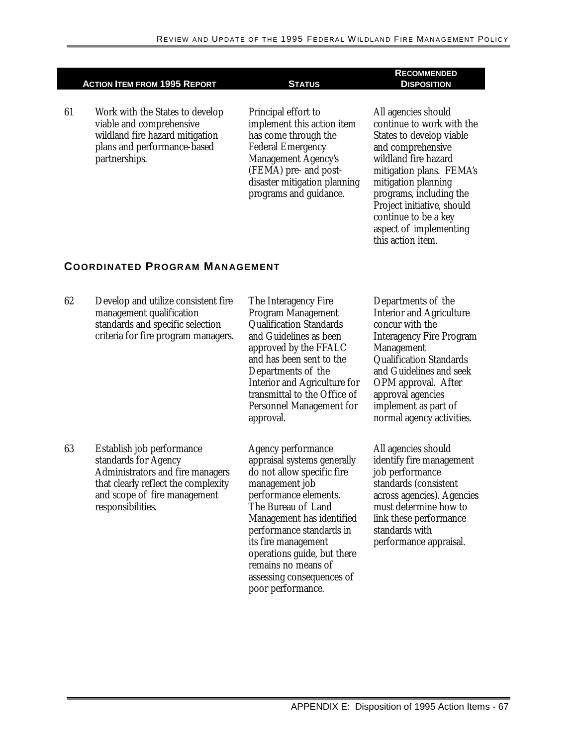|                                       | <b>ACTION ITEM FROM 1995 REPORT</b>                                                                                                            | <b>STATUS</b>                                                                                                                                                                                                          | <b>DISPOSITION</b>                                                                                                                                                                                                                                                                                           |  |
|---------------------------------------|------------------------------------------------------------------------------------------------------------------------------------------------|------------------------------------------------------------------------------------------------------------------------------------------------------------------------------------------------------------------------|--------------------------------------------------------------------------------------------------------------------------------------------------------------------------------------------------------------------------------------------------------------------------------------------------------------|--|
| 61                                    | Work with the States to develop<br>viable and comprehensive<br>wildland fire hazard mitigation<br>plans and performance-based<br>partnerships. | Principal effort to<br>implement this action item<br>has come through the<br><b>Federal Emergency</b><br><b>Management Agency's</b><br>(FEMA) pre- and post-<br>disaster mitigation planning<br>programs and guidance. | All agencies should<br>continue to work with the<br>States to develop viable<br>and comprehensive<br>wildland fire hazard<br>mitigation plans. FEMA's<br>mitigation planning<br>programs, including the<br>Project initiative, should<br>continue to be a key<br>aspect of implementing<br>this action item. |  |
| <b>COORDINATED PROGRAM MANAGEMENT</b> |                                                                                                                                                |                                                                                                                                                                                                                        |                                                                                                                                                                                                                                                                                                              |  |
| 62                                    | Develop and utilize consistent fire<br>management qualification<br>standards and specific selection<br>criteria for fire program managers.     | The Interagency Fire<br>Program Management<br><b>Qualification Standards</b><br>and Guidelines as been<br>approved by the FFALC<br>and has been sent to the<br>Departments of the<br>Interior and Agriculture for      | Departments of the<br><b>Interior and Agriculture</b><br>concur with the<br><b>Interagency Fire Program</b><br><b>Management</b><br><b>Qualification Standards</b><br>and Guidelines and seek<br>ODM annroval After                                                                                          |  |

63 Establish job performance standards for Agency Administrators and fire managers that clearly reflect the complexity and scope of fire management responsibilities.

Interior and Agriculture for transmittal to the Office of Personnel Management for approval.

Agency performance appraisal systems generally do not allow specific fire management job performance elements. The Bureau of Land Management has identified performance standards in its fire management operations guide, but there remains no means of assessing consequences of poor performance.

OPM approval. After approval agencies implement as part of normal agency activities.

**RECOMMENDED** 

All agencies should identify fire management job performance standards (consistent across agencies). Agencies must determine how to link these performance standards with performance appraisal.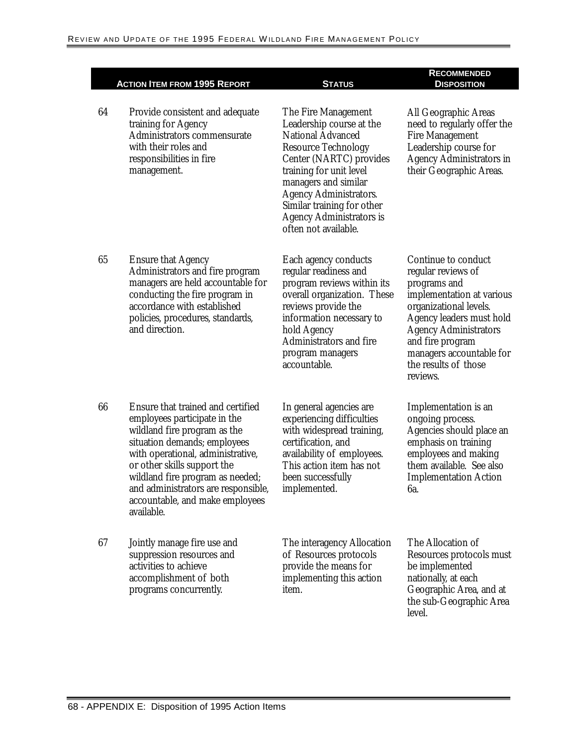|    |                                                                                                                                                                                                                                                                                                                                   |                                                                                                                                                                                                                                                                                                                   | <b>RECOMMENDED</b>                                                                                                                                                                                                                                               |
|----|-----------------------------------------------------------------------------------------------------------------------------------------------------------------------------------------------------------------------------------------------------------------------------------------------------------------------------------|-------------------------------------------------------------------------------------------------------------------------------------------------------------------------------------------------------------------------------------------------------------------------------------------------------------------|------------------------------------------------------------------------------------------------------------------------------------------------------------------------------------------------------------------------------------------------------------------|
|    | <b>ACTION ITEM FROM 1995 REPORT</b>                                                                                                                                                                                                                                                                                               | <b>STATUS</b>                                                                                                                                                                                                                                                                                                     | <b>DISPOSITION</b>                                                                                                                                                                                                                                               |
| 64 | Provide consistent and adequate<br>training for Agency<br>Administrators commensurate<br>with their roles and<br>responsibilities in fire<br>management.                                                                                                                                                                          | The Fire Management<br>Leadership course at the<br><b>National Advanced</b><br><b>Resource Technology</b><br>Center (NARTC) provides<br>training for unit level<br>managers and similar<br><b>Agency Administrators.</b><br>Similar training for other<br><b>Agency Administrators is</b><br>often not available. | All Geographic Areas<br>need to regularly offer the<br><b>Fire Management</b><br>Leadership course for<br><b>Agency Administrators in</b><br>their Geographic Areas.                                                                                             |
| 65 | <b>Ensure that Agency</b><br>Administrators and fire program<br>managers are held accountable for<br>conducting the fire program in<br>accordance with established<br>policies, procedures, standards,<br>and direction.                                                                                                          | Each agency conducts<br>regular readiness and<br>program reviews within its<br>overall organization. These<br>reviews provide the<br>information necessary to<br>hold Agency<br>Administrators and fire<br>program managers<br>accountable.                                                                       | Continue to conduct<br>regular reviews of<br>programs and<br>implementation at various<br>organizational levels.<br>Agency leaders must hold<br><b>Agency Administrators</b><br>and fire program<br>managers accountable for<br>the results of those<br>reviews. |
| 66 | Ensure that trained and certified<br>employees participate in the<br>wildland fire program as the<br>situation demands; employees<br>with operational, administrative,<br>or other skills support the<br>wildland fire program as needed;<br>and administrators are responsible,<br>accountable, and make employees<br>available. | In general agencies are<br>experiencing difficulties<br>with widespread training,<br>certification, and<br>availability of employees.<br>This action item has not<br>been successfully<br>implemented.                                                                                                            | Implementation is an<br>ongoing process.<br>Agencies should place an<br>emphasis on training<br>employees and making<br>them available. See also<br><b>Implementation Action</b><br>6а.                                                                          |
| 67 | Jointly manage fire use and<br>suppression resources and<br>activities to achieve<br>accomplishment of both<br>programs concurrently.                                                                                                                                                                                             | The interagency Allocation<br>of Resources protocols<br>provide the means for<br>implementing this action<br>item.                                                                                                                                                                                                | The Allocation of<br>Resources protocols must<br>be implemented<br>nationally, at each<br>Geographic Area, and at<br>the sub-Geographic Area<br>level.                                                                                                           |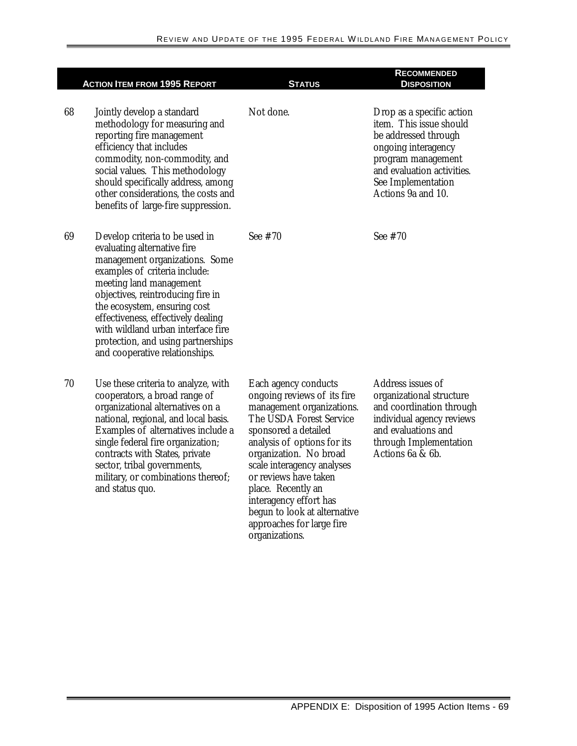|    | <b>ACTION ITEM FROM 1995 REPORT</b>                                                                                                                                                                                                                                                                                                                                                  | <b>STATUS</b>                                                                                                                                                                                                                                                                                                                                                                      | <b>RECOMMENDED</b><br><b>DISPOSITION</b>                                                                                                                                                            |
|----|--------------------------------------------------------------------------------------------------------------------------------------------------------------------------------------------------------------------------------------------------------------------------------------------------------------------------------------------------------------------------------------|------------------------------------------------------------------------------------------------------------------------------------------------------------------------------------------------------------------------------------------------------------------------------------------------------------------------------------------------------------------------------------|-----------------------------------------------------------------------------------------------------------------------------------------------------------------------------------------------------|
| 68 | Jointly develop a standard<br>methodology for measuring and<br>reporting fire management<br>efficiency that includes<br>commodity, non-commodity, and<br>social values. This methodology<br>should specifically address, among<br>other considerations, the costs and<br>benefits of large-fire suppression.                                                                         | Not done.                                                                                                                                                                                                                                                                                                                                                                          | Drop as a specific action<br>item. This issue should<br>be addressed through<br>ongoing interagency<br>program management<br>and evaluation activities.<br>See Implementation<br>Actions 9a and 10. |
| 69 | Develop criteria to be used in<br>evaluating alternative fire<br>management organizations. Some<br>examples of criteria include:<br>meeting land management<br>objectives, reintroducing fire in<br>the ecosystem, ensuring cost<br>effectiveness, effectively dealing<br>with wildland urban interface fire<br>protection, and using partnerships<br>and cooperative relationships. | See #70                                                                                                                                                                                                                                                                                                                                                                            | See #70                                                                                                                                                                                             |
| 70 | Use these criteria to analyze, with<br>cooperators, a broad range of<br>organizational alternatives on a<br>national, regional, and local basis.<br>Examples of alternatives include a<br>single federal fire organization;<br>contracts with States, private<br>sector, tribal governments,<br>military, or combinations thereof;<br>and status quo.                                | Each agency conducts<br>ongoing reviews of its fire<br>management organizations.<br>The USDA Forest Service<br>sponsored a detailed<br>analysis of options for its<br>organization. No broad<br>scale interagency analyses<br>or reviews have taken<br>place. Recently an<br>interagency effort has<br>begun to look at alternative<br>approaches for large fire<br>organizations. | Address issues of<br>organizational structure<br>and coordination through<br>individual agency reviews<br>and evaluations and<br>through Implementation<br>Actions 6a & 6b.                         |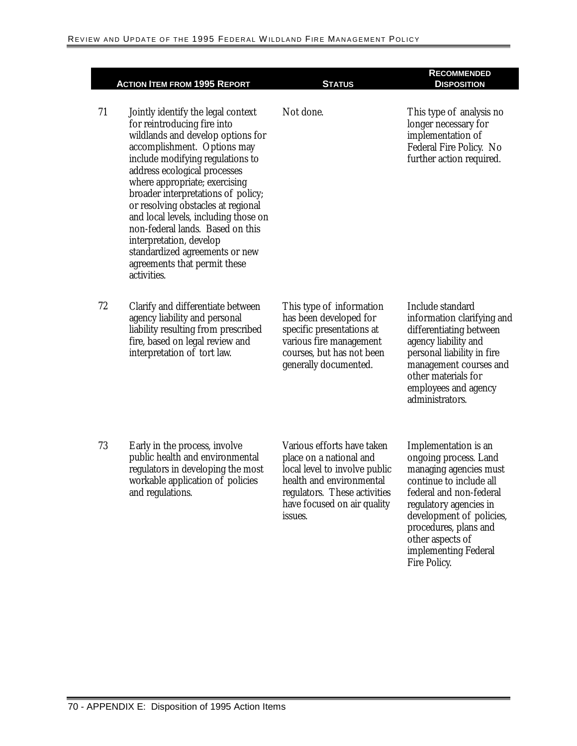|    | <b>ACTION ITEM FROM 1995 REPORT</b>                                                                                                                                                                                                                                                                                                                                                                                                                                                                            | <b>STATUS</b>                                                                                                                                                                                | <b>RECOMMENDED</b><br><b>DISPOSITION</b>                                                                                                                                                                                                                                        |
|----|----------------------------------------------------------------------------------------------------------------------------------------------------------------------------------------------------------------------------------------------------------------------------------------------------------------------------------------------------------------------------------------------------------------------------------------------------------------------------------------------------------------|----------------------------------------------------------------------------------------------------------------------------------------------------------------------------------------------|---------------------------------------------------------------------------------------------------------------------------------------------------------------------------------------------------------------------------------------------------------------------------------|
| 71 | Jointly identify the legal context<br>for reintroducing fire into<br>wildlands and develop options for<br>accomplishment. Options may<br>include modifying regulations to<br>address ecological processes<br>where appropriate; exercising<br>broader interpretations of policy;<br>or resolving obstacles at regional<br>and local levels, including those on<br>non-federal lands. Based on this<br>interpretation, develop<br>standardized agreements or new<br>agreements that permit these<br>activities. | Not done.                                                                                                                                                                                    | This type of analysis no<br>longer necessary for<br>implementation of<br>Federal Fire Policy. No<br>further action required.                                                                                                                                                    |
| 72 | Clarify and differentiate between<br>agency liability and personal<br>liability resulting from prescribed<br>fire, based on legal review and<br>interpretation of tort law.                                                                                                                                                                                                                                                                                                                                    | This type of information<br>has been developed for<br>specific presentations at<br>various fire management<br>courses, but has not been<br>generally documented.                             | Include standard<br>information clarifying and<br>differentiating between<br>agency liability and<br>personal liability in fire<br>management courses and<br>other materials for<br>employees and agency<br>administrators.                                                     |
| 73 | Early in the process, involve<br>public health and environmental<br>regulators in developing the most<br>workable application of policies<br>and regulations.                                                                                                                                                                                                                                                                                                                                                  | Various efforts have taken<br>place on a national and<br>local level to involve public<br>health and environmental<br>regulators. These activities<br>have focused on air quality<br>issues. | Implementation is an<br>ongoing process. Land<br>managing agencies must<br>continue to include all<br>federal and non-federal<br>regulatory agencies in<br>development of policies,<br>procedures, plans and<br>other aspects of<br>implementing Federal<br><b>Fire Policy.</b> |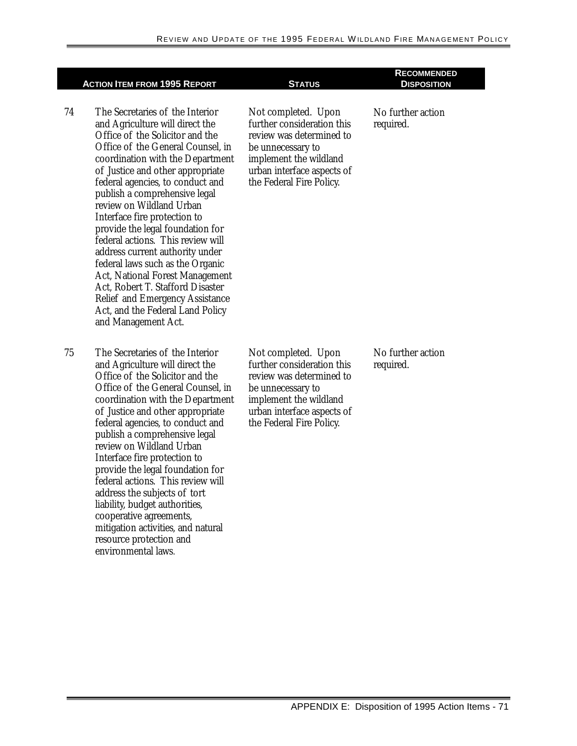|    | <b>ACTION ITEM FROM 1995 REPORT</b>                                                                                                                                                                                                                                                                                                                                                                                                                                                                                                                                                                                                                                                    | <b>STATUS</b>                                                                                                                                                                          | <b>RECOMMENDED</b><br><b>DISPOSITION</b> |
|----|----------------------------------------------------------------------------------------------------------------------------------------------------------------------------------------------------------------------------------------------------------------------------------------------------------------------------------------------------------------------------------------------------------------------------------------------------------------------------------------------------------------------------------------------------------------------------------------------------------------------------------------------------------------------------------------|----------------------------------------------------------------------------------------------------------------------------------------------------------------------------------------|------------------------------------------|
| 74 | The Secretaries of the Interior<br>and Agriculture will direct the<br>Office of the Solicitor and the<br>Office of the General Counsel, in<br>coordination with the Department<br>of Justice and other appropriate<br>federal agencies, to conduct and<br>publish a comprehensive legal<br>review on Wildland Urban<br>Interface fire protection to<br>provide the legal foundation for<br>federal actions. This review will<br>address current authority under<br>federal laws such as the Organic<br><b>Act, National Forest Management</b><br>Act, Robert T. Stafford Disaster<br><b>Relief and Emergency Assistance</b><br>Act, and the Federal Land Policy<br>and Management Act. | Not completed. Upon<br>further consideration this<br>review was determined to<br>be unnecessary to<br>implement the wildland<br>urban interface aspects of<br>the Federal Fire Policy. | No further action<br>required.           |
| 75 | The Secretaries of the Interior<br>and Agriculture will direct the<br>Office of the Solicitor and the<br>Office of the General Counsel, in<br>coordination with the Department<br>of Justice and other appropriate<br>federal agencies, to conduct and<br>publish a comprehensive legal<br>review on Wildland Urban<br>Interface fire protection to<br>provide the legal foundation for<br>federal actions. This review will<br>address the subjects of tort<br>liability, budget authorities,<br>cooperative agreements,<br>mitigation activities, and natural<br>resource protection and<br>environmental laws.                                                                      | Not completed. Upon<br>further consideration this<br>review was determined to<br>be unnecessary to<br>implement the wildland<br>urban interface aspects of<br>the Federal Fire Policy. | No further action<br>required.           |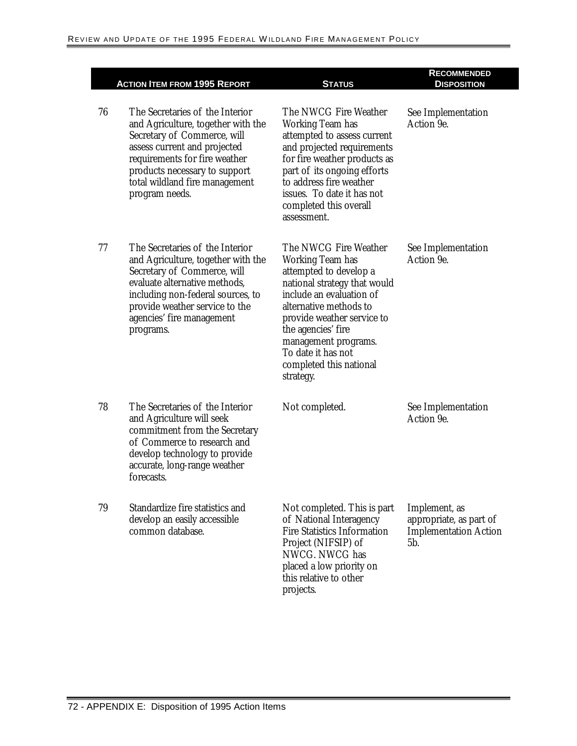|    | <b>ACTION ITEM FROM 1995 REPORT</b>                                                                                                                                                                                                                        | <b>STATUS</b>                                                                                                                                                                                                                                                                                              | <b>RECOMMENDED</b><br><b>DISPOSITION</b>                                        |
|----|------------------------------------------------------------------------------------------------------------------------------------------------------------------------------------------------------------------------------------------------------------|------------------------------------------------------------------------------------------------------------------------------------------------------------------------------------------------------------------------------------------------------------------------------------------------------------|---------------------------------------------------------------------------------|
| 76 | The Secretaries of the Interior<br>and Agriculture, together with the<br>Secretary of Commerce, will<br>assess current and projected<br>requirements for fire weather<br>products necessary to support<br>total wildland fire management<br>program needs. | The NWCG Fire Weather<br>Working Team has<br>attempted to assess current<br>and projected requirements<br>for fire weather products as<br>part of its ongoing efforts<br>to address fire weather<br>issues. To date it has not<br>completed this overall<br>assessment.                                    | See Implementation<br>Action 9e.                                                |
| 77 | The Secretaries of the Interior<br>and Agriculture, together with the<br>Secretary of Commerce, will<br>evaluate alternative methods,<br>including non-federal sources, to<br>provide weather service to the<br>agencies' fire management<br>programs.     | The NWCG Fire Weather<br><b>Working Team has</b><br>attempted to develop a<br>national strategy that would<br>include an evaluation of<br>alternative methods to<br>provide weather service to<br>the agencies' fire<br>management programs.<br>To date it has not<br>completed this national<br>strategy. | See Implementation<br>Action 9e.                                                |
| 78 | The Secretaries of the Interior<br>and Agriculture will seek<br>commitment from the Secretary<br>of Commerce to research and<br>develop technology to provide<br>accurate, long-range weather<br>forecasts.                                                | Not completed.                                                                                                                                                                                                                                                                                             | See Implementation<br>Action 9e.                                                |
| 79 | Standardize fire statistics and<br>develop an easily accessible<br>common database.                                                                                                                                                                        | Not completed. This is part<br>of National Interagency<br><b>Fire Statistics Information</b><br>Project (NIFSIP) of<br>NWCG. NWCG has<br>placed a low priority on<br>this relative to other<br>projects.                                                                                                   | Implement, as<br>appropriate, as part of<br><b>Implementation Action</b><br>5b. |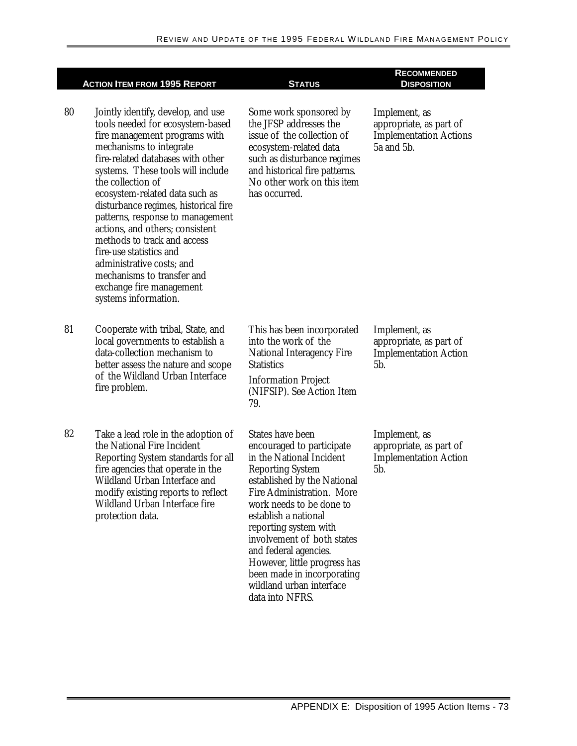|    | <b>ACTION ITEM FROM 1995 REPORT</b>                                                                                                                                                                                                                                                                                                                                                                                                                                                                                                                         | <b>STATUS</b>                                                                                                                                                                                                                                                                                                                                                                                                            | <b>RECOMMENDED</b><br><b>DISPOSITION</b>                                                |
|----|-------------------------------------------------------------------------------------------------------------------------------------------------------------------------------------------------------------------------------------------------------------------------------------------------------------------------------------------------------------------------------------------------------------------------------------------------------------------------------------------------------------------------------------------------------------|--------------------------------------------------------------------------------------------------------------------------------------------------------------------------------------------------------------------------------------------------------------------------------------------------------------------------------------------------------------------------------------------------------------------------|-----------------------------------------------------------------------------------------|
| 80 | Jointly identify, develop, and use<br>tools needed for ecosystem-based<br>fire management programs with<br>mechanisms to integrate<br>fire-related databases with other<br>systems. These tools will include<br>the collection of<br>ecosystem-related data such as<br>disturbance regimes, historical fire<br>patterns, response to management<br>actions, and others; consistent<br>methods to track and access<br>fire-use statistics and<br>administrative costs; and<br>mechanisms to transfer and<br>exchange fire management<br>systems information. | Some work sponsored by<br>the JFSP addresses the<br>issue of the collection of<br>ecosystem-related data<br>such as disturbance regimes<br>and historical fire patterns.<br>No other work on this item<br>has occurred.                                                                                                                                                                                                  | Implement, as<br>appropriate, as part of<br><b>Implementation Actions</b><br>5a and 5b. |
| 81 | Cooperate with tribal, State, and<br>local governments to establish a<br>data-collection mechanism to<br>better assess the nature and scope<br>of the Wildland Urban Interface<br>fire problem.                                                                                                                                                                                                                                                                                                                                                             | This has been incorporated<br>into the work of the<br><b>National Interagency Fire</b><br><b>Statistics</b><br><b>Information Project</b><br>(NIFSIP). See Action Item<br>79.                                                                                                                                                                                                                                            | Implement, as<br>appropriate, as part of<br><b>Implementation Action</b><br>5b.         |
| 82 | Take a lead role in the adoption of<br>the National Fire Incident<br>Reporting System standards for all<br>fire agencies that operate in the<br>Wildland Urban Interface and<br>modify existing reports to reflect<br>Wildland Urban Interface fire<br>protection data.                                                                                                                                                                                                                                                                                     | <b>States have been</b><br>encouraged to participate<br>in the National Incident<br><b>Reporting System</b><br>established by the National<br>Fire Administration. More<br>work needs to be done to<br>establish a national<br>reporting system with<br>involvement of both states<br>and federal agencies.<br>However, little progress has<br>been made in incorporating<br>wildland urban interface<br>data into NFRS. | Implement, as<br>appropriate, as part of<br><b>Implementation Action</b><br>5b.         |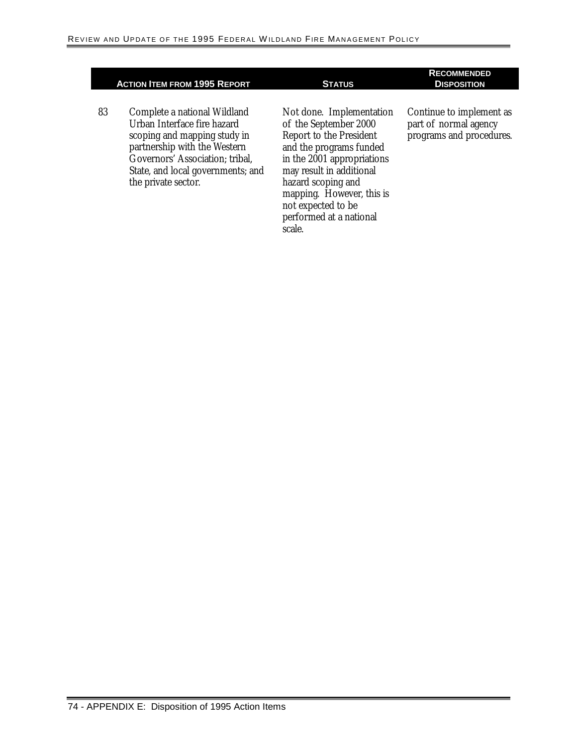#### **ACTION ITEM FROM 1995 REPORT STATUS**

83 Complete a national Wildland Urban Interface fire hazard scoping and mapping study in partnership with the Western Governors' Association; tribal, State, and local governments; and the private sector.

Not done. Implementation of the September 2000 Report to the President and the programs funded in the 2001 appropriations may result in additional hazard scoping and mapping. However, this is not expected to be performed at a national scale.

#### **RECOMMENDED DISPOSITION**

Continue to implement as part of normal agency programs and procedures.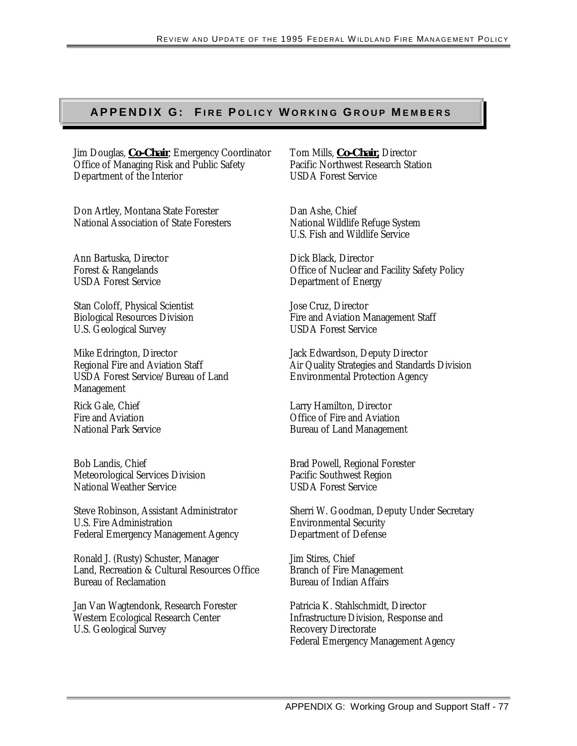## **APPENDIX G: FIRE POLICY WORKING GROUP MEMBERS**

Jim Douglas, **Co-Chair**, Emergency Coordinator Office of Managing Risk and Public Safety Department of the Interior

Don Artley, Montana State Forester National Association of State Foresters

Ann Bartuska, Director Forest & Rangelands USDA Forest Service

Stan Coloff, Physical Scientist Biological Resources Division U.S. Geological Survey

Mike Edrington, Director Regional Fire and Aviation Staff USDA Forest Service/Bureau of Land Management

Rick Gale, Chief Fire and Aviation National Park Service

Bob Landis, Chief Meteorological Services Division National Weather Service

Steve Robinson, Assistant Administrator U.S. Fire Administration Federal Emergency Management Agency

Ronald J. (Rusty) Schuster, Manager Land, Recreation & Cultural Resources Office Bureau of Reclamation

Jan Van Wagtendonk, Research Forester Western Ecological Research Center U.S. Geological Survey

Tom Mills, **Co-Chair,** Director Pacific Northwest Research Station USDA Forest Service

Dan Ashe, Chief National Wildlife Refuge System U.S. Fish and Wildlife Service

Dick Black, Director Office of Nuclear and Facility Safety Policy Department of Energy

Jose Cruz, Director Fire and Aviation Management Staff USDA Forest Service

Jack Edwardson, Deputy Director Air Quality Strategies and Standards Division Environmental Protection Agency

Larry Hamilton, Director Office of Fire and Aviation Bureau of Land Management

Brad Powell, Regional Forester Pacific Southwest Region USDA Forest Service

Sherri W. Goodman, Deputy Under Secretary Environmental Security Department of Defense

Jim Stires, Chief Branch of Fire Management Bureau of Indian Affairs

Patricia K. Stahlschmidt, Director Infrastructure Division, Response and Recovery Directorate Federal Emergency Management Agency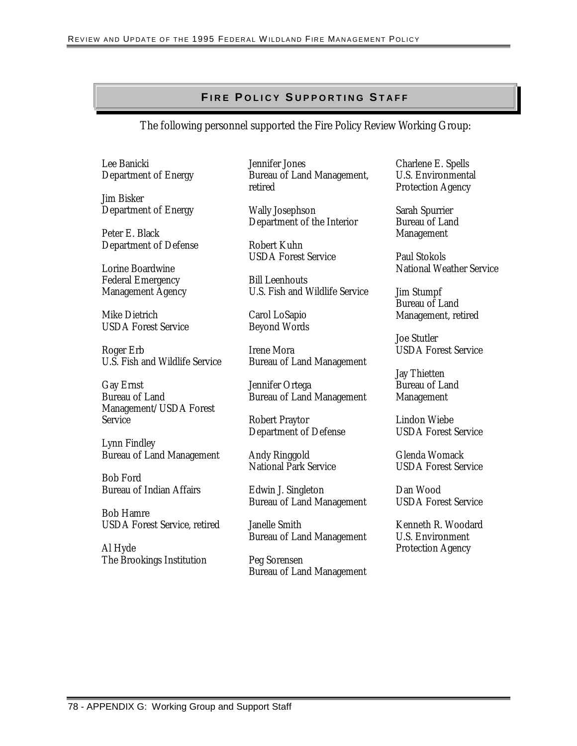### **F I R E P O L I C Y S U P P O R T I N G ST A F F I R E P O L I C Y SU P P O R T I N G S T A F F**

#### The following personnel supported the Fire Policy Review Working Group:

Lee Banicki Department of Energy

Jim Bisker Department of Energy

Peter E. Black Department of Defense

Lorine Boardwine Federal Emergency Management Agency

Mike Dietrich USDA Forest Service

Roger Erb U.S. Fish and Wildlife Service

Gay Ernst Bureau of Land Management/USDA Forest Service

Lynn Findley Bureau of Land Management

Bob Ford Bureau of Indian Affairs

Bob Hamre USDA Forest Service, retired

Al Hyde The Brookings Institution Jennifer Jones Bureau of Land Management, retired

Wally Josephson Department of the Interior

Robert Kuhn USDA Forest Service

Bill Leenhouts U.S. Fish and Wildlife Service

Carol LoSapio Beyond Words

Irene Mora Bureau of Land Management

Jennifer Ortega Bureau of Land Management

Robert Praytor Department of Defense

Andy Ringgold National Park Service

Edwin J. Singleton Bureau of Land Management

Janelle Smith Bureau of Land Management

Peg Sorensen Bureau of Land Management Charlene E. Spells U.S. Environmental Protection Agency

Sarah Spurrier Bureau of Land Management

Paul Stokols National Weather Service

Jim Stumpf Bureau of Land Management, retired

Joe Stutler USDA Forest Service

Jay Thietten Bureau of Land Management

Lindon Wiebe USDA Forest Service

Glenda Womack USDA Forest Service

Dan Wood USDA Forest Service

Kenneth R. Woodard U.S. Environment Protection Agency